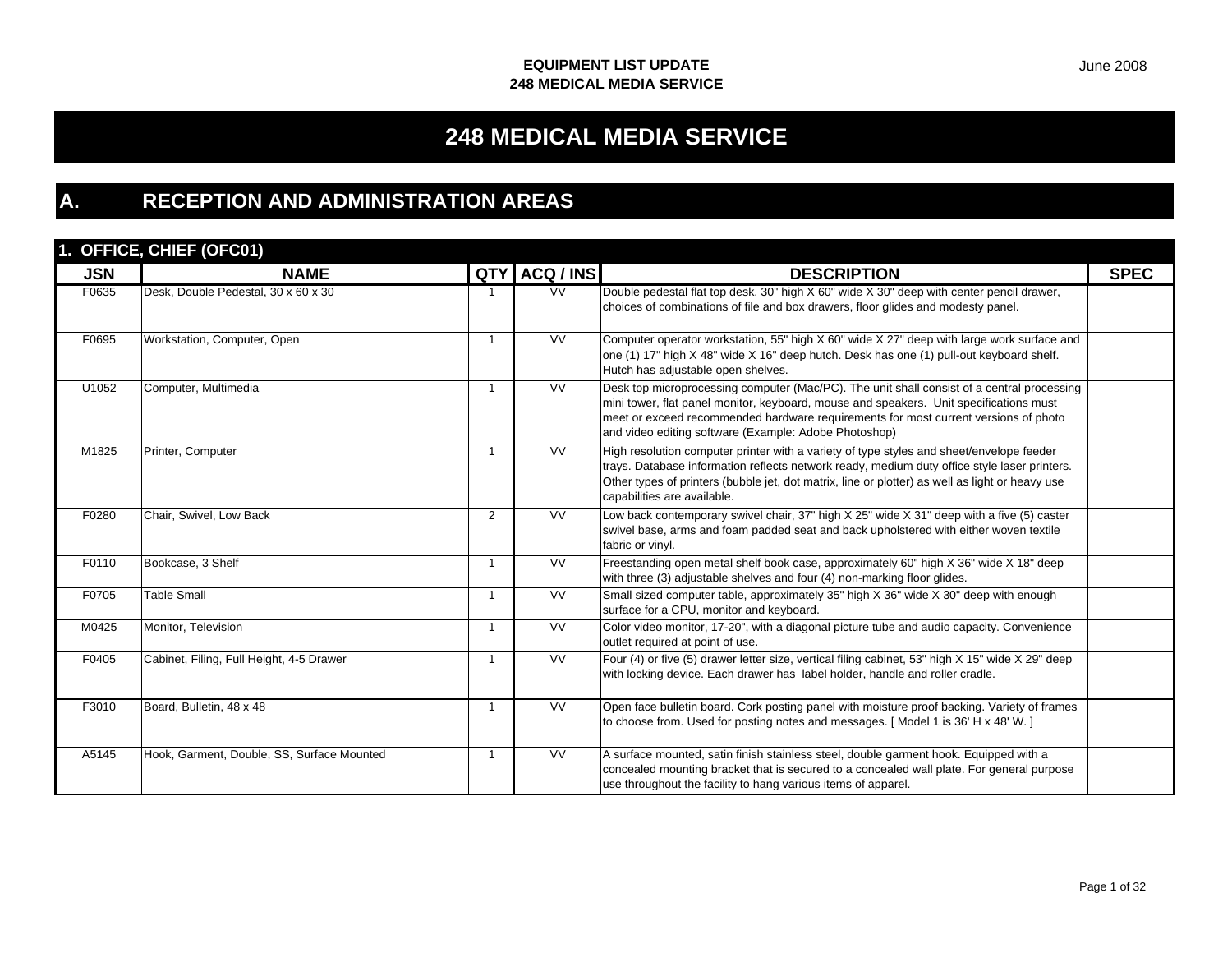# **248 MEDICAL MEDIA SERVICE**

# **A. RECEPTION AND ADMINISTRATION AREAS**

## **1. OFFICE, CHIEF (OFC01)**

|            | $1. \forall 11 \forall 5, \forall 11 \forall 1, \forall 01 \forall 1$ |                |                        |                                                                                                                                                                                                                                                                                                                                      |             |
|------------|-----------------------------------------------------------------------|----------------|------------------------|--------------------------------------------------------------------------------------------------------------------------------------------------------------------------------------------------------------------------------------------------------------------------------------------------------------------------------------|-------------|
| <b>JSN</b> | <b>NAME</b>                                                           | QTY            | ACQ / INS              | <b>DESCRIPTION</b>                                                                                                                                                                                                                                                                                                                   | <b>SPEC</b> |
| F0635      | Desk, Double Pedestal, 30 x 60 x 30                                   |                | $\overline{\text{VV}}$ | Double pedestal flat top desk, 30" high X 60" wide X 30" deep with center pencil drawer,<br>choices of combinations of file and box drawers, floor glides and modesty panel.                                                                                                                                                         |             |
| F0695      | Workstation, Computer, Open                                           |                | <b>VV</b>              | Computer operator workstation, 55" high X 60" wide X 27" deep with large work surface and<br>one (1) 17" high X 48" wide X 16" deep hutch. Desk has one (1) pull-out keyboard shelf.<br>Hutch has adjustable open shelves.                                                                                                           |             |
| U1052      | Computer, Multimedia                                                  | -1             | <b>VV</b>              | Desk top microprocessing computer (Mac/PC). The unit shall consist of a central processing<br>mini tower, flat panel monitor, keyboard, mouse and speakers. Unit specifications must<br>meet or exceed recommended hardware requirements for most current versions of photo<br>and video editing software (Example: Adobe Photoshop) |             |
| M1825      | Printer, Computer                                                     | -1             | <b>VV</b>              | High resolution computer printer with a variety of type styles and sheet/envelope feeder<br>trays. Database information reflects network ready, medium duty office style laser printers.<br>Other types of printers (bubble jet, dot matrix, line or plotter) as well as light or heavy use<br>capabilities are available.           |             |
| F0280      | Chair, Swivel, Low Back                                               | $\overline{2}$ | <b>VV</b>              | Low back contemporary swivel chair, 37" high X 25" wide X 31" deep with a five (5) caster<br>swivel base, arms and foam padded seat and back upholstered with either woven textile<br>fabric or vinyl.                                                                                                                               |             |
| F0110      | Bookcase, 3 Shelf                                                     | -1             | W                      | Freestanding open metal shelf book case, approximately 60" high X 36" wide X 18" deep<br>with three (3) adjustable shelves and four (4) non-marking floor glides.                                                                                                                                                                    |             |
| F0705      | <b>Table Small</b>                                                    | $\overline{1}$ | $\overline{\text{VV}}$ | Small sized computer table, approximately 35" high X 36" wide X 30" deep with enough<br>surface for a CPU, monitor and keyboard.                                                                                                                                                                                                     |             |
| M0425      | Monitor. Television                                                   | $\overline{1}$ | <b>VV</b>              | Color video monitor, 17-20", with a diagonal picture tube and audio capacity. Convenience<br>outlet required at point of use.                                                                                                                                                                                                        |             |
| F0405      | Cabinet, Filing, Full Height, 4-5 Drawer                              |                | VV                     | Four (4) or five (5) drawer letter size, vertical filing cabinet, 53" high $X$ 15" wide $X$ 29" deep<br>with locking device. Each drawer has label holder, handle and roller cradle.                                                                                                                                                 |             |
| F3010      | Board, Bulletin, 48 x 48                                              | -1             | <b>VV</b>              | Open face bulletin board. Cork posting panel with moisture proof backing. Variety of frames<br>to choose from. Used for posting notes and messages. [Model 1 is 36' H x 48' W.]                                                                                                                                                      |             |
| A5145      | Hook, Garment, Double, SS, Surface Mounted                            | -1             | <b>VV</b>              | A surface mounted, satin finish stainless steel, double garment hook. Equipped with a<br>concealed mounting bracket that is secured to a concealed wall plate. For general purpose<br>use throughout the facility to hang various items of apparel.                                                                                  |             |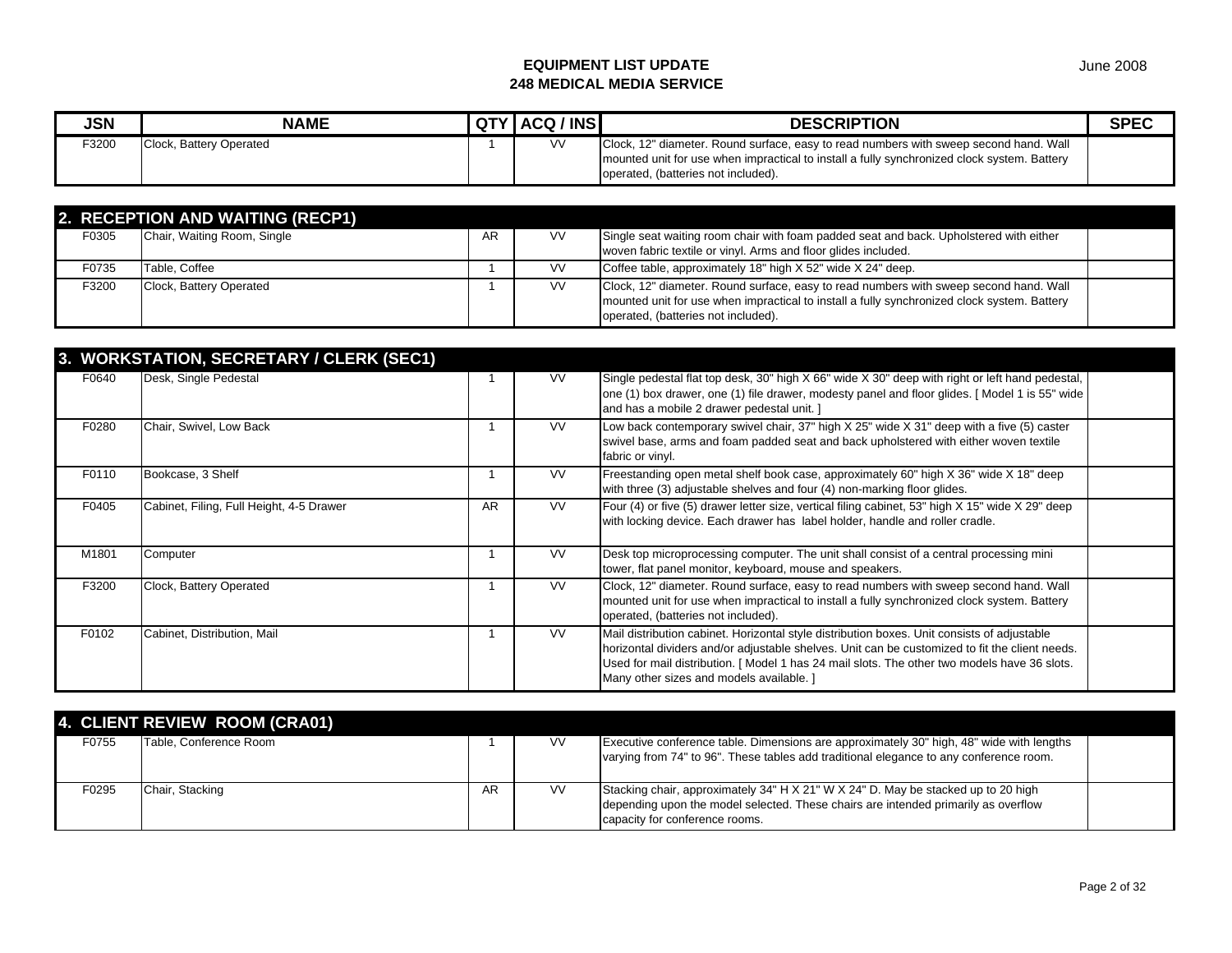| <b>JSN</b> | <b>NAME</b>             | QTY ACQ / INS | <b>DESCRIPTION</b>                                                                                                                                                                                                          | <b>SPEC</b> |
|------------|-------------------------|---------------|-----------------------------------------------------------------------------------------------------------------------------------------------------------------------------------------------------------------------------|-------------|
| F3200      | Clock, Battery Operated | V٧            | Clock, 12" diameter. Round surface, easy to read numbers with sweep second hand. Wall<br>mounted unit for use when impractical to install a fully synchronized clock system. Battery<br>operated, (batteries not included). |             |

|       | 2. RECEPTION AND WAITING (RECP1) |    |           |                                                                                                                                                                                                                             |  |
|-------|----------------------------------|----|-----------|-----------------------------------------------------------------------------------------------------------------------------------------------------------------------------------------------------------------------------|--|
| F0305 | Chair, Waiting Room, Single      | AR | <b>VV</b> | Single seat waiting room chair with foam padded seat and back. Upholstered with either<br>woven fabric textile or vinyl. Arms and floor glides included.                                                                    |  |
| F0735 | Table, Coffee                    |    | <b>VV</b> | Coffee table, approximately 18" high X 52" wide X 24" deep.                                                                                                                                                                 |  |
| F3200 | Clock, Battery Operated          |    | <b>VV</b> | Clock, 12" diameter. Round surface, easy to read numbers with sweep second hand. Wall<br>mounted unit for use when impractical to install a fully synchronized clock system. Battery<br>operated, (batteries not included). |  |

|       | 3. WORKSTATION, SECRETARY / CLERK (SEC1) |    |           |                                                                                                                                                                                                                                                                                                                                          |  |
|-------|------------------------------------------|----|-----------|------------------------------------------------------------------------------------------------------------------------------------------------------------------------------------------------------------------------------------------------------------------------------------------------------------------------------------------|--|
| F0640 | Desk, Single Pedestal                    |    | <b>VV</b> | Single pedestal flat top desk, 30" high X 66" wide X 30" deep with right or left hand pedestal,<br>one (1) box drawer, one (1) file drawer, modesty panel and floor glides. [Model 1 is 55" wide<br>and has a mobile 2 drawer pedestal unit. ]                                                                                           |  |
| F0280 | Chair, Swivel, Low Back                  |    | <b>VV</b> | Low back contemporary swivel chair, 37" high $X$ 25" wide $X$ 31" deep with a five (5) caster<br>swivel base, arms and foam padded seat and back upholstered with either woven textile<br>fabric or vinyl.                                                                                                                               |  |
| F0110 | Bookcase, 3 Shelf                        |    | VV.       | Freestanding open metal shelf book case, approximately 60" high X 36" wide X 18" deep<br>with three (3) adjustable shelves and four (4) non-marking floor glides.                                                                                                                                                                        |  |
| F0405 | Cabinet, Filing, Full Height, 4-5 Drawer | AR | <b>VV</b> | Four (4) or five (5) drawer letter size, vertical filing cabinet, 53" high X 15" wide X 29" deep<br>with locking device. Each drawer has label holder, handle and roller cradle.                                                                                                                                                         |  |
| M1801 | Computer                                 |    | <b>VV</b> | Desk top microprocessing computer. The unit shall consist of a central processing mini<br>tower, flat panel monitor, keyboard, mouse and speakers.                                                                                                                                                                                       |  |
| F3200 | Clock, Battery Operated                  |    | <b>VV</b> | Clock, 12" diameter. Round surface, easy to read numbers with sweep second hand. Wall<br>mounted unit for use when impractical to install a fully synchronized clock system. Battery<br>operated, (batteries not included).                                                                                                              |  |
| F0102 | Cabinet, Distribution, Mail              |    | <b>VV</b> | Mail distribution cabinet. Horizontal style distribution boxes. Unit consists of adjustable<br>horizontal dividers and/or adjustable shelves. Unit can be customized to fit the client needs.<br>Used for mail distribution. [Model 1 has 24 mail slots. The other two models have 36 slots.<br>Many other sizes and models available. ] |  |

|       | 4. CLIENT REVIEW ROOM (CRA01) |    |           |                                                                                                                                                                                                           |  |
|-------|-------------------------------|----|-----------|-----------------------------------------------------------------------------------------------------------------------------------------------------------------------------------------------------------|--|
| F0755 | Table, Conference Room        |    | <b>VV</b> | Executive conference table. Dimensions are approximately 30" high, 48" wide with lengths<br>varying from 74" to 96". These tables add traditional elegance to any conference room.                        |  |
| F0295 | Chair, Stacking               | AR | <b>VV</b> | Stacking chair, approximately 34" H X 21" W X 24" D. May be stacked up to 20 high<br>depending upon the model selected. These chairs are intended primarily as overflow<br>capacity for conference rooms. |  |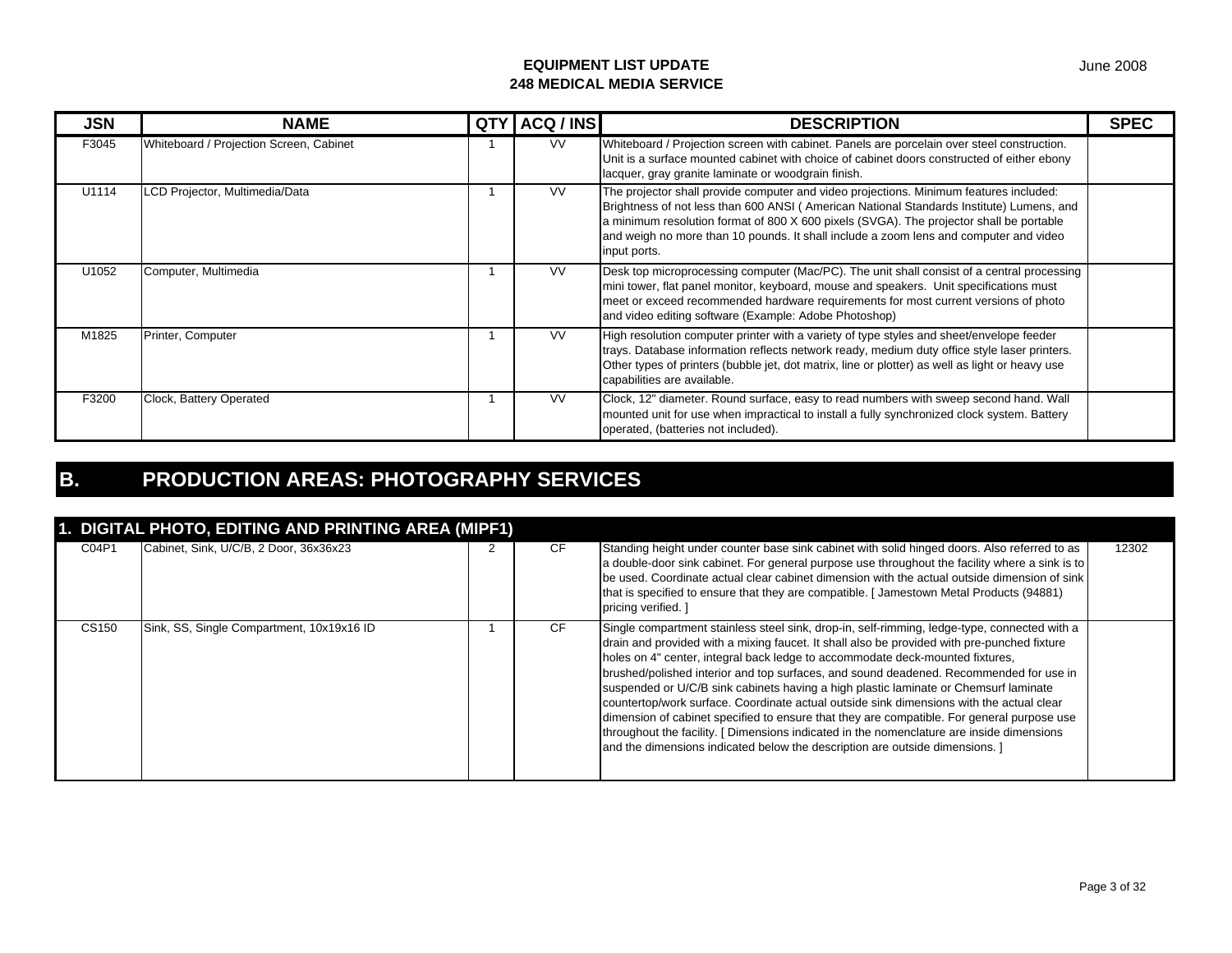| <b>JSN</b> | <b>NAME</b>                             | QTY | ACQ / INS | <b>DESCRIPTION</b>                                                                                                                                                                                                                                                                                                                                                                     | <b>SPEC</b> |
|------------|-----------------------------------------|-----|-----------|----------------------------------------------------------------------------------------------------------------------------------------------------------------------------------------------------------------------------------------------------------------------------------------------------------------------------------------------------------------------------------------|-------------|
| F3045      | Whiteboard / Projection Screen, Cabinet |     | VV.       | Whiteboard / Projection screen with cabinet. Panels are porcelain over steel construction.<br>Unit is a surface mounted cabinet with choice of cabinet doors constructed of either ebony<br>lacquer, gray granite laminate or woodgrain finish.                                                                                                                                        |             |
| U1114      | LCD Projector, Multimedia/Data          |     | <b>VV</b> | The projector shall provide computer and video projections. Minimum features included:<br>Brightness of not less than 600 ANSI (American National Standards Institute) Lumens, and<br>a minimum resolution format of 800 X 600 pixels (SVGA). The projector shall be portable<br>and weigh no more than 10 pounds. It shall include a zoom lens and computer and video<br>input ports. |             |
| U1052      | Computer, Multimedia                    |     | <b>VV</b> | Desk top microprocessing computer (Mac/PC). The unit shall consist of a central processing<br>mini tower, flat panel monitor, keyboard, mouse and speakers. Unit specifications must<br>meet or exceed recommended hardware requirements for most current versions of photo<br>and video editing software (Example: Adobe Photoshop)                                                   |             |
| M1825      | Printer, Computer                       |     | <b>VV</b> | High resolution computer printer with a variety of type styles and sheet/envelope feeder<br>trays. Database information reflects network ready, medium duty office style laser printers.<br>Other types of printers (bubble jet, dot matrix, line or plotter) as well as light or heavy use<br>capabilities are available.                                                             |             |
| F3200      | Clock, Battery Operated                 |     | <b>VV</b> | Clock, 12" diameter. Round surface, easy to read numbers with sweep second hand. Wall<br>mounted unit for use when impractical to install a fully synchronized clock system. Battery<br>operated, (batteries not included).                                                                                                                                                            |             |

# **B. PRODUCTION AREAS: PHOTOGRAPHY SERVICES**

| 1. DIGITAL PHOTO, EDITING AND PRINTING AREA (MIPF1) |                                           |  |           |                                                                                                                                                                                                                                                                                                                                                                                                                                                                                                                                                                                                                                                                                                                                                                                                                                       |       |  |
|-----------------------------------------------------|-------------------------------------------|--|-----------|---------------------------------------------------------------------------------------------------------------------------------------------------------------------------------------------------------------------------------------------------------------------------------------------------------------------------------------------------------------------------------------------------------------------------------------------------------------------------------------------------------------------------------------------------------------------------------------------------------------------------------------------------------------------------------------------------------------------------------------------------------------------------------------------------------------------------------------|-------|--|
| C04P1                                               | Cabinet, Sink, U/C/B, 2 Door, 36x36x23    |  | <b>CF</b> | Standing height under counter base sink cabinet with solid hinged doors. Also referred to as<br>a double-door sink cabinet. For general purpose use throughout the facility where a sink is to<br>be used. Coordinate actual clear cabinet dimension with the actual outside dimension of sink<br>that is specified to ensure that they are compatible. [Jamestown Metal Products (94881)<br>pricing verified. ]                                                                                                                                                                                                                                                                                                                                                                                                                      | 12302 |  |
| CS150                                               | Sink, SS, Single Compartment, 10x19x16 ID |  | <b>CF</b> | Single compartment stainless steel sink, drop-in, self-rimming, ledge-type, connected with a<br>drain and provided with a mixing faucet. It shall also be provided with pre-punched fixture<br>holes on 4" center, integral back ledge to accommodate deck-mounted fixtures,<br>brushed/polished interior and top surfaces, and sound deadened. Recommended for use in<br>suspended or U/C/B sink cabinets having a high plastic laminate or Chemsurf laminate<br>countertop/work surface. Coordinate actual outside sink dimensions with the actual clear<br>dimension of cabinet specified to ensure that they are compatible. For general purpose use<br>throughout the facility. [ Dimensions indicated in the nomenclature are inside dimensions<br>and the dimensions indicated below the description are outside dimensions. 1 |       |  |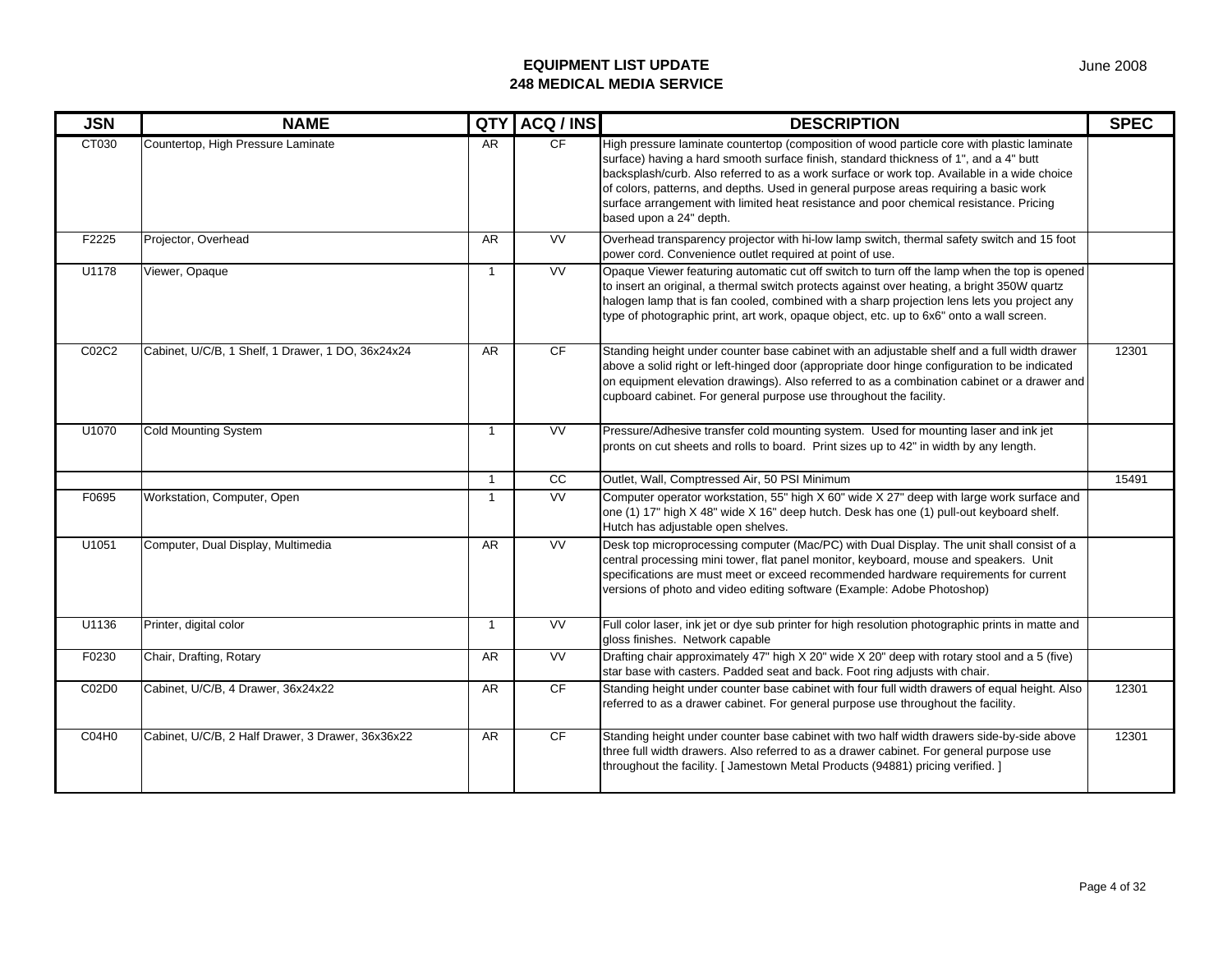| <b>JSN</b>        | <b>NAME</b>                                       | QTY          | ACQ / INS | <b>DESCRIPTION</b>                                                                                                                                                                                                                                                                                                                                                                                                                                                                               | <b>SPEC</b> |
|-------------------|---------------------------------------------------|--------------|-----------|--------------------------------------------------------------------------------------------------------------------------------------------------------------------------------------------------------------------------------------------------------------------------------------------------------------------------------------------------------------------------------------------------------------------------------------------------------------------------------------------------|-------------|
| CT030             | Countertop, High Pressure Laminate                | <b>AR</b>    | CF        | High pressure laminate countertop (composition of wood particle core with plastic laminate<br>surface) having a hard smooth surface finish, standard thickness of 1", and a 4" butt<br>backsplash/curb. Also referred to as a work surface or work top. Available in a wide choice<br>of colors, patterns, and depths. Used in general purpose areas requiring a basic work<br>surface arrangement with limited heat resistance and poor chemical resistance. Pricing<br>based upon a 24" depth. |             |
| F2225             | Projector, Overhead                               | AR           | W         | Overhead transparency projector with hi-low lamp switch, thermal safety switch and 15 foot<br>power cord. Convenience outlet required at point of use.                                                                                                                                                                                                                                                                                                                                           |             |
| U1178             | Viewer, Opaque                                    | $\mathbf{1}$ | VV        | Opaque Viewer featuring automatic cut off switch to turn off the lamp when the top is opened<br>to insert an original, a thermal switch protects against over heating, a bright 350W quartz<br>halogen lamp that is fan cooled, combined with a sharp projection lens lets you project any<br>type of photographic print, art work, opaque object, etc. up to 6x6" onto a wall screen.                                                                                                           |             |
| C02C2             | Cabinet, U/C/B, 1 Shelf, 1 Drawer, 1 DO, 36x24x24 | AR           | CF        | Standing height under counter base cabinet with an adjustable shelf and a full width drawer<br>above a solid right or left-hinged door (appropriate door hinge configuration to be indicated<br>on equipment elevation drawings). Also referred to as a combination cabinet or a drawer and<br>cupboard cabinet. For general purpose use throughout the facility.                                                                                                                                | 12301       |
| U1070             | <b>Cold Mounting System</b>                       | $\mathbf{1}$ | VV        | Pressure/Adhesive transfer cold mounting system. Used for mounting laser and ink jet<br>pronts on cut sheets and rolls to board. Print sizes up to 42" in width by any length.                                                                                                                                                                                                                                                                                                                   |             |
|                   |                                                   | $\mathbf{1}$ | cc        | Outlet, Wall, Comptressed Air, 50 PSI Minimum                                                                                                                                                                                                                                                                                                                                                                                                                                                    | 15491       |
| F0695             | Workstation, Computer, Open                       | $\mathbf{1}$ | <b>VV</b> | Computer operator workstation, 55" high X 60" wide X 27" deep with large work surface and<br>one (1) 17" high X 48" wide X 16" deep hutch. Desk has one (1) pull-out keyboard shelf.<br>Hutch has adjustable open shelves.                                                                                                                                                                                                                                                                       |             |
| U1051             | Computer, Dual Display, Multimedia                | AR           | <b>VV</b> | Desk top microprocessing computer (Mac/PC) with Dual Display. The unit shall consist of a<br>central processing mini tower, flat panel monitor, keyboard, mouse and speakers. Unit<br>specifications are must meet or exceed recommended hardware requirements for current<br>versions of photo and video editing software (Example: Adobe Photoshop)                                                                                                                                            |             |
| U1136             | Printer, digital color                            | $\mathbf{1}$ | VV        | Full color laser, ink jet or dye sub printer for high resolution photographic prints in matte and<br>gloss finishes. Network capable                                                                                                                                                                                                                                                                                                                                                             |             |
| F0230             | Chair, Drafting, Rotary                           | AR           | <b>VV</b> | Drafting chair approximately 47" high X 20" wide X 20" deep with rotary stool and a 5 (five)<br>star base with casters. Padded seat and back. Foot ring adjusts with chair.                                                                                                                                                                                                                                                                                                                      |             |
| C02D0             | Cabinet, U/C/B, 4 Drawer, 36x24x22                | AR           | CF        | Standing height under counter base cabinet with four full width drawers of equal height. Also<br>referred to as a drawer cabinet. For general purpose use throughout the facility.                                                                                                                                                                                                                                                                                                               | 12301       |
| CO <sub>4H0</sub> | Cabinet, U/C/B, 2 Half Drawer, 3 Drawer, 36x36x22 | AR           | CF        | Standing height under counter base cabinet with two half width drawers side-by-side above<br>three full width drawers. Also referred to as a drawer cabinet. For general purpose use<br>throughout the facility. [ Jamestown Metal Products (94881) pricing verified. ]                                                                                                                                                                                                                          | 12301       |

Page 4 of 32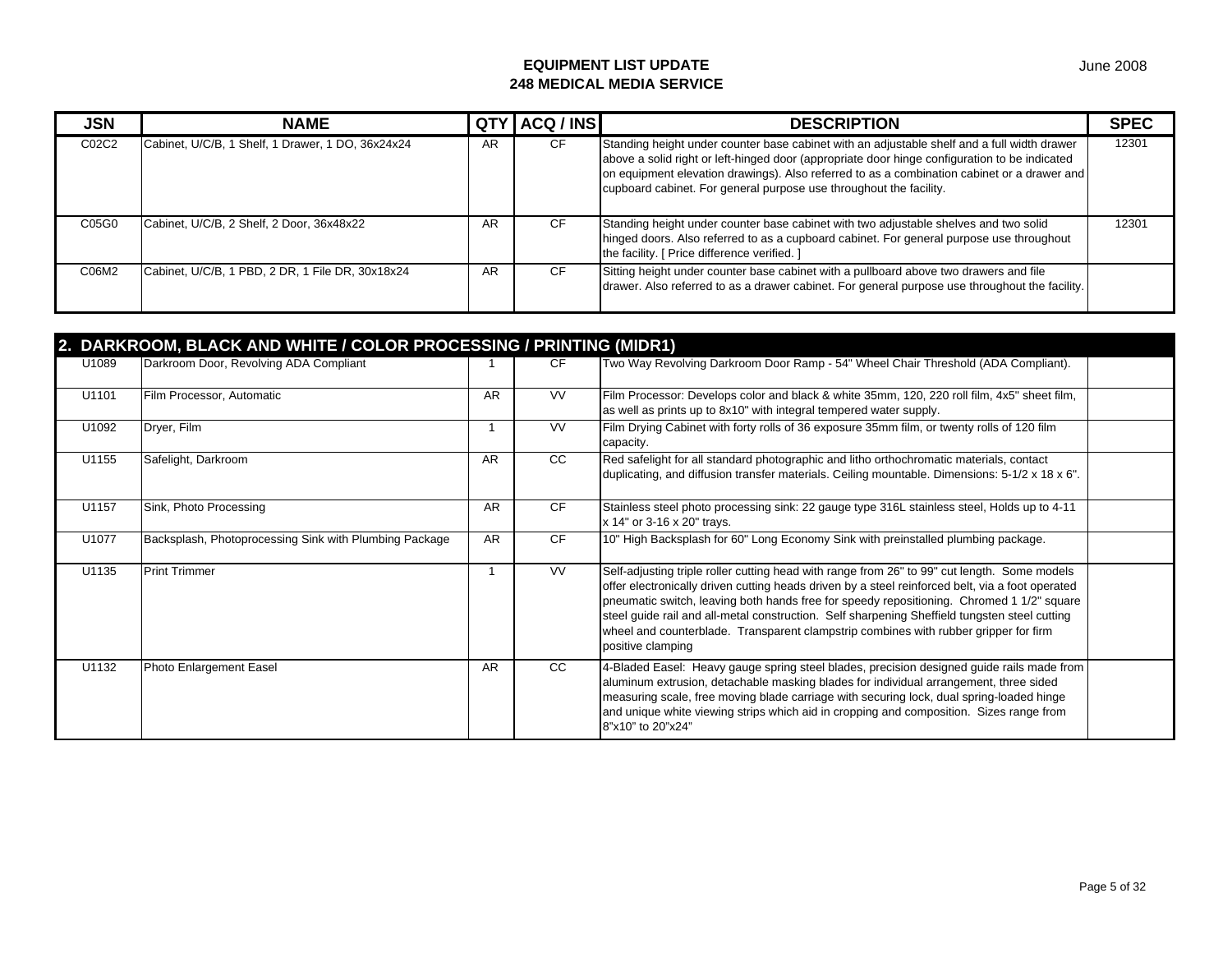| <b>JSN</b> | <b>NAME</b>                                       |    | QTY ACQ / INS | <b>DESCRIPTION</b>                                                                                                                                                                                                                                                                                                                                                | <b>SPEC</b> |
|------------|---------------------------------------------------|----|---------------|-------------------------------------------------------------------------------------------------------------------------------------------------------------------------------------------------------------------------------------------------------------------------------------------------------------------------------------------------------------------|-------------|
| C02C2      | Cabinet, U/C/B, 1 Shelf, 1 Drawer, 1 DO, 36x24x24 | AR | <b>CF</b>     | Standing height under counter base cabinet with an adjustable shelf and a full width drawer<br>above a solid right or left-hinged door (appropriate door hinge configuration to be indicated<br>on equipment elevation drawings). Also referred to as a combination cabinet or a drawer and<br>cupboard cabinet. For general purpose use throughout the facility. | 12301       |
| C05G0      | Cabinet, U/C/B, 2 Shelf, 2 Door, 36x48x22         | AR | CF            | Standing height under counter base cabinet with two adjustable shelves and two solid<br>hinged doors. Also referred to as a cupboard cabinet. For general purpose use throughout<br>the facility. [ Price difference verified. ]                                                                                                                                  | 12301       |
| C06M2      | Cabinet, U/C/B, 1 PBD, 2 DR, 1 File DR, 30x18x24  | AR | <b>CF</b>     | Sitting height under counter base cabinet with a pullboard above two drawers and file<br>drawer. Also referred to as a drawer cabinet. For general purpose use throughout the facility.                                                                                                                                                                           |             |

| 2. DARKROOM, BLACK AND WHITE / COLOR PROCESSING / PRINTING (MIDR1) |                                                        |           |               |                                                                                                                                                                                                                                                                                                                                                                                                                                                                                                             |  |  |  |
|--------------------------------------------------------------------|--------------------------------------------------------|-----------|---------------|-------------------------------------------------------------------------------------------------------------------------------------------------------------------------------------------------------------------------------------------------------------------------------------------------------------------------------------------------------------------------------------------------------------------------------------------------------------------------------------------------------------|--|--|--|
| U1089                                                              | Darkroom Door, Revolving ADA Compliant                 |           | CF            | Two Way Revolving Darkroom Door Ramp - 54" Wheel Chair Threshold (ADA Compliant).                                                                                                                                                                                                                                                                                                                                                                                                                           |  |  |  |
| U1101                                                              | Film Processor, Automatic                              | <b>AR</b> | VV            | Film Processor: Develops color and black & white 35mm, 120, 220 roll film, 4x5" sheet film,<br>as well as prints up to 8x10" with integral tempered water supply.                                                                                                                                                                                                                                                                                                                                           |  |  |  |
| U1092                                                              | Dryer, Film                                            |           | <b>VV</b>     | Film Drying Cabinet with forty rolls of 36 exposure 35mm film, or twenty rolls of 120 film<br>capacity.                                                                                                                                                                                                                                                                                                                                                                                                     |  |  |  |
| U1155                                                              | Safelight, Darkroom                                    | <b>AR</b> | <sub>CC</sub> | Red safelight for all standard photographic and litho orthochromatic materials, contact<br>duplicating, and diffusion transfer materials. Ceiling mountable. Dimensions: 5-1/2 x 18 x 6".                                                                                                                                                                                                                                                                                                                   |  |  |  |
| U1157                                                              | Sink, Photo Processing                                 | <b>AR</b> | <b>CF</b>     | Stainless steel photo processing sink: 22 gauge type 316L stainless steel, Holds up to 4-11<br>x 14" or 3-16 x 20" trays.                                                                                                                                                                                                                                                                                                                                                                                   |  |  |  |
| U1077                                                              | Backsplash, Photoprocessing Sink with Plumbing Package | <b>AR</b> | <b>CF</b>     | 10" High Backsplash for 60" Long Economy Sink with preinstalled plumbing package.                                                                                                                                                                                                                                                                                                                                                                                                                           |  |  |  |
| U1135                                                              | <b>Print Trimmer</b>                                   |           | <b>VV</b>     | Self-adjusting triple roller cutting head with range from 26" to 99" cut length. Some models<br>offer electronically driven cutting heads driven by a steel reinforced belt, via a foot operated<br>pneumatic switch, leaving both hands free for speedy repositioning. Chromed 1 1/2" square<br>steel guide rail and all-metal construction. Self sharpening Sheffield tungsten steel cutting<br>wheel and counterblade. Transparent clampstrip combines with rubber gripper for firm<br>positive clamping |  |  |  |
| U1132                                                              | Photo Enlargement Easel                                | <b>AR</b> | CC            | 4-Bladed Easel: Heavy gauge spring steel blades, precision designed guide rails made from<br>aluminum extrusion, detachable masking blades for individual arrangement, three sided<br>measuring scale, free moving blade carriage with securing lock, dual spring-loaded hinge<br>and unique white viewing strips which aid in cropping and composition. Sizes range from<br>8"x10" to 20"x24"                                                                                                              |  |  |  |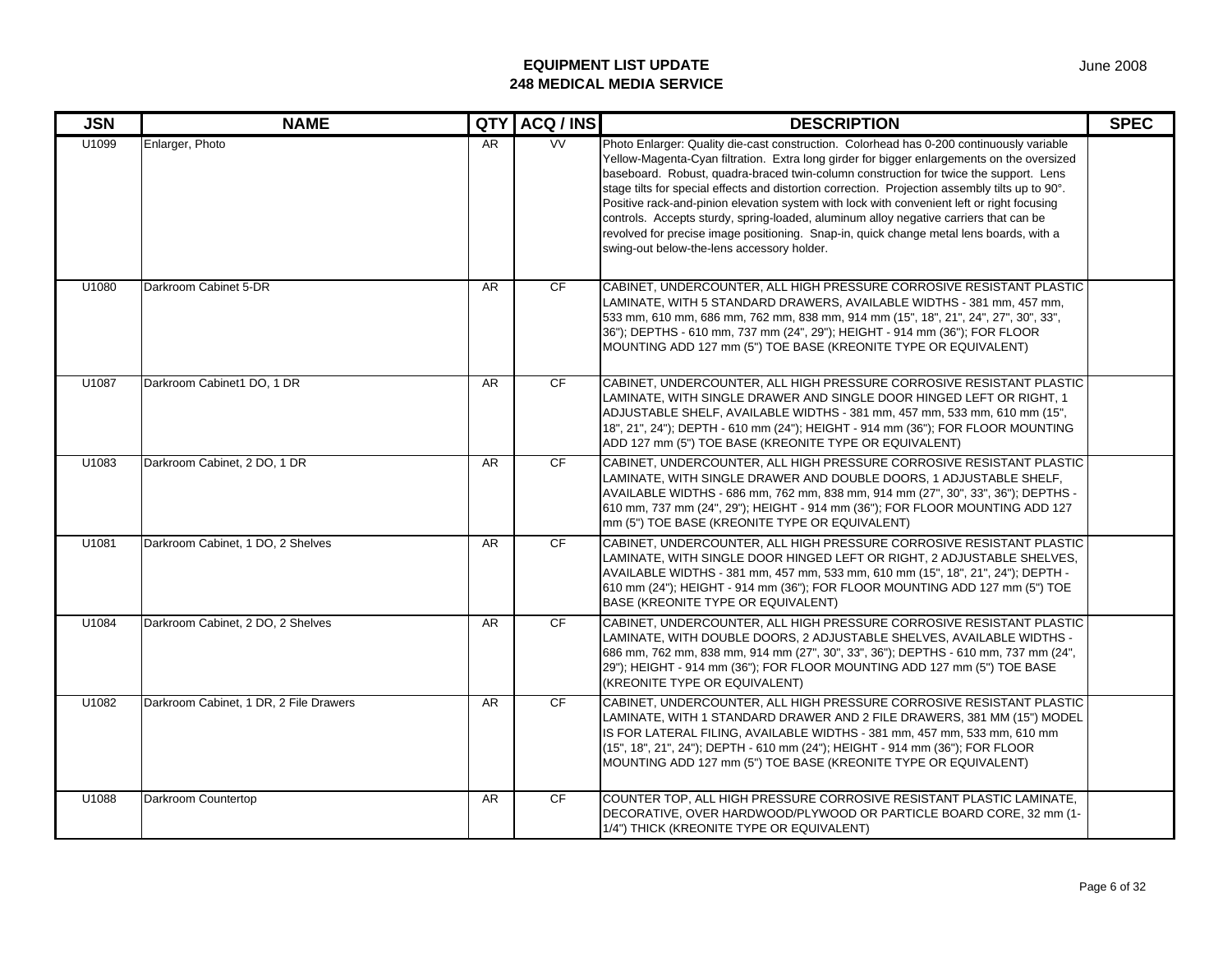| <b>JSN</b> | <b>NAME</b>                            | <b>QTY</b> | ACQ / INS | <b>DESCRIPTION</b>                                                                                                                                                                                                                                                                                                                                                                                                                                                                                                                                                                                                                                                                                                 | <b>SPEC</b> |
|------------|----------------------------------------|------------|-----------|--------------------------------------------------------------------------------------------------------------------------------------------------------------------------------------------------------------------------------------------------------------------------------------------------------------------------------------------------------------------------------------------------------------------------------------------------------------------------------------------------------------------------------------------------------------------------------------------------------------------------------------------------------------------------------------------------------------------|-------------|
| U1099      | Enlarger, Photo                        | AR         | <b>VV</b> | Photo Enlarger: Quality die-cast construction. Colorhead has 0-200 continuously variable<br>Yellow-Magenta-Cyan filtration. Extra long girder for bigger enlargements on the oversized<br>baseboard. Robust, quadra-braced twin-column construction for twice the support. Lens<br>stage tilts for special effects and distortion correction. Projection assembly tilts up to 90°.<br>Positive rack-and-pinion elevation system with lock with convenient left or right focusing<br>controls. Accepts sturdy, spring-loaded, aluminum alloy negative carriers that can be<br>revolved for precise image positioning. Snap-in, quick change metal lens boards, with a<br>swing-out below-the-lens accessory holder. |             |
| U1080      | Darkroom Cabinet 5-DR                  | <b>AR</b>  | <b>CF</b> | CABINET, UNDERCOUNTER, ALL HIGH PRESSURE CORROSIVE RESISTANT PLASTIC<br>LAMINATE, WITH 5 STANDARD DRAWERS, AVAILABLE WIDTHS - 381 mm, 457 mm,<br>533 mm, 610 mm, 686 mm, 762 mm, 838 mm, 914 mm (15", 18", 21", 24", 27", 30", 33",<br>36"); DEPTHS - 610 mm, 737 mm (24", 29"); HEIGHT - 914 mm (36"); FOR FLOOR<br>MOUNTING ADD 127 mm (5") TOE BASE (KREONITE TYPE OR EQUIVALENT)                                                                                                                                                                                                                                                                                                                               |             |
| U1087      | Darkroom Cabinet1 DO, 1 DR             | AR.        | <b>CF</b> | CABINET, UNDERCOUNTER, ALL HIGH PRESSURE CORROSIVE RESISTANT PLASTIC<br>LAMINATE, WITH SINGLE DRAWER AND SINGLE DOOR HINGED LEFT OR RIGHT, 1<br>ADJUSTABLE SHELF, AVAILABLE WIDTHS - 381 mm, 457 mm, 533 mm, 610 mm (15",<br>18", 21", 24"); DEPTH - 610 mm (24"); HEIGHT - 914 mm (36"); FOR FLOOR MOUNTING<br>ADD 127 mm (5") TOE BASE (KREONITE TYPE OR EQUIVALENT)                                                                                                                                                                                                                                                                                                                                             |             |
| U1083      | Darkroom Cabinet, 2 DO, 1 DR           | <b>AR</b>  | <b>CF</b> | CABINET, UNDERCOUNTER, ALL HIGH PRESSURE CORROSIVE RESISTANT PLASTIC<br>LAMINATE, WITH SINGLE DRAWER AND DOUBLE DOORS, 1 ADJUSTABLE SHELF,<br>AVAILABLE WIDTHS - 686 mm, 762 mm, 838 mm, 914 mm (27", 30", 33", 36"); DEPTHS -<br>610 mm, 737 mm (24", 29"); HEIGHT - 914 mm (36"); FOR FLOOR MOUNTING ADD 127<br>mm (5") TOE BASE (KREONITE TYPE OR EQUIVALENT)                                                                                                                                                                                                                                                                                                                                                   |             |
| U1081      | Darkroom Cabinet, 1 DO, 2 Shelves      | <b>AR</b>  | <b>CF</b> | CABINET, UNDERCOUNTER, ALL HIGH PRESSURE CORROSIVE RESISTANT PLASTIC<br>LAMINATE, WITH SINGLE DOOR HINGED LEFT OR RIGHT, 2 ADJUSTABLE SHELVES,<br>AVAILABLE WIDTHS - 381 mm, 457 mm, 533 mm, 610 mm (15", 18", 21", 24"); DEPTH -<br>610 mm (24"); HEIGHT - 914 mm (36"); FOR FLOOR MOUNTING ADD 127 mm (5") TOE<br>BASE (KREONITE TYPE OR EQUIVALENT)                                                                                                                                                                                                                                                                                                                                                             |             |
| U1084      | Darkroom Cabinet, 2 DO, 2 Shelves      | <b>AR</b>  | CF        | CABINET, UNDERCOUNTER, ALL HIGH PRESSURE CORROSIVE RESISTANT PLASTIC<br>LAMINATE, WITH DOUBLE DOORS, 2 ADJUSTABLE SHELVES, AVAILABLE WIDTHS -<br>686 mm, 762 mm, 838 mm, 914 mm (27", 30", 33", 36"); DEPTHS - 610 mm, 737 mm (24",<br>29"); HEIGHT - 914 mm (36"); FOR FLOOR MOUNTING ADD 127 mm (5") TOE BASE<br>(KREONITE TYPE OR EQUIVALENT)                                                                                                                                                                                                                                                                                                                                                                   |             |
| U1082      | Darkroom Cabinet, 1 DR, 2 File Drawers | <b>AR</b>  | <b>CF</b> | CABINET, UNDERCOUNTER, ALL HIGH PRESSURE CORROSIVE RESISTANT PLASTIC<br>LAMINATE, WITH 1 STANDARD DRAWER AND 2 FILE DRAWERS, 381 MM (15") MODEL<br>IS FOR LATERAL FILING, AVAILABLE WIDTHS - 381 mm, 457 mm, 533 mm, 610 mm<br>(15", 18", 21", 24"); DEPTH - 610 mm (24"); HEIGHT - 914 mm (36"); FOR FLOOR<br>MOUNTING ADD 127 mm (5") TOE BASE (KREONITE TYPE OR EQUIVALENT)                                                                                                                                                                                                                                                                                                                                     |             |
| U1088      | Darkroom Countertop                    | <b>AR</b>  | CF        | COUNTER TOP, ALL HIGH PRESSURE CORROSIVE RESISTANT PLASTIC LAMINATE,<br>DECORATIVE, OVER HARDWOOD/PLYWOOD OR PARTICLE BOARD CORE, 32 mm (1-<br>1/4") THICK (KREONITE TYPE OR EQUIVALENT)                                                                                                                                                                                                                                                                                                                                                                                                                                                                                                                           |             |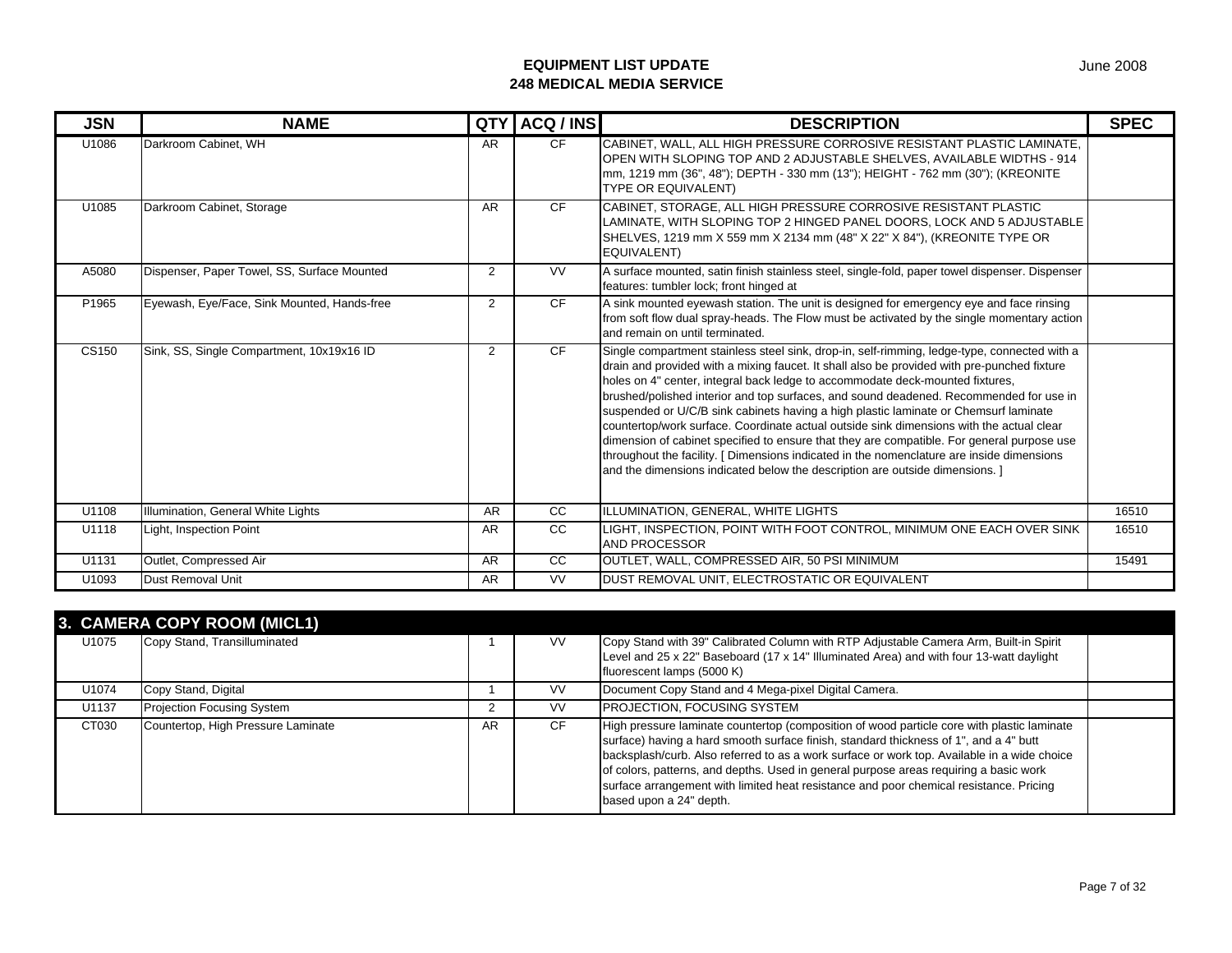| <b>JSN</b> | <b>NAME</b>                                 | <b>QTY</b>     | ACQ / INS     | <b>DESCRIPTION</b>                                                                                                                                                                                                                                                                                                                                                                                                                                                                                                                                                                                                                                                                                                                                                                                                                    | <b>SPEC</b> |
|------------|---------------------------------------------|----------------|---------------|---------------------------------------------------------------------------------------------------------------------------------------------------------------------------------------------------------------------------------------------------------------------------------------------------------------------------------------------------------------------------------------------------------------------------------------------------------------------------------------------------------------------------------------------------------------------------------------------------------------------------------------------------------------------------------------------------------------------------------------------------------------------------------------------------------------------------------------|-------------|
| U1086      | Darkroom Cabinet, WH                        | AR.            | CF.           | CABINET. WALL, ALL HIGH PRESSURE CORROSIVE RESISTANT PLASTIC LAMINATE.<br>OPEN WITH SLOPING TOP AND 2 ADJUSTABLE SHELVES, AVAILABLE WIDTHS - 914<br>mm, 1219 mm (36", 48"); DEPTH - 330 mm (13"); HEIGHT - 762 mm (30"); (KREONITE<br><b>TYPE OR EQUIVALENT)</b>                                                                                                                                                                                                                                                                                                                                                                                                                                                                                                                                                                      |             |
| U1085      | Darkroom Cabinet, Storage                   | <b>AR</b>      | <b>CF</b>     | CABINET, STORAGE, ALL HIGH PRESSURE CORROSIVE RESISTANT PLASTIC<br>LAMINATE, WITH SLOPING TOP 2 HINGED PANEL DOORS, LOCK AND 5 ADJUSTABLE<br>SHELVES, 1219 mm X 559 mm X 2134 mm (48" X 22" X 84"), (KREONITE TYPE OR<br>EQUIVALENT)                                                                                                                                                                                                                                                                                                                                                                                                                                                                                                                                                                                                  |             |
| A5080      | Dispenser, Paper Towel, SS, Surface Mounted | 2              | <b>VV</b>     | A surface mounted, satin finish stainless steel, single-fold, paper towel dispenser. Dispenser<br>features: tumbler lock; front hinged at                                                                                                                                                                                                                                                                                                                                                                                                                                                                                                                                                                                                                                                                                             |             |
| P1965      | Eyewash, Eye/Face, Sink Mounted, Hands-free | $\overline{2}$ | <b>CF</b>     | A sink mounted eyewash station. The unit is designed for emergency eye and face rinsing<br>from soft flow dual spray-heads. The Flow must be activated by the single momentary action<br>and remain on until terminated.                                                                                                                                                                                                                                                                                                                                                                                                                                                                                                                                                                                                              |             |
| CS150      | Sink, SS, Single Compartment, 10x19x16 ID   | $\overline{2}$ | <b>CF</b>     | Single compartment stainless steel sink, drop-in, self-rimming, ledge-type, connected with a<br>drain and provided with a mixing faucet. It shall also be provided with pre-punched fixture<br>holes on 4" center, integral back ledge to accommodate deck-mounted fixtures,<br>brushed/polished interior and top surfaces, and sound deadened. Recommended for use in<br>suspended or U/C/B sink cabinets having a high plastic laminate or Chemsurf laminate<br>countertop/work surface. Coordinate actual outside sink dimensions with the actual clear<br>dimension of cabinet specified to ensure that they are compatible. For general purpose use<br>throughout the facility. [ Dimensions indicated in the nomenclature are inside dimensions<br>and the dimensions indicated below the description are outside dimensions. I |             |
| U1108      | Illumination, General White Lights          | <b>AR</b>      | cc            | ILLUMINATION, GENERAL, WHITE LIGHTS                                                                                                                                                                                                                                                                                                                                                                                                                                                                                                                                                                                                                                                                                                                                                                                                   | 16510       |
| U1118      | Light, Inspection Point                     | <b>AR</b>      | <sub>CC</sub> | LIGHT, INSPECTION, POINT WITH FOOT CONTROL, MINIMUM ONE EACH OVER SINK<br><b>AND PROCESSOR</b>                                                                                                                                                                                                                                                                                                                                                                                                                                                                                                                                                                                                                                                                                                                                        | 16510       |
| U1131      | Outlet, Compressed Air                      | <b>AR</b>      | <sub>CC</sub> | OUTLET. WALL, COMPRESSED AIR, 50 PSI MINIMUM                                                                                                                                                                                                                                                                                                                                                                                                                                                                                                                                                                                                                                                                                                                                                                                          | 15491       |
| U1093      | Dust Removal Unit                           | AR             | <b>VV</b>     | DUST REMOVAL UNIT. ELECTROSTATIC OR EQUIVALENT                                                                                                                                                                                                                                                                                                                                                                                                                                                                                                                                                                                                                                                                                                                                                                                        |             |

|       | 3. CAMERA COPY ROOM (MICL1)        |    |           |                                                                                                                                                                                                                                                                                                                                                                                                                                                                                                  |  |
|-------|------------------------------------|----|-----------|--------------------------------------------------------------------------------------------------------------------------------------------------------------------------------------------------------------------------------------------------------------------------------------------------------------------------------------------------------------------------------------------------------------------------------------------------------------------------------------------------|--|
| U1075 | Copy Stand, Transilluminated       |    | <b>VV</b> | Copy Stand with 39" Calibrated Column with RTP Adjustable Camera Arm, Built-in Spirit<br>Level and 25 x 22" Baseboard (17 x 14" Illuminated Area) and with four 13-watt daylight<br>fluorescent lamps (5000 K)                                                                                                                                                                                                                                                                                   |  |
| U1074 | Copy Stand, Digital                |    | <b>VV</b> | Document Copy Stand and 4 Mega-pixel Digital Camera.                                                                                                                                                                                                                                                                                                                                                                                                                                             |  |
| U1137 | <b>Projection Focusing System</b>  |    | <b>VV</b> | <b>PROJECTION, FOCUSING SYSTEM</b>                                                                                                                                                                                                                                                                                                                                                                                                                                                               |  |
| CT030 | Countertop, High Pressure Laminate | AR | <b>CF</b> | High pressure laminate countertop (composition of wood particle core with plastic laminate<br>surface) having a hard smooth surface finish, standard thickness of 1", and a 4" butt<br>backsplash/curb. Also referred to as a work surface or work top. Available in a wide choice<br>of colors, patterns, and depths. Used in general purpose areas requiring a basic work<br>surface arrangement with limited heat resistance and poor chemical resistance. Pricing<br>based upon a 24" depth. |  |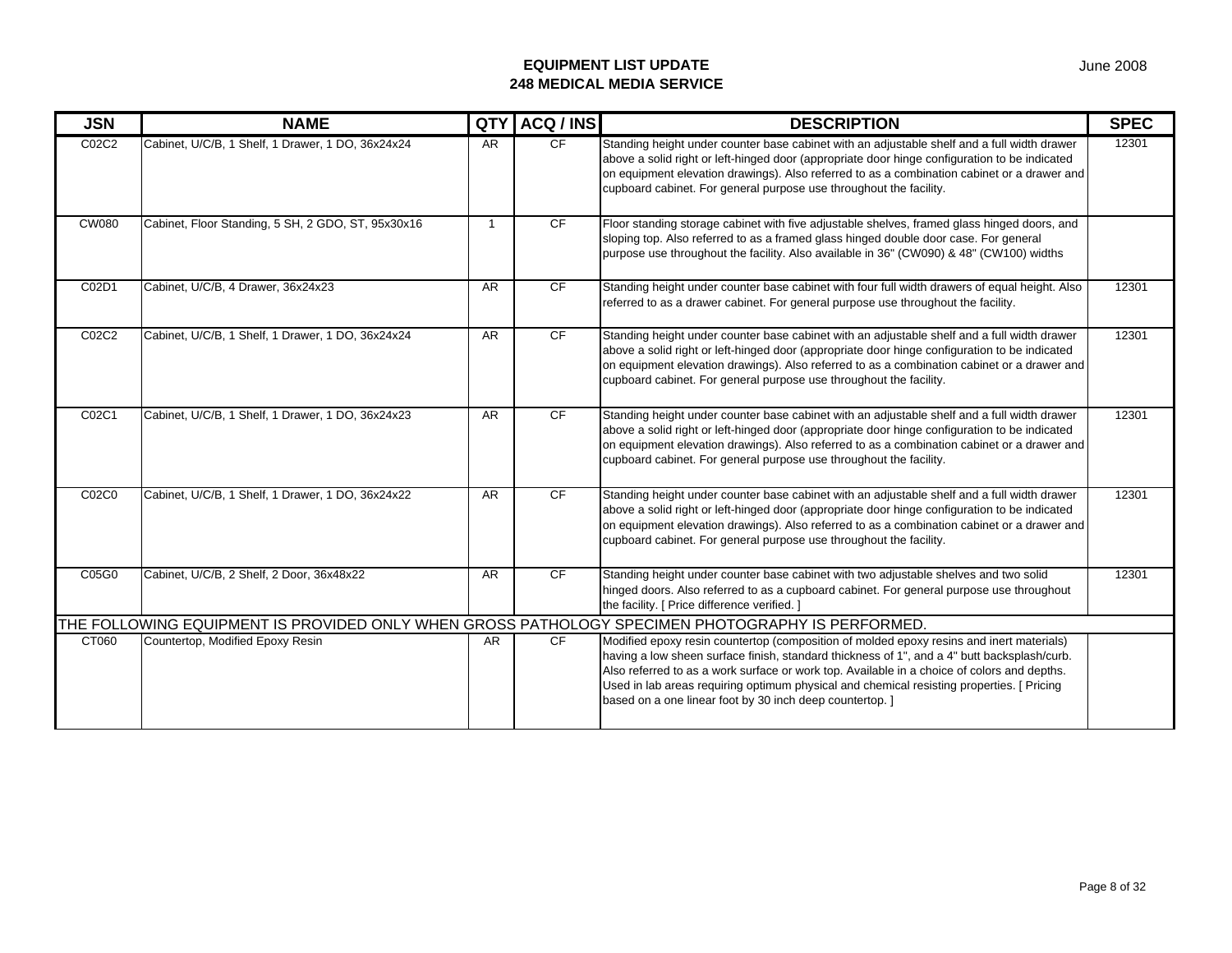| <b>JSN</b>   | <b>NAME</b>                                                                                      | QTY            | ACQ / INS | <b>DESCRIPTION</b>                                                                                                                                                                                                                                                                                                                                                                                                                              | <b>SPEC</b> |
|--------------|--------------------------------------------------------------------------------------------------|----------------|-----------|-------------------------------------------------------------------------------------------------------------------------------------------------------------------------------------------------------------------------------------------------------------------------------------------------------------------------------------------------------------------------------------------------------------------------------------------------|-------------|
| C02C2        | Cabinet, U/C/B, 1 Shelf, 1 Drawer, 1 DO, 36x24x24                                                | <b>AR</b>      | CF        | Standing height under counter base cabinet with an adjustable shelf and a full width drawer<br>above a solid right or left-hinged door (appropriate door hinge configuration to be indicated<br>on equipment elevation drawings). Also referred to as a combination cabinet or a drawer and<br>cupboard cabinet. For general purpose use throughout the facility.                                                                               | 12301       |
| <b>CW080</b> | Cabinet, Floor Standing, 5 SH, 2 GDO, ST, 95x30x16                                               | $\overline{1}$ | CF        | Floor standing storage cabinet with five adjustable shelves, framed glass hinged doors, and<br>sloping top. Also referred to as a framed glass hinged double door case. For general<br>purpose use throughout the facility. Also available in 36" (CW090) & 48" (CW100) widths                                                                                                                                                                  |             |
| C02D1        | Cabinet, U/C/B, 4 Drawer, 36x24x23                                                               | <b>AR</b>      | <b>CF</b> | Standing height under counter base cabinet with four full width drawers of equal height. Also<br>referred to as a drawer cabinet. For general purpose use throughout the facility.                                                                                                                                                                                                                                                              | 12301       |
| C02C2        | Cabinet, U/C/B, 1 Shelf, 1 Drawer, 1 DO, 36x24x24                                                | <b>AR</b>      | CF        | Standing height under counter base cabinet with an adjustable shelf and a full width drawer<br>above a solid right or left-hinged door (appropriate door hinge configuration to be indicated<br>on equipment elevation drawings). Also referred to as a combination cabinet or a drawer and<br>cupboard cabinet. For general purpose use throughout the facility.                                                                               | 12301       |
| C02C1        | Cabinet, U/C/B, 1 Shelf, 1 Drawer, 1 DO, 36x24x23                                                | <b>AR</b>      | <b>CF</b> | Standing height under counter base cabinet with an adjustable shelf and a full width drawer<br>above a solid right or left-hinged door (appropriate door hinge configuration to be indicated<br>on equipment elevation drawings). Also referred to as a combination cabinet or a drawer and<br>cupboard cabinet. For general purpose use throughout the facility.                                                                               | 12301       |
| C02C0        | Cabinet, U/C/B, 1 Shelf, 1 Drawer, 1 DO, 36x24x22                                                | <b>AR</b>      | CF        | Standing height under counter base cabinet with an adjustable shelf and a full width drawer<br>above a solid right or left-hinged door (appropriate door hinge configuration to be indicated<br>on equipment elevation drawings). Also referred to as a combination cabinet or a drawer and<br>cupboard cabinet. For general purpose use throughout the facility.                                                                               | 12301       |
| C05G0        | Cabinet, U/C/B, 2 Shelf, 2 Door, 36x48x22                                                        | <b>AR</b>      | <b>CF</b> | Standing height under counter base cabinet with two adjustable shelves and two solid<br>hinged doors. Also referred to as a cupboard cabinet. For general purpose use throughout<br>the facility. [ Price difference verified. ]                                                                                                                                                                                                                | 12301       |
|              | THE FOLLOWING EQUIPMENT IS PROVIDED ONLY WHEN GROSS PATHOLOGY SPECIMEN PHOTOGRAPHY IS PERFORMED. |                |           |                                                                                                                                                                                                                                                                                                                                                                                                                                                 |             |
| CT060        | Countertop, Modified Epoxy Resin                                                                 | <b>AR</b>      | <b>CF</b> | Modified epoxy resin countertop (composition of molded epoxy resins and inert materials)<br>having a low sheen surface finish, standard thickness of 1", and a 4" butt backsplash/curb.<br>Also referred to as a work surface or work top. Available in a choice of colors and depths.<br>Used in lab areas requiring optimum physical and chemical resisting properties. [ Pricing<br>based on a one linear foot by 30 inch deep countertop. ] |             |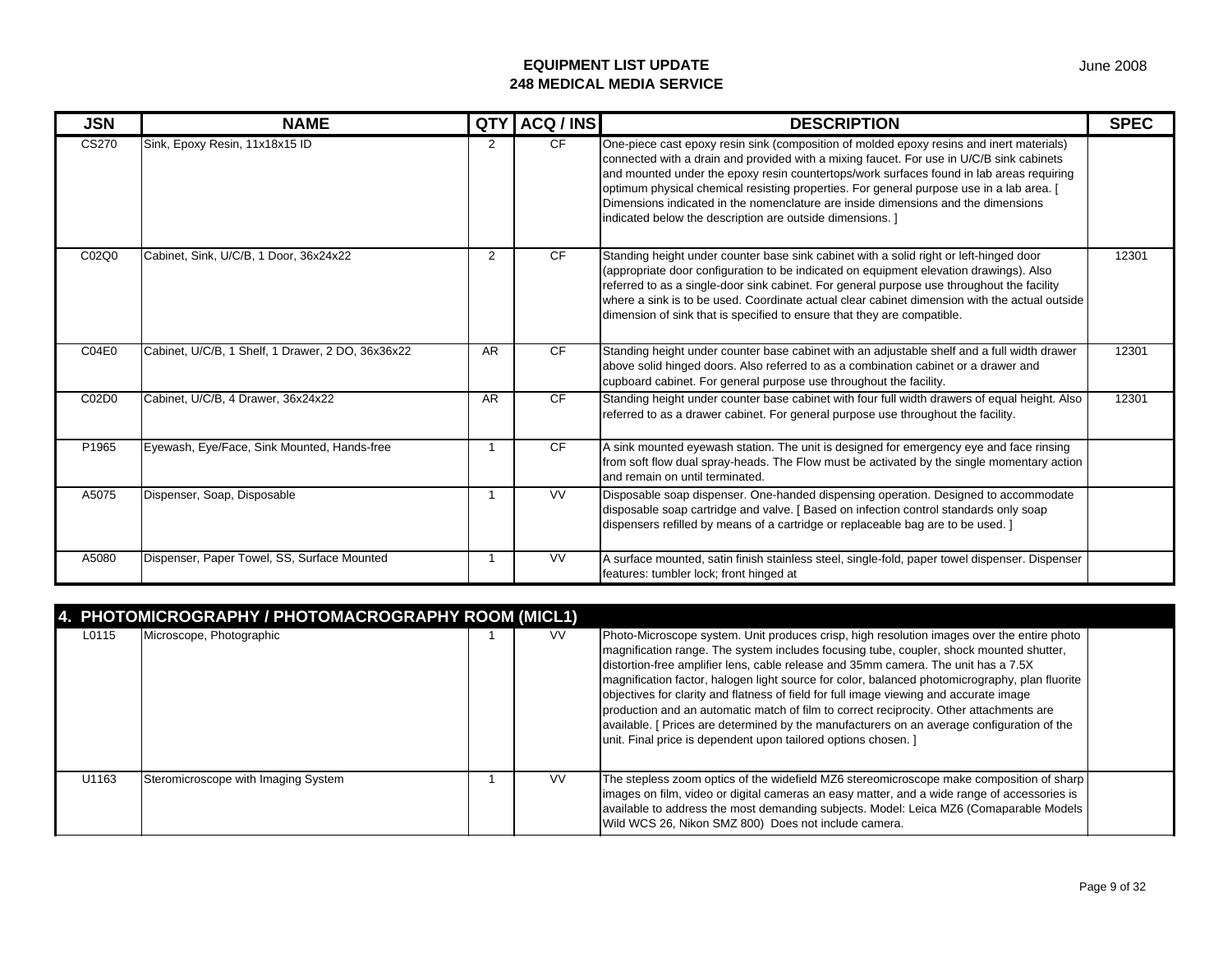| <b>JSN</b> | <b>NAME</b>                                       | <b>QTY</b> | ACQ / INS              | <b>DESCRIPTION</b>                                                                                                                                                                                                                                                                                                                                                                                                                                                                                                             | <b>SPEC</b> |
|------------|---------------------------------------------------|------------|------------------------|--------------------------------------------------------------------------------------------------------------------------------------------------------------------------------------------------------------------------------------------------------------------------------------------------------------------------------------------------------------------------------------------------------------------------------------------------------------------------------------------------------------------------------|-------------|
| CS270      | Sink, Epoxy Resin, 11x18x15 ID                    | 2          | CF.                    | One-piece cast epoxy resin sink (composition of molded epoxy resins and inert materials)<br>connected with a drain and provided with a mixing faucet. For use in U/C/B sink cabinets<br>and mounted under the epoxy resin countertops/work surfaces found in lab areas requiring<br>optimum physical chemical resisting properties. For general purpose use in a lab area. [<br>Dimensions indicated in the nomenclature are inside dimensions and the dimensions<br>indicated below the description are outside dimensions. 1 |             |
| C02Q0      | Cabinet, Sink, U/C/B, 1 Door, 36x24x22            | 2          | CF                     | Standing height under counter base sink cabinet with a solid right or left-hinged door<br>(appropriate door configuration to be indicated on equipment elevation drawings). Also<br>referred to as a single-door sink cabinet. For general purpose use throughout the facility<br>where a sink is to be used. Coordinate actual clear cabinet dimension with the actual outside<br>dimension of sink that is specified to ensure that they are compatible.                                                                     | 12301       |
| C04E0      | Cabinet, U/C/B, 1 Shelf, 1 Drawer, 2 DO, 36x36x22 | <b>AR</b>  | <b>CF</b>              | Standing height under counter base cabinet with an adjustable shelf and a full width drawer<br>above solid hinged doors. Also referred to as a combination cabinet or a drawer and<br>cupboard cabinet. For general purpose use throughout the facility.                                                                                                                                                                                                                                                                       | 12301       |
| C02D0      | Cabinet. U/C/B. 4 Drawer. 36x24x22                | <b>AR</b>  | CF                     | Standing height under counter base cabinet with four full width drawers of equal height. Also<br>referred to as a drawer cabinet. For general purpose use throughout the facility.                                                                                                                                                                                                                                                                                                                                             | 12301       |
| P1965      | Eyewash, Eye/Face, Sink Mounted, Hands-free       |            | <b>CF</b>              | A sink mounted eyewash station. The unit is designed for emergency eye and face rinsing<br>from soft flow dual spray-heads. The Flow must be activated by the single momentary action<br>and remain on until terminated.                                                                                                                                                                                                                                                                                                       |             |
| A5075      | Dispenser, Soap, Disposable                       |            | $\overline{\text{VV}}$ | Disposable soap dispenser. One-handed dispensing operation. Designed to accommodate<br>disposable soap cartridge and valve. [Based on infection control standards only soap<br>dispensers refilled by means of a cartridge or replaceable bag are to be used. ]                                                                                                                                                                                                                                                                |             |
| A5080      | Dispenser, Paper Towel, SS, Surface Mounted       |            | <b>VV</b>              | A surface mounted, satin finish stainless steel, single-fold, paper towel dispenser. Dispenser<br>features: tumbler lock; front hinged at                                                                                                                                                                                                                                                                                                                                                                                      |             |

|       | 4. PHOTOMICROGRAPHY / PHOTOMACROGRAPHY ROOM (MICL1) |           |                                                                                                                                                                                                                                                                                                                                                                                                                                                                                                                                                                                                                                                                                                                                    |  |
|-------|-----------------------------------------------------|-----------|------------------------------------------------------------------------------------------------------------------------------------------------------------------------------------------------------------------------------------------------------------------------------------------------------------------------------------------------------------------------------------------------------------------------------------------------------------------------------------------------------------------------------------------------------------------------------------------------------------------------------------------------------------------------------------------------------------------------------------|--|
| L0115 | Microscope, Photographic                            | VV.       | Photo-Microscope system. Unit produces crisp, high resolution images over the entire photo<br>magnification range. The system includes focusing tube, coupler, shock mounted shutter,<br>distortion-free amplifier lens, cable release and 35mm camera. The unit has a 7.5X<br>magnification factor, halogen light source for color, balanced photomicrography, plan fluorite<br>objectives for clarity and flatness of field for full image viewing and accurate image<br>production and an automatic match of film to correct reciprocity. Other attachments are<br>available. [ Prices are determined by the manufacturers on an average configuration of the<br>unit. Final price is dependent upon tailored options chosen. ] |  |
| U1163 | Steromicroscope with Imaging System                 | <b>VV</b> | The stepless zoom optics of the widefield MZ6 stereomicroscope make composition of sharp<br>images on film, video or digital cameras an easy matter, and a wide range of accessories is<br>available to address the most demanding subjects. Model: Leica MZ6 (Comaparable Models<br>Wild WCS 26, Nikon SMZ 800) Does not include camera.                                                                                                                                                                                                                                                                                                                                                                                          |  |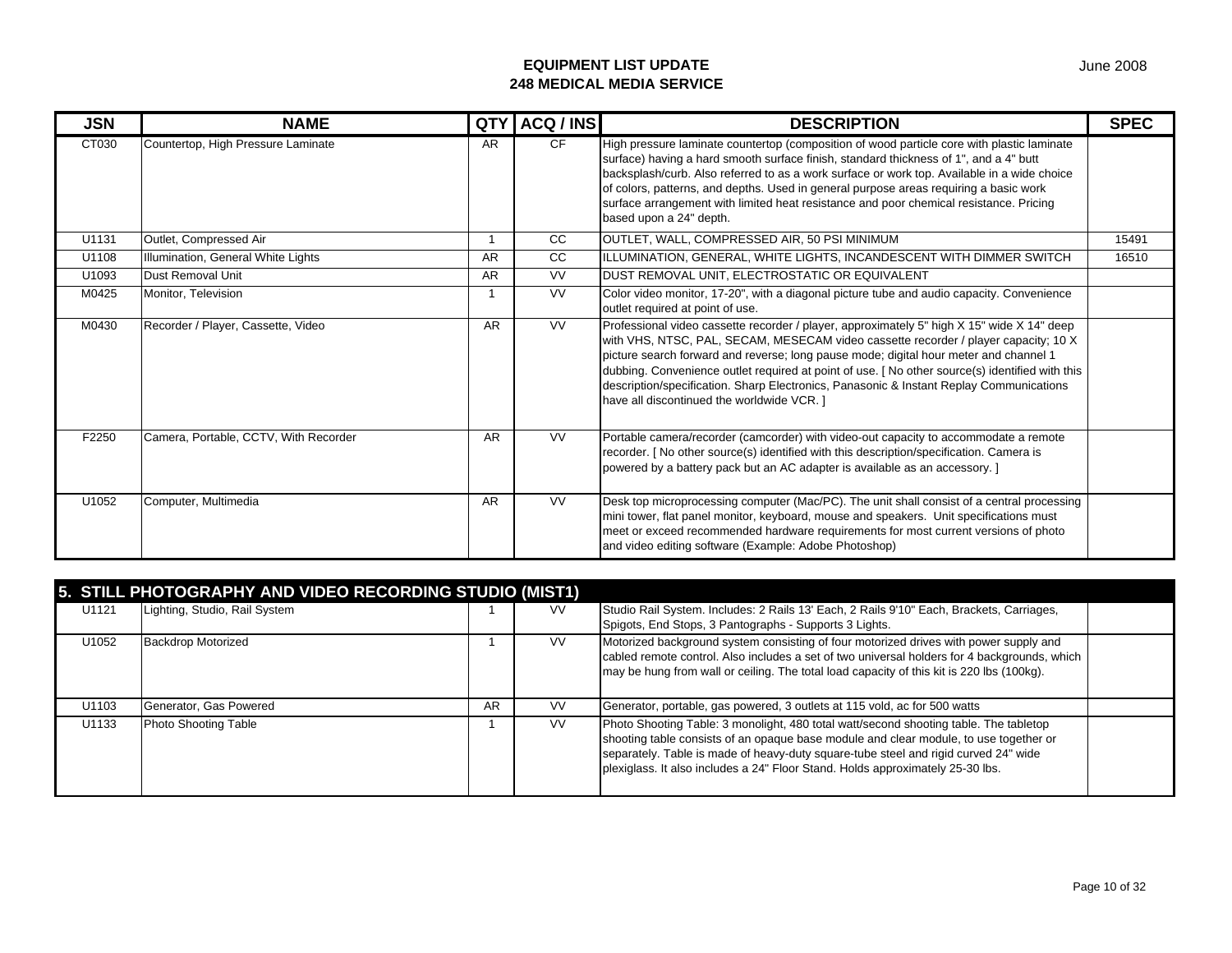| <b>JSN</b> | <b>NAME</b>                        | <b>QTY</b> | ACQ / INS | <b>DESCRIPTION</b>                                                                                                                                                                                                                                                                                                                                                                                                                                                                               | <b>SPEC</b> |
|------------|------------------------------------|------------|-----------|--------------------------------------------------------------------------------------------------------------------------------------------------------------------------------------------------------------------------------------------------------------------------------------------------------------------------------------------------------------------------------------------------------------------------------------------------------------------------------------------------|-------------|
| CT030      | Countertop, High Pressure Laminate | AR         | CF.       | High pressure laminate countertop (composition of wood particle core with plastic laminate<br>surface) having a hard smooth surface finish, standard thickness of 1", and a 4" butt<br>backsplash/curb. Also referred to as a work surface or work top. Available in a wide choice<br>of colors, patterns, and depths. Used in general purpose areas requiring a basic work<br>surface arrangement with limited heat resistance and poor chemical resistance. Pricing<br>based upon a 24" depth. |             |
| U1131      | Outlet, Compressed Air             |            | CC        | OUTLET, WALL, COMPRESSED AIR, 50 PSI MINIMUM                                                                                                                                                                                                                                                                                                                                                                                                                                                     | 15491       |
| U1108      | Illumination, General White Lights | AR         | CC.       | IILLUMINATION, GENERAL, WHITE LIGHTS, INCANDESCENT WITH DIMMER SWITCH                                                                                                                                                                                                                                                                                                                                                                                                                            | 16510       |
| U1093      | Dust Removal Unit                  | AR         | VV.       | DUST REMOVAL UNIT, ELECTROSTATIC OR EQUIVALENT                                                                                                                                                                                                                                                                                                                                                                                                                                                   |             |
| M0425      | Monitor, Television                |            | VV.       | Color video monitor, 17-20", with a diagonal picture tube and audio capacity. Convenience<br>outlet required at point of use.                                                                                                                                                                                                                                                                                                                                                                    |             |
| M0430      | Recorder / Player, Cassette, Video | AR         | VV.       | Professional video cassette recorder / player, approximately 5" high X 15" wide X 14" deep                                                                                                                                                                                                                                                                                                                                                                                                       |             |

| U1108 | Illumination, General White Lights    | AR        | CC        | IILLUMINATION, GENERAL, WHITE LIGHTS, INCANDESCENT WITH DIMMER SWITCH                                                                                                                                                                                                                                                                                                                                                                                                                                                 | 16510 |
|-------|---------------------------------------|-----------|-----------|-----------------------------------------------------------------------------------------------------------------------------------------------------------------------------------------------------------------------------------------------------------------------------------------------------------------------------------------------------------------------------------------------------------------------------------------------------------------------------------------------------------------------|-------|
| U1093 | Dust Removal Unit                     | <b>AR</b> | <b>VV</b> | DUST REMOVAL UNIT, ELECTROSTATIC OR EQUIVALENT                                                                                                                                                                                                                                                                                                                                                                                                                                                                        |       |
| M0425 | Monitor, Television                   |           | <b>VV</b> | Color video monitor, 17-20", with a diagonal picture tube and audio capacity. Convenience<br>outlet required at point of use.                                                                                                                                                                                                                                                                                                                                                                                         |       |
| M0430 | Recorder / Player, Cassette, Video    | <b>AR</b> | <b>VV</b> | Professional video cassette recorder / player, approximately 5" high X 15" wide X 14" deep<br>with VHS, NTSC, PAL, SECAM, MESECAM video cassette recorder / player capacity; 10 X<br>picture search forward and reverse; long pause mode; digital hour meter and channel 1<br>dubbing. Convenience outlet required at point of use. [No other source(s) identified with this<br>description/specification. Sharp Electronics, Panasonic & Instant Replay Communications<br>have all discontinued the worldwide VCR. 1 |       |
| F2250 | Camera, Portable, CCTV, With Recorder | <b>AR</b> | <b>VV</b> | Portable camera/recorder (camcorder) with video-out capacity to accommodate a remote<br>recorder. [No other source(s) identified with this description/specification. Camera is<br>powered by a battery pack but an AC adapter is available as an accessory. ]                                                                                                                                                                                                                                                        |       |
| U1052 | Computer, Multimedia                  | AR        | <b>VV</b> | Desk top microprocessing computer (Mac/PC). The unit shall consist of a central processing<br>mini tower, flat panel monitor, keyboard, mouse and speakers. Unit specifications must<br>meet or exceed recommended hardware requirements for most current versions of photo<br>and video editing software (Example: Adobe Photoshop)                                                                                                                                                                                  |       |

| 5. STILL PHOTOGRAPHY AND VIDEO RECORDING STUDIO (MIST1) |                               |    |           |                                                                                              |  |  |  |  |
|---------------------------------------------------------|-------------------------------|----|-----------|----------------------------------------------------------------------------------------------|--|--|--|--|
| U1121                                                   | Lighting, Studio, Rail System |    | <b>VV</b> | Studio Rail System. Includes: 2 Rails 13' Each, 2 Rails 9'10" Each, Brackets, Carriages,     |  |  |  |  |
|                                                         |                               |    |           | Spigots, End Stops, 3 Pantographs - Supports 3 Lights.                                       |  |  |  |  |
| U1052                                                   | <b>Backdrop Motorized</b>     |    | <b>VV</b> | Motorized background system consisting of four motorized drives with power supply and        |  |  |  |  |
|                                                         |                               |    |           | cabled remote control. Also includes a set of two universal holders for 4 backgrounds, which |  |  |  |  |
|                                                         |                               |    |           | may be hung from wall or ceiling. The total load capacity of this kit is 220 lbs (100kg).    |  |  |  |  |
|                                                         |                               |    |           |                                                                                              |  |  |  |  |
| U1103                                                   | Generator, Gas Powered        | AR | <b>VV</b> | Generator, portable, gas powered, 3 outlets at 115 vold, ac for 500 watts                    |  |  |  |  |
| U1133                                                   | <b>Photo Shooting Table</b>   |    | <b>VV</b> | Photo Shooting Table: 3 monolight, 480 total watt/second shooting table. The tabletop        |  |  |  |  |
|                                                         |                               |    |           | shooting table consists of an opaque base module and clear module, to use together or        |  |  |  |  |
|                                                         |                               |    |           | separately. Table is made of heavy-duty square-tube steel and rigid curved 24" wide          |  |  |  |  |
|                                                         |                               |    |           | plexiglass. It also includes a 24" Floor Stand. Holds approximately 25-30 lbs.               |  |  |  |  |
|                                                         |                               |    |           |                                                                                              |  |  |  |  |

Page 10 of 32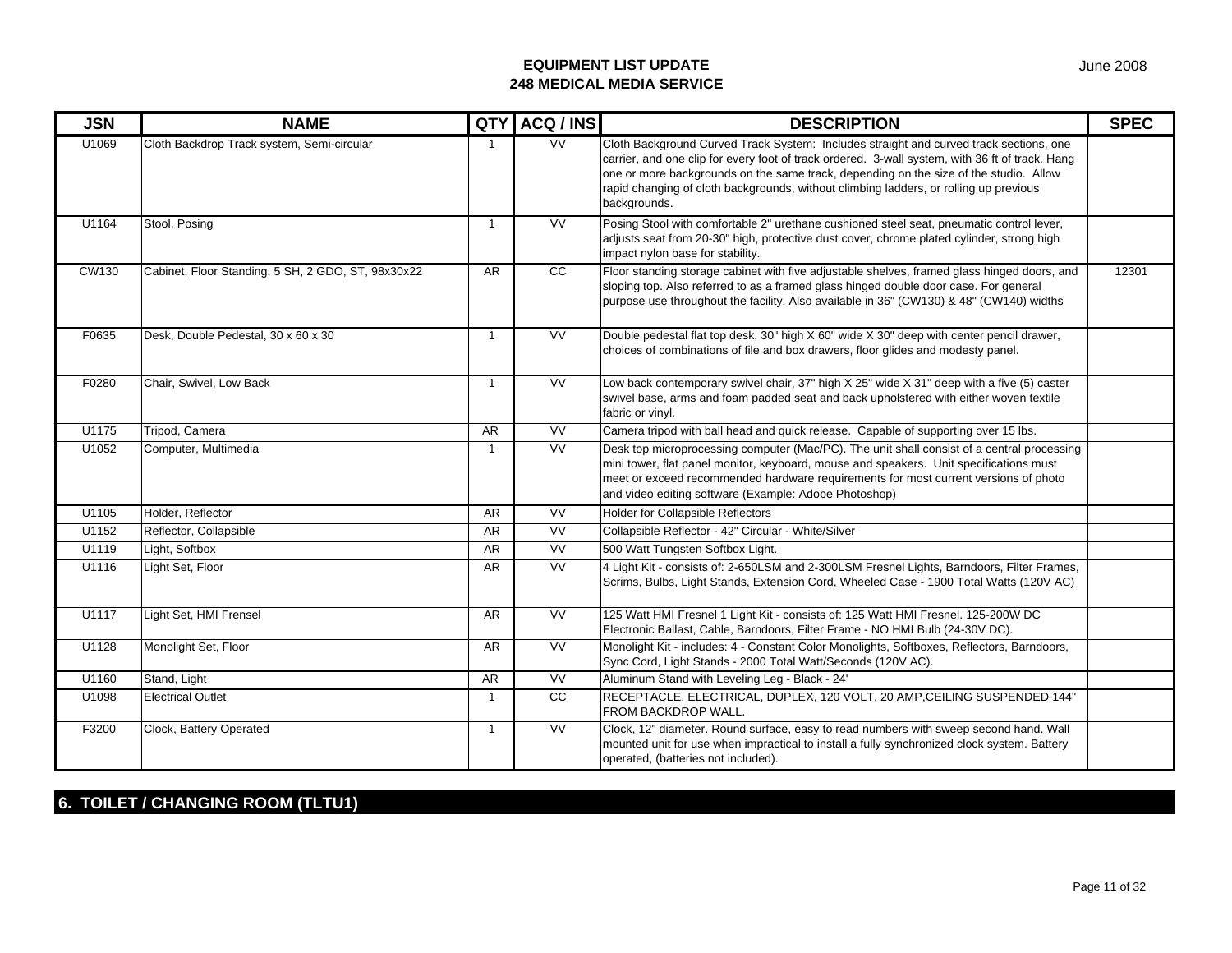| <b>JSN</b>   | <b>NAME</b>                                        |                | QTY ACQ / INS            | <b>DESCRIPTION</b>                                                                                                                                                                                                                                                                                                                                                                          | <b>SPEC</b> |
|--------------|----------------------------------------------------|----------------|--------------------------|---------------------------------------------------------------------------------------------------------------------------------------------------------------------------------------------------------------------------------------------------------------------------------------------------------------------------------------------------------------------------------------------|-------------|
| U1069        | Cloth Backdrop Track system, Semi-circular         |                | <b>VV</b>                | Cloth Background Curved Track System: Includes straight and curved track sections, one<br>carrier, and one clip for every foot of track ordered. 3-wall system, with 36 ft of track. Hang<br>one or more backgrounds on the same track, depending on the size of the studio. Allow<br>rapid changing of cloth backgrounds, without climbing ladders, or rolling up previous<br>backgrounds. |             |
| U1164        | Stool, Posing                                      | $\overline{1}$ | W                        | Posing Stool with comfortable 2" urethane cushioned steel seat, pneumatic control lever,<br>adjusts seat from 20-30" high, protective dust cover, chrome plated cylinder, strong high<br>impact nylon base for stability.                                                                                                                                                                   |             |
| <b>CW130</b> | Cabinet, Floor Standing, 5 SH, 2 GDO, ST, 98x30x22 | AR             | cc                       | Floor standing storage cabinet with five adjustable shelves, framed glass hinged doors, and<br>sloping top. Also referred to as a framed glass hinged double door case. For general<br>purpose use throughout the facility. Also available in 36" (CW130) & 48" (CW140) widths                                                                                                              | 12301       |
| F0635        | Desk, Double Pedestal, 30 x 60 x 30                | $\overline{1}$ | <b>VV</b>                | Double pedestal flat top desk, 30" high X 60" wide X 30" deep with center pencil drawer,<br>choices of combinations of file and box drawers, floor glides and modesty panel.                                                                                                                                                                                                                |             |
| F0280        | Chair, Swivel, Low Back                            | $\overline{1}$ | W                        | Low back contemporary swivel chair, 37" high X 25" wide X 31" deep with a five (5) caster<br>swivel base, arms and foam padded seat and back upholstered with either woven textile<br>fabric or vinyl.                                                                                                                                                                                      |             |
| U1175        | Tripod, Camera                                     | AR             | <b>VV</b>                | Camera tripod with ball head and quick release. Capable of supporting over 15 lbs.                                                                                                                                                                                                                                                                                                          |             |
| U1052        | Computer, Multimedia                               | $\overline{1}$ | $\overline{\text{VV}}$   | Desk top microprocessing computer (Mac/PC). The unit shall consist of a central processing<br>mini tower, flat panel monitor, keyboard, mouse and speakers. Unit specifications must<br>meet or exceed recommended hardware requirements for most current versions of photo<br>and video editing software (Example: Adobe Photoshop)                                                        |             |
| U1105        | Holder, Reflector                                  | AR             | <b>VV</b>                | <b>Holder for Collapsible Reflectors</b>                                                                                                                                                                                                                                                                                                                                                    |             |
| U1152        | Reflector, Collapsible                             | AR             | <b>VV</b>                | Collapsible Reflector - 42" Circular - White/Silver                                                                                                                                                                                                                                                                                                                                         |             |
| U1119        | Light, Softbox                                     | AR             | <b>VV</b>                | 500 Watt Tungsten Softbox Light.                                                                                                                                                                                                                                                                                                                                                            |             |
| U1116        | Light Set, Floor                                   | AR             | <b>VV</b>                | 4 Light Kit - consists of: 2-650LSM and 2-300LSM Fresnel Lights, Barndoors, Filter Frames,<br>Scrims, Bulbs, Light Stands, Extension Cord, Wheeled Case - 1900 Total Watts (120V AC)                                                                                                                                                                                                        |             |
| U1117        | Light Set, HMI Frensel                             | AR             | W                        | 125 Watt HMI Fresnel 1 Light Kit - consists of: 125 Watt HMI Fresnel. 125-200W DC<br>Electronic Ballast, Cable, Barndoors, Filter Frame - NO HMI Bulb (24-30V DC).                                                                                                                                                                                                                          |             |
| U1128        | Monolight Set, Floor                               | AR             | W                        | Monolight Kit - includes: 4 - Constant Color Monolights, Softboxes, Reflectors, Barndoors,<br>Sync Cord, Light Stands - 2000 Total Watt/Seconds (120V AC).                                                                                                                                                                                                                                  |             |
| U1160        | Stand, Light                                       | AR             | $\overline{\mathsf{vv}}$ | Aluminum Stand with Leveling Leg - Black - 24'                                                                                                                                                                                                                                                                                                                                              |             |
| U1098        | <b>Electrical Outlet</b>                           | $\overline{1}$ | cc                       | RECEPTACLE, ELECTRICAL, DUPLEX, 120 VOLT, 20 AMP, CEILING SUSPENDED 144"<br>FROM BACKDROP WALL.                                                                                                                                                                                                                                                                                             |             |
| F3200        | Clock, Battery Operated                            | $\overline{1}$ | W                        | Clock, 12" diameter. Round surface, easy to read numbers with sweep second hand. Wall<br>mounted unit for use when impractical to install a fully synchronized clock system. Battery<br>operated, (batteries not included).                                                                                                                                                                 |             |

## **6. TOILET / CHANGING ROOM (TLTU1)**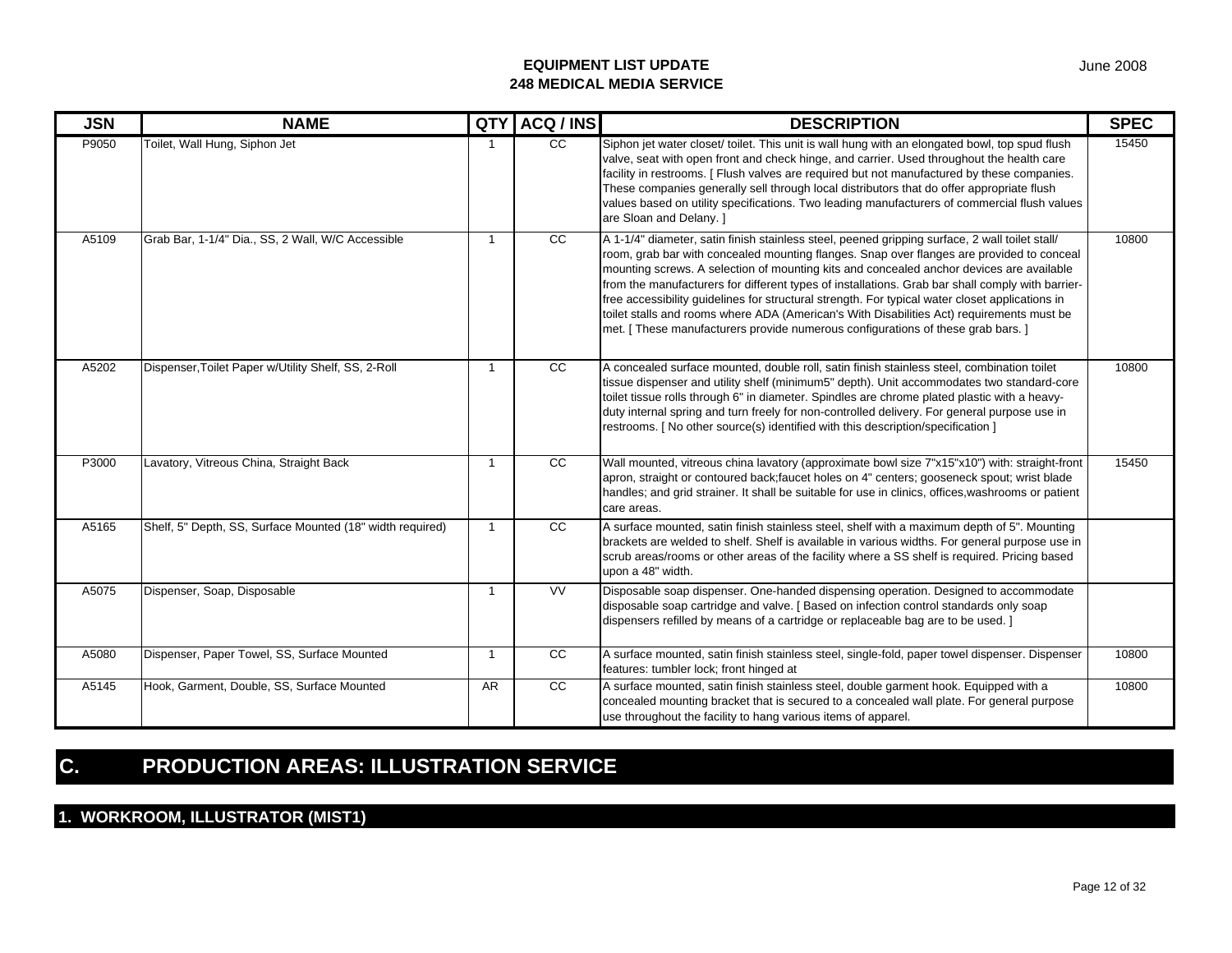| <b>JSN</b> | <b>NAME</b>                                               | QTY                     | ACQ / INS              | <b>DESCRIPTION</b>                                                                                                                                                                                                                                                                                                                                                                                                                                                                                                                                                                                                                                                              | <b>SPEC</b> |
|------------|-----------------------------------------------------------|-------------------------|------------------------|---------------------------------------------------------------------------------------------------------------------------------------------------------------------------------------------------------------------------------------------------------------------------------------------------------------------------------------------------------------------------------------------------------------------------------------------------------------------------------------------------------------------------------------------------------------------------------------------------------------------------------------------------------------------------------|-------------|
| P9050      | Toilet, Wall Hung, Siphon Jet                             |                         | $\overline{cc}$        | Siphon jet water closet/ toilet. This unit is wall hung with an elongated bowl, top spud flush<br>valve, seat with open front and check hinge, and carrier. Used throughout the health care<br>facility in restrooms. [ Flush valves are required but not manufactured by these companies.<br>These companies generally sell through local distributors that do offer appropriate flush<br>values based on utility specifications. Two leading manufacturers of commercial flush values<br>are Sloan and Delany. 1                                                                                                                                                              | 15450       |
| A5109      | Grab Bar, 1-1/4" Dia., SS, 2 Wall, W/C Accessible         | $\overline{1}$          | cc                     | A 1-1/4" diameter, satin finish stainless steel, peened gripping surface, 2 wall toilet stall/<br>room, grab bar with concealed mounting flanges. Snap over flanges are provided to conceal<br>mounting screws. A selection of mounting kits and concealed anchor devices are available<br>from the manufacturers for different types of installations. Grab bar shall comply with barrier-<br>free accessibility guidelines for structural strength. For typical water closet applications in<br>toilet stalls and rooms where ADA (American's With Disabilities Act) requirements must be<br>met. [ These manufacturers provide numerous configurations of these grab bars. ] | 10800       |
| A5202      | Dispenser, Toilet Paper w/Utility Shelf, SS, 2-Roll       | -1                      | $\overline{cc}$        | A concealed surface mounted, double roll, satin finish stainless steel, combination toilet<br>tissue dispenser and utility shelf (minimum5" depth). Unit accommodates two standard-core<br>toilet tissue rolls through 6" in diameter. Spindles are chrome plated plastic with a heavy-<br>duty internal spring and turn freely for non-controlled delivery. For general purpose use in<br>restrooms. [ No other source(s) identified with this description/specification ]                                                                                                                                                                                                     | 10800       |
| P3000      | Lavatory, Vitreous China, Straight Back                   | $\overline{1}$          | CC                     | Wall mounted, vitreous china lavatory (approximate bowl size 7"x15"x10") with: straight-front<br>apron, straight or contoured back; faucet holes on 4" centers; gooseneck spout; wrist blade<br>handles; and grid strainer. It shall be suitable for use in clinics, offices, washrooms or patient<br>care areas.                                                                                                                                                                                                                                                                                                                                                               | 15450       |
| A5165      | Shelf, 5" Depth, SS, Surface Mounted (18" width required) | $\overline{\mathbf{1}}$ | $\overline{cc}$        | A surface mounted, satin finish stainless steel, shelf with a maximum depth of 5". Mounting<br>brackets are welded to shelf. Shelf is available in various widths. For general purpose use in<br>scrub areas/rooms or other areas of the facility where a SS shelf is required. Pricing based<br>upon a 48" width.                                                                                                                                                                                                                                                                                                                                                              |             |
| A5075      | Dispenser, Soap, Disposable                               | $\overline{\mathbf{1}}$ | $\overline{\text{VV}}$ | Disposable soap dispenser. One-handed dispensing operation. Designed to accommodate<br>disposable soap cartridge and valve. [Based on infection control standards only soap<br>dispensers refilled by means of a cartridge or replaceable bag are to be used. ]                                                                                                                                                                                                                                                                                                                                                                                                                 |             |
| A5080      | Dispenser, Paper Towel, SS, Surface Mounted               | $\overline{1}$          | cc                     | A surface mounted, satin finish stainless steel, single-fold, paper towel dispenser. Dispenser<br>features: tumbler lock; front hinged at                                                                                                                                                                                                                                                                                                                                                                                                                                                                                                                                       | 10800       |
| A5145      | Hook, Garment, Double, SS, Surface Mounted                | <b>AR</b>               | CC                     | A surface mounted, satin finish stainless steel, double garment hook. Equipped with a<br>concealed mounting bracket that is secured to a concealed wall plate. For general purpose<br>use throughout the facility to hang various items of apparel.                                                                                                                                                                                                                                                                                                                                                                                                                             | 10800       |

# **C. PRODUCTION AREAS: ILLUSTRATION SERVICE**

## **1. WORKROOM, ILLUSTRATOR (MIST1)**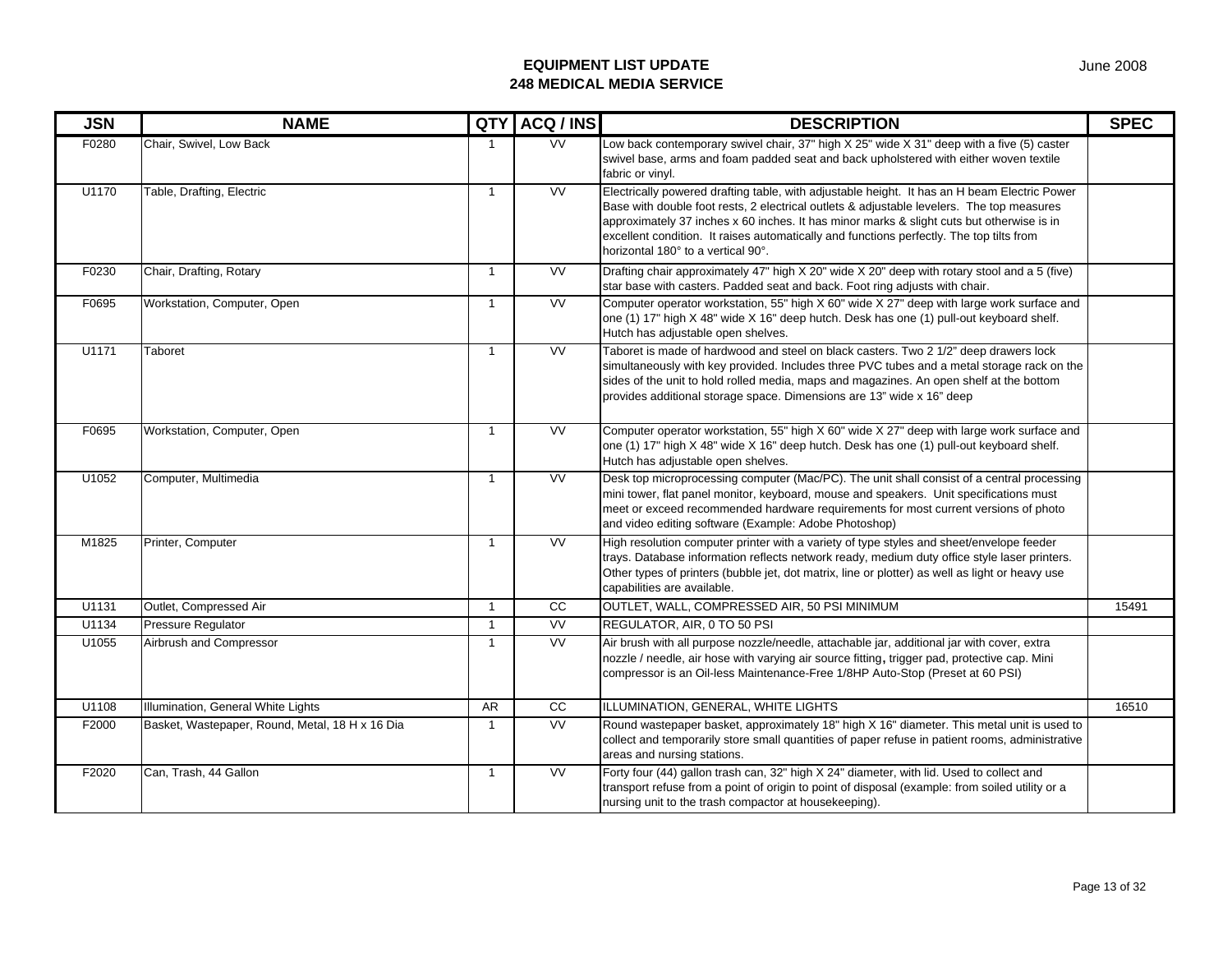| <b>JSN</b> | <b>NAME</b>                                     | QTY            | ACQ / INS                | <b>DESCRIPTION</b>                                                                                                                                                                                                                                                                                                                                                                                                       | <b>SPEC</b> |
|------------|-------------------------------------------------|----------------|--------------------------|--------------------------------------------------------------------------------------------------------------------------------------------------------------------------------------------------------------------------------------------------------------------------------------------------------------------------------------------------------------------------------------------------------------------------|-------------|
| F0280      | Chair, Swivel, Low Back                         | $\overline{1}$ | <b>VV</b>                | Low back contemporary swivel chair, 37" high X 25" wide X 31" deep with a five (5) caster<br>swivel base, arms and foam padded seat and back upholstered with either woven textile<br>fabric or vinyl.                                                                                                                                                                                                                   |             |
| U1170      | Table, Drafting, Electric                       | $\overline{1}$ | <b>VV</b>                | Electrically powered drafting table, with adjustable height. It has an H beam Electric Power<br>Base with double foot rests, 2 electrical outlets & adjustable levelers. The top measures<br>approximately 37 inches x 60 inches. It has minor marks & slight cuts but otherwise is in<br>excellent condition. It raises automatically and functions perfectly. The top tilts from<br>horizontal 180° to a vertical 90°. |             |
| F0230      | Chair, Drafting, Rotary                         | $\overline{1}$ | <b>VV</b>                | Drafting chair approximately 47" high X 20" wide X 20" deep with rotary stool and a 5 (five)<br>star base with casters. Padded seat and back. Foot ring adjusts with chair.                                                                                                                                                                                                                                              |             |
| F0695      | Workstation, Computer, Open                     | $\overline{1}$ | <b>VV</b>                | Computer operator workstation, 55" high X 60" wide X 27" deep with large work surface and<br>one (1) 17" high X 48" wide X 16" deep hutch. Desk has one (1) pull-out keyboard shelf.<br>Hutch has adjustable open shelves.                                                                                                                                                                                               |             |
| U1171      | Taboret                                         | $\overline{1}$ | <b>VV</b>                | Taboret is made of hardwood and steel on black casters. Two 2 1/2" deep drawers lock<br>simultaneously with key provided. Includes three PVC tubes and a metal storage rack on the<br>sides of the unit to hold rolled media, maps and magazines. An open shelf at the bottom<br>provides additional storage space. Dimensions are 13" wide x 16" deep                                                                   |             |
| F0695      | Workstation, Computer, Open                     | $\mathbf{1}$   | VV                       | Computer operator workstation, 55" high X 60" wide X 27" deep with large work surface and<br>one (1) 17" high X 48" wide X 16" deep hutch. Desk has one (1) pull-out keyboard shelf.<br>Hutch has adjustable open shelves.                                                                                                                                                                                               |             |
| U1052      | Computer, Multimedia                            | $\mathbf{1}$   | $\overline{\text{VV}}$   | Desk top microprocessing computer (Mac/PC). The unit shall consist of a central processing<br>mini tower, flat panel monitor, keyboard, mouse and speakers. Unit specifications must<br>meet or exceed recommended hardware requirements for most current versions of photo<br>and video editing software (Example: Adobe Photoshop)                                                                                     |             |
| M1825      | Printer, Computer                               | $\mathbf{1}$   | <b>VV</b>                | High resolution computer printer with a variety of type styles and sheet/envelope feeder<br>trays. Database information reflects network ready, medium duty office style laser printers.<br>Other types of printers (bubble jet, dot matrix, line or plotter) as well as light or heavy use<br>capabilities are available.                                                                                               |             |
| U1131      | Outlet, Compressed Air                          | $\overline{1}$ | CC                       | OUTLET, WALL, COMPRESSED AIR, 50 PSI MINIMUM                                                                                                                                                                                                                                                                                                                                                                             | 15491       |
| U1134      | Pressure Regulator                              | $\overline{1}$ | $\overline{\mathsf{vv}}$ | REGULATOR, AIR, 0 TO 50 PSI                                                                                                                                                                                                                                                                                                                                                                                              |             |
| U1055      | Airbrush and Compressor                         | $\mathbf{1}$   | <b>VV</b>                | Air brush with all purpose nozzle/needle, attachable jar, additional jar with cover, extra<br>nozzle / needle, air hose with varying air source fitting, trigger pad, protective cap. Mini<br>compressor is an Oil-less Maintenance-Free 1/8HP Auto-Stop (Preset at 60 PSI)                                                                                                                                              |             |
| U1108      | Illumination, General White Lights              | AR             | cc                       | ILLUMINATION, GENERAL, WHITE LIGHTS                                                                                                                                                                                                                                                                                                                                                                                      | 16510       |
| F2000      | Basket, Wastepaper, Round, Metal, 18 H x 16 Dia | $\mathbf{1}$   | <b>VV</b>                | Round wastepaper basket, approximately 18" high X 16" diameter. This metal unit is used to<br>collect and temporarily store small quantities of paper refuse in patient rooms, administrative<br>areas and nursing stations.                                                                                                                                                                                             |             |
| F2020      | Can, Trash, 44 Gallon                           | $\overline{1}$ | $\overline{\text{VV}}$   | Forty four (44) gallon trash can, 32" high X 24" diameter, with lid. Used to collect and<br>transport refuse from a point of origin to point of disposal (example: from soiled utility or a<br>nursing unit to the trash compactor at housekeeping).                                                                                                                                                                     |             |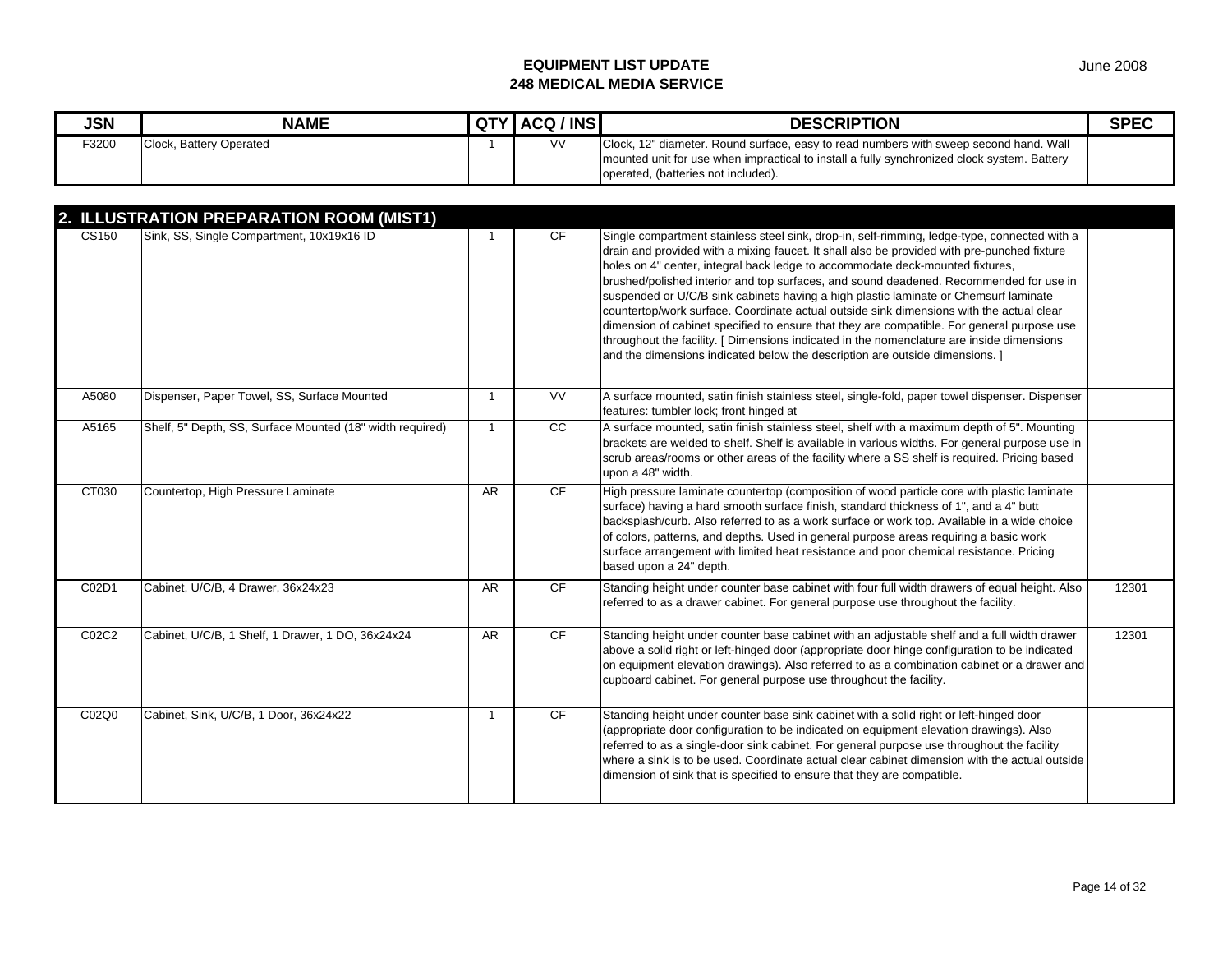| <b>JSN</b> | <b>NAME</b>             | <b>QTY</b> | ACQ / INS | <b>DESCRIPTION</b>                                                                                                                                                                   | <b>SPEC</b> |
|------------|-------------------------|------------|-----------|--------------------------------------------------------------------------------------------------------------------------------------------------------------------------------------|-------------|
| F3200      | Clock, Battery Operated |            | <b>VV</b> | Clock, 12" diameter. Round surface, easy to read numbers with sweep second hand. Wall<br>mounted unit for use when impractical to install a fully synchronized clock system. Battery |             |
|            |                         |            |           | operated, (batteries not included).                                                                                                                                                  |             |

|       | 2. ILLUSTRATION PREPARATION ROOM (MIST1)                  |              |                 |                                                                                                                                                                                                                                                                                                                                                                                                                                                                                                                                                                                                                                                                                                                                                                                                                                       |       |
|-------|-----------------------------------------------------------|--------------|-----------------|---------------------------------------------------------------------------------------------------------------------------------------------------------------------------------------------------------------------------------------------------------------------------------------------------------------------------------------------------------------------------------------------------------------------------------------------------------------------------------------------------------------------------------------------------------------------------------------------------------------------------------------------------------------------------------------------------------------------------------------------------------------------------------------------------------------------------------------|-------|
| CS150 | Sink, SS, Single Compartment, 10x19x16 ID                 | 1            | CF.             | Single compartment stainless steel sink, drop-in, self-rimming, ledge-type, connected with a<br>drain and provided with a mixing faucet. It shall also be provided with pre-punched fixture<br>holes on 4" center, integral back ledge to accommodate deck-mounted fixtures,<br>brushed/polished interior and top surfaces, and sound deadened. Recommended for use in<br>suspended or U/C/B sink cabinets having a high plastic laminate or Chemsurf laminate<br>countertop/work surface. Coordinate actual outside sink dimensions with the actual clear<br>dimension of cabinet specified to ensure that they are compatible. For general purpose use<br>throughout the facility. [ Dimensions indicated in the nomenclature are inside dimensions<br>and the dimensions indicated below the description are outside dimensions. ] |       |
| A5080 | Dispenser, Paper Towel, SS, Surface Mounted               | $\mathbf{1}$ | VV              | A surface mounted, satin finish stainless steel, single-fold, paper towel dispenser. Dispenser<br>features: tumbler lock; front hinged at                                                                                                                                                                                                                                                                                                                                                                                                                                                                                                                                                                                                                                                                                             |       |
| A5165 | Shelf, 5" Depth, SS, Surface Mounted (18" width required) | $\mathbf{1}$ | $\overline{cc}$ | A surface mounted, satin finish stainless steel, shelf with a maximum depth of 5". Mounting<br>brackets are welded to shelf. Shelf is available in various widths. For general purpose use in<br>scrub areas/rooms or other areas of the facility where a SS shelf is required. Pricing based<br>upon a 48" width.                                                                                                                                                                                                                                                                                                                                                                                                                                                                                                                    |       |
| CT030 | Countertop, High Pressure Laminate                        | <b>AR</b>    | CF              | High pressure laminate countertop (composition of wood particle core with plastic laminate<br>surface) having a hard smooth surface finish, standard thickness of 1", and a 4" butt<br>backsplash/curb. Also referred to as a work surface or work top. Available in a wide choice<br>of colors, patterns, and depths. Used in general purpose areas requiring a basic work<br>surface arrangement with limited heat resistance and poor chemical resistance. Pricing<br>based upon a 24" depth.                                                                                                                                                                                                                                                                                                                                      |       |
| C02D1 | Cabinet, U/C/B, 4 Drawer, 36x24x23                        | AR.          | CF              | Standing height under counter base cabinet with four full width drawers of equal height. Also<br>referred to as a drawer cabinet. For general purpose use throughout the facility.                                                                                                                                                                                                                                                                                                                                                                                                                                                                                                                                                                                                                                                    | 12301 |
| C02C2 | Cabinet, U/C/B, 1 Shelf, 1 Drawer, 1 DO, 36x24x24         | AR           | CF              | Standing height under counter base cabinet with an adjustable shelf and a full width drawer<br>above a solid right or left-hinged door (appropriate door hinge configuration to be indicated<br>on equipment elevation drawings). Also referred to as a combination cabinet or a drawer and<br>cupboard cabinet. For general purpose use throughout the facility.                                                                                                                                                                                                                                                                                                                                                                                                                                                                     | 12301 |
| C02Q0 | Cabinet, Sink, U/C/B, 1 Door, 36x24x22                    | $\mathbf{1}$ | <b>CF</b>       | Standing height under counter base sink cabinet with a solid right or left-hinged door<br>(appropriate door configuration to be indicated on equipment elevation drawings). Also<br>referred to as a single-door sink cabinet. For general purpose use throughout the facility<br>where a sink is to be used. Coordinate actual clear cabinet dimension with the actual outside<br>dimension of sink that is specified to ensure that they are compatible.                                                                                                                                                                                                                                                                                                                                                                            |       |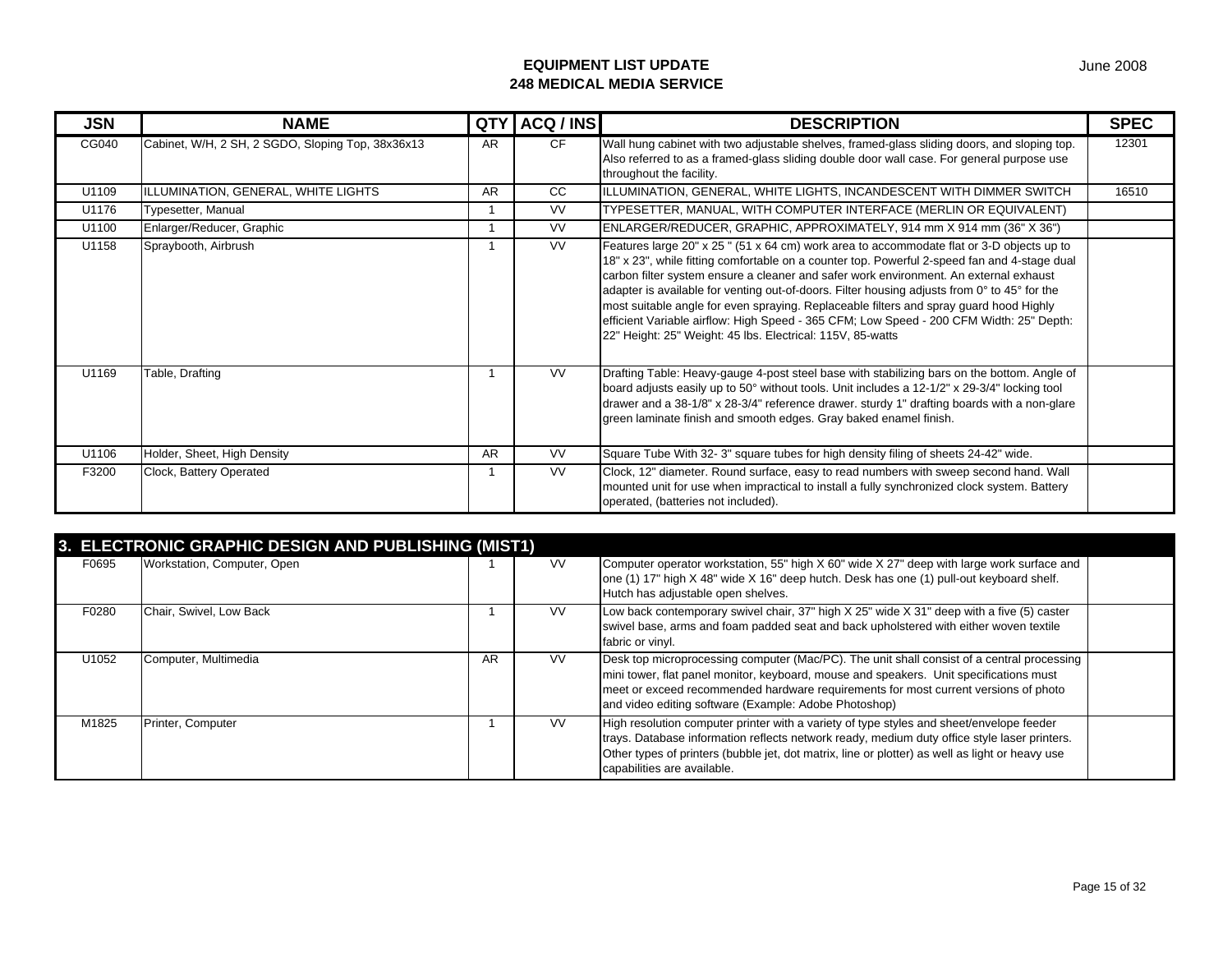| <b>JSN</b> | <b>NAME</b>                                       | <b>QTY</b> | ACQ / INS | <b>DESCRIPTION</b>                                                                                                                                                                                                                                                                                                                                                                                                                                                                                                                                                                                                                    | <b>SPEC</b> |
|------------|---------------------------------------------------|------------|-----------|---------------------------------------------------------------------------------------------------------------------------------------------------------------------------------------------------------------------------------------------------------------------------------------------------------------------------------------------------------------------------------------------------------------------------------------------------------------------------------------------------------------------------------------------------------------------------------------------------------------------------------------|-------------|
| CG040      | Cabinet, W/H, 2 SH, 2 SGDO, Sloping Top, 38x36x13 | AR         | CF.       | Wall hung cabinet with two adjustable shelves, framed-glass sliding doors, and sloping top.<br>Also referred to as a framed-glass sliding double door wall case. For general purpose use<br>throughout the facility.                                                                                                                                                                                                                                                                                                                                                                                                                  | 12301       |
| U1109      | ILLUMINATION, GENERAL, WHITE LIGHTS               | <b>AR</b>  | CC.       | ILLUMINATION, GENERAL, WHITE LIGHTS, INCANDESCENT WITH DIMMER SWITCH                                                                                                                                                                                                                                                                                                                                                                                                                                                                                                                                                                  | 16510       |
| U1176      | Typesetter, Manual                                |            | VV        | TYPESETTER, MANUAL, WITH COMPUTER INTERFACE (MERLIN OR EQUIVALENT)                                                                                                                                                                                                                                                                                                                                                                                                                                                                                                                                                                    |             |
| U1100      | Enlarger/Reducer, Graphic                         |            | <b>VV</b> | ENLARGER/REDUCER, GRAPHIC, APPROXIMATELY, 914 mm X 914 mm (36" X 36")                                                                                                                                                                                                                                                                                                                                                                                                                                                                                                                                                                 |             |
| U1158      | Spraybooth, Airbrush                              |            | <b>VV</b> | Features large 20" x 25 " (51 x 64 cm) work area to accommodate flat or 3-D objects up to<br>18" x 23", while fitting comfortable on a counter top. Powerful 2-speed fan and 4-stage dual<br>carbon filter system ensure a cleaner and safer work environment. An external exhaust<br>adapter is available for venting out-of-doors. Filter housing adjusts from 0° to 45° for the<br>most suitable angle for even spraying. Replaceable filters and spray guard hood Highly<br>efficient Variable airflow: High Speed - 365 CFM; Low Speed - 200 CFM Width: 25" Depth:<br>22" Height: 25" Weight: 45 lbs. Electrical: 115V, 85-watts |             |
| U1169      | Table, Drafting                                   |            | <b>VV</b> | Drafting Table: Heavy-gauge 4-post steel base with stabilizing bars on the bottom. Angle of<br>board adjusts easily up to 50° without tools. Unit includes a 12-1/2" x 29-3/4" locking tool<br>drawer and a 38-1/8" x 28-3/4" reference drawer. sturdy 1" drafting boards with a non-glare<br>green laminate finish and smooth edges. Gray baked enamel finish.                                                                                                                                                                                                                                                                       |             |
| U1106      | Holder, Sheet, High Density                       | <b>AR</b>  | <b>VV</b> | Square Tube With 32-3" square tubes for high density filing of sheets 24-42" wide.                                                                                                                                                                                                                                                                                                                                                                                                                                                                                                                                                    |             |
| F3200      | Clock, Battery Operated                           |            | <b>VV</b> | Clock, 12" diameter. Round surface, easy to read numbers with sweep second hand. Wall<br>mounted unit for use when impractical to install a fully synchronized clock system. Battery<br>operated, (batteries not included).                                                                                                                                                                                                                                                                                                                                                                                                           |             |

|       | 3. ELECTRONIC GRAPHIC DESIGN AND PUBLISHING (MIST1) |    |           |                                                                                                                                                                                                                                                                                                                                      |  |  |  |  |  |
|-------|-----------------------------------------------------|----|-----------|--------------------------------------------------------------------------------------------------------------------------------------------------------------------------------------------------------------------------------------------------------------------------------------------------------------------------------------|--|--|--|--|--|
| F0695 | Workstation, Computer, Open                         |    | <b>VV</b> | Computer operator workstation, 55" high X 60" wide X 27" deep with large work surface and<br>one (1) 17" high X 48" wide X 16" deep hutch. Desk has one (1) pull-out keyboard shelf.<br>Hutch has adjustable open shelves.                                                                                                           |  |  |  |  |  |
| F0280 | Chair, Swivel, Low Back                             |    | <b>VV</b> | Low back contemporary swivel chair, 37" high $X$ 25" wide $X$ 31" deep with a five (5) caster<br>swivel base, arms and foam padded seat and back upholstered with either woven textile<br>fabric or vinyl.                                                                                                                           |  |  |  |  |  |
| U1052 | Computer, Multimedia                                | AR | <b>VV</b> | Desk top microprocessing computer (Mac/PC). The unit shall consist of a central processing<br>mini tower, flat panel monitor, keyboard, mouse and speakers. Unit specifications must<br>meet or exceed recommended hardware requirements for most current versions of photo<br>and video editing software (Example: Adobe Photoshop) |  |  |  |  |  |
| M1825 | Printer, Computer                                   |    | <b>VV</b> | High resolution computer printer with a variety of type styles and sheet/envelope feeder<br>trays. Database information reflects network ready, medium duty office style laser printers.<br>Other types of printers (bubble jet, dot matrix, line or plotter) as well as light or heavy use<br>capabilities are available.           |  |  |  |  |  |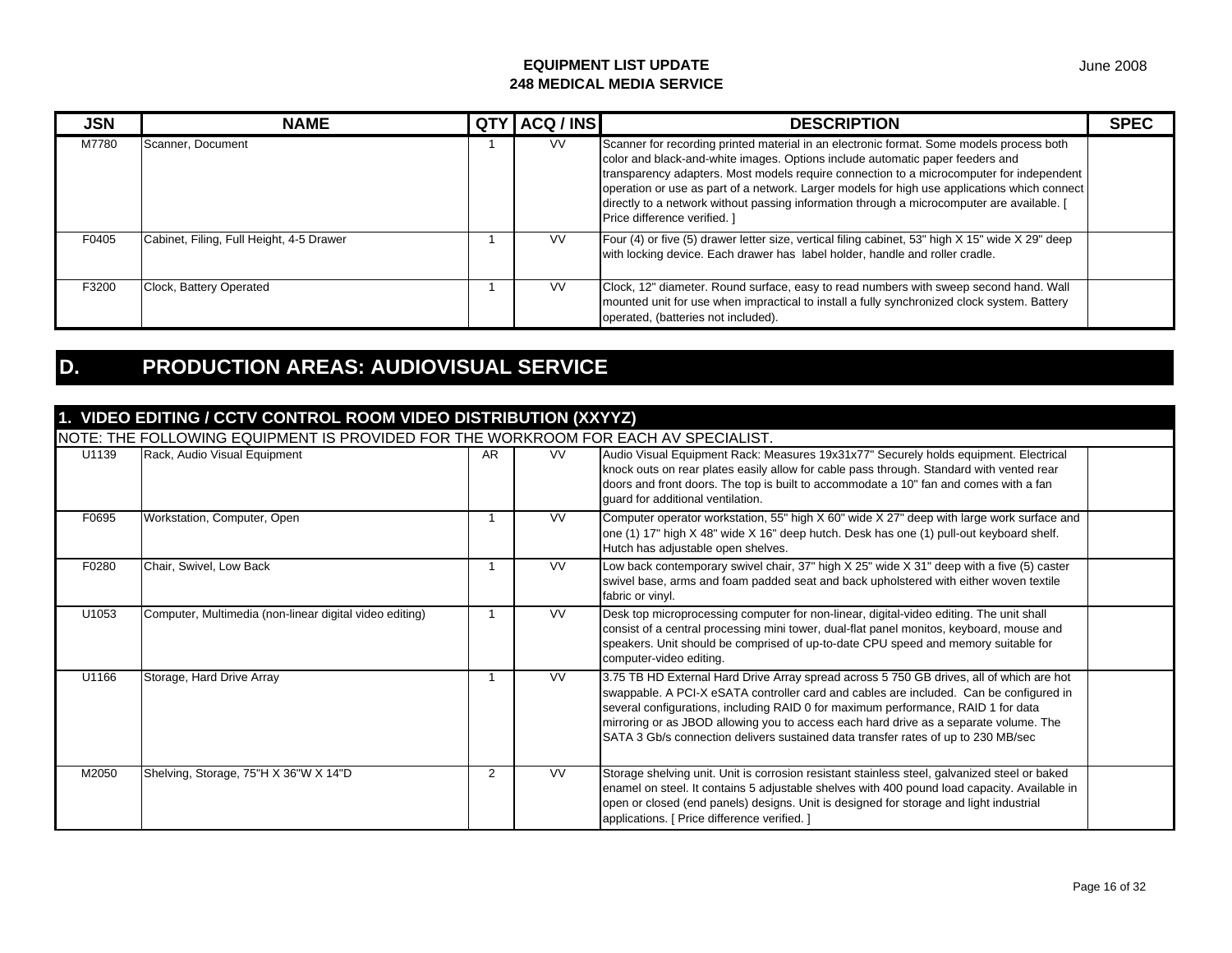| <b>JSN</b> | <b>NAME</b>                              | QT' | ACQ / INS | <b>DESCRIPTION</b>                                                                                                                                                                                                                                                                                                                                                                                                                                                                                  | <b>SPEC</b> |
|------------|------------------------------------------|-----|-----------|-----------------------------------------------------------------------------------------------------------------------------------------------------------------------------------------------------------------------------------------------------------------------------------------------------------------------------------------------------------------------------------------------------------------------------------------------------------------------------------------------------|-------------|
| M7780      | Scanner, Document                        |     | <b>VV</b> | Scanner for recording printed material in an electronic format. Some models process both<br>color and black-and-white images. Options include automatic paper feeders and<br>transparency adapters. Most models require connection to a microcomputer for independent<br>operation or use as part of a network. Larger models for high use applications which connect<br>directly to a network without passing information through a microcomputer are available. [<br>Price difference verified. ] |             |
| F0405      | Cabinet, Filing, Full Height, 4-5 Drawer |     | VV.       | Four (4) or five (5) drawer letter size, vertical filing cabinet, 53" high X 15" wide X 29" deep<br>with locking device. Each drawer has label holder, handle and roller cradle.                                                                                                                                                                                                                                                                                                                    |             |
| F3200      | Clock, Battery Operated                  |     | <b>VV</b> | Clock, 12" diameter. Round surface, easy to read numbers with sweep second hand. Wall<br>mounted unit for use when impractical to install a fully synchronized clock system. Battery<br>operated, (batteries not included).                                                                                                                                                                                                                                                                         |             |

## **D. PRODUCTION AREAS: AUDIOVISUAL SERVICE**

## **1. VIDEO EDITING / CCTV CONTROL ROOM VIDEO DISTRIBUTION (XXYYZ)**

|       | NOTE: THE FOLLOWING EQUIPMENT IS PROVIDED FOR THE WORKROOM FOR EACH AV SPECIALIST. |                |           |                                                                                                                                                                                                                                                                                                                                                                                                                                                       |  |
|-------|------------------------------------------------------------------------------------|----------------|-----------|-------------------------------------------------------------------------------------------------------------------------------------------------------------------------------------------------------------------------------------------------------------------------------------------------------------------------------------------------------------------------------------------------------------------------------------------------------|--|
| U1139 | Rack, Audio Visual Equipment                                                       | AR             | <b>VV</b> | Audio Visual Equipment Rack: Measures 19x31x77" Securely holds equipment. Electrical<br>knock outs on rear plates easily allow for cable pass through. Standard with vented rear<br>doors and front doors. The top is built to accommodate a 10" fan and comes with a fan<br>guard for additional ventilation.                                                                                                                                        |  |
| F0695 | Workstation, Computer, Open                                                        |                | <b>VV</b> | Computer operator workstation, 55" high X 60" wide X 27" deep with large work surface and<br>one (1) 17" high X 48" wide X 16" deep hutch. Desk has one (1) pull-out keyboard shelf.<br>Hutch has adjustable open shelves.                                                                                                                                                                                                                            |  |
| F0280 | Chair, Swivel, Low Back                                                            |                | VV.       | Low back contemporary swivel chair, 37" high $X$ 25" wide $X$ 31" deep with a five (5) caster<br>swivel base, arms and foam padded seat and back upholstered with either woven textile<br>fabric or vinyl.                                                                                                                                                                                                                                            |  |
| U1053 | Computer, Multimedia (non-linear digital video editing)                            |                | <b>VV</b> | Desk top microprocessing computer for non-linear, digital-video editing. The unit shall<br>consist of a central processing mini tower, dual-flat panel monitos, keyboard, mouse and<br>speakers. Unit should be comprised of up-to-date CPU speed and memory suitable for<br>computer-video editing.                                                                                                                                                  |  |
| U1166 | Storage, Hard Drive Array                                                          |                | VV.       | 3.75 TB HD External Hard Drive Array spread across 5 750 GB drives, all of which are hot<br>swappable. A PCI-X eSATA controller card and cables are included. Can be configured in<br>several configurations, including RAID 0 for maximum performance, RAID 1 for data<br>mirroring or as JBOD allowing you to access each hard drive as a separate volume. The<br>SATA 3 Gb/s connection delivers sustained data transfer rates of up to 230 MB/sec |  |
| M2050 | Shelving, Storage, 75"H X 36"W X 14"D                                              | $\overline{2}$ | <b>VV</b> | Storage shelving unit. Unit is corrosion resistant stainless steel, galvanized steel or baked<br>enamel on steel. It contains 5 adjustable shelves with 400 pound load capacity. Available in<br>open or closed (end panels) designs. Unit is designed for storage and light industrial<br>applications. [ Price difference verified. ]                                                                                                               |  |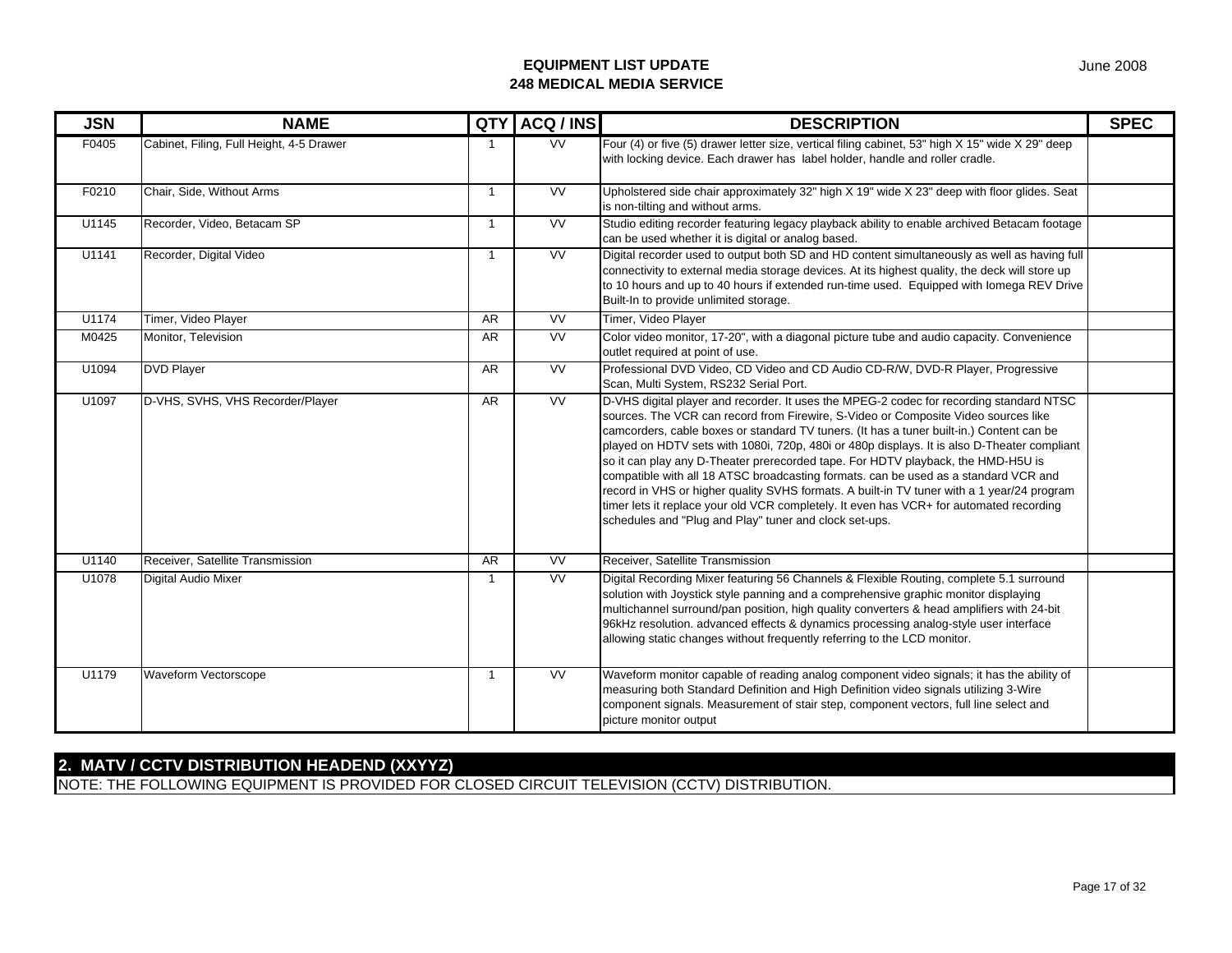| <b>JSN</b> | <b>NAME</b>                              | QTY            | ACQ / INS              | <b>DESCRIPTION</b>                                                                                                                                                                                                                                                                                                                                                                                                                                                                                                                                                                                                                                                                                                                                                                                     | <b>SPEC</b> |
|------------|------------------------------------------|----------------|------------------------|--------------------------------------------------------------------------------------------------------------------------------------------------------------------------------------------------------------------------------------------------------------------------------------------------------------------------------------------------------------------------------------------------------------------------------------------------------------------------------------------------------------------------------------------------------------------------------------------------------------------------------------------------------------------------------------------------------------------------------------------------------------------------------------------------------|-------------|
| F0405      | Cabinet, Filing, Full Height, 4-5 Drawer | -1             | $\overline{\text{VV}}$ | Four (4) or five (5) drawer letter size, vertical filing cabinet, 53" high X 15" wide X 29" deep<br>with locking device. Each drawer has label holder, handle and roller cradle.                                                                                                                                                                                                                                                                                                                                                                                                                                                                                                                                                                                                                       |             |
| F0210      | Chair, Side, Without Arms                | $\overline{1}$ | <b>VV</b>              | Upholstered side chair approximately 32" high X 19" wide X 23" deep with floor glides. Seat<br>is non-tilting and without arms.                                                                                                                                                                                                                                                                                                                                                                                                                                                                                                                                                                                                                                                                        |             |
| U1145      | Recorder, Video, Betacam SP              | $\overline{1}$ | <b>VV</b>              | Studio editing recorder featuring legacy playback ability to enable archived Betacam footage<br>can be used whether it is digital or analog based.                                                                                                                                                                                                                                                                                                                                                                                                                                                                                                                                                                                                                                                     |             |
| U1141      | Recorder, Digital Video                  | $\overline{1}$ | $\overline{\text{VV}}$ | Digital recorder used to output both SD and HD content simultaneously as well as having full<br>connectivity to external media storage devices. At its highest quality, the deck will store up<br>to 10 hours and up to 40 hours if extended run-time used. Equipped with lomega REV Drive<br>Built-In to provide unlimited storage.                                                                                                                                                                                                                                                                                                                                                                                                                                                                   |             |
| U1174      | Timer, Video Player                      | <b>AR</b>      | W                      | Timer, Video Player                                                                                                                                                                                                                                                                                                                                                                                                                                                                                                                                                                                                                                                                                                                                                                                    |             |
| M0425      | Monitor, Television                      | <b>AR</b>      | W                      | Color video monitor, 17-20", with a diagonal picture tube and audio capacity. Convenience<br>outlet required at point of use.                                                                                                                                                                                                                                                                                                                                                                                                                                                                                                                                                                                                                                                                          |             |
| U1094      | <b>DVD Player</b>                        | <b>AR</b>      | <b>VV</b>              | Professional DVD Video, CD Video and CD Audio CD-R/W, DVD-R Player, Progressive<br>Scan, Multi System, RS232 Serial Port.                                                                                                                                                                                                                                                                                                                                                                                                                                                                                                                                                                                                                                                                              |             |
| U1097      | D-VHS, SVHS, VHS Recorder/Player         | AR             | VV                     | D-VHS digital player and recorder. It uses the MPEG-2 codec for recording standard NTSC<br>sources. The VCR can record from Firewire, S-Video or Composite Video sources like<br>camcorders, cable boxes or standard TV tuners. (It has a tuner built-in.) Content can be<br>played on HDTV sets with 1080i, 720p, 480i or 480p displays. It is also D-Theater compliant<br>so it can play any D-Theater prerecorded tape. For HDTV playback, the HMD-H5U is<br>compatible with all 18 ATSC broadcasting formats. can be used as a standard VCR and<br>record in VHS or higher quality SVHS formats. A built-in TV tuner with a 1 year/24 program<br>timer lets it replace your old VCR completely. It even has VCR+ for automated recording<br>schedules and "Plug and Play" tuner and clock set-ups. |             |
| U1140      | Receiver, Satellite Transmission         | <b>AR</b>      | <b>VV</b>              | Receiver, Satellite Transmission                                                                                                                                                                                                                                                                                                                                                                                                                                                                                                                                                                                                                                                                                                                                                                       |             |
| U1078      | Digital Audio Mixer                      | $\overline{1}$ | <b>VV</b>              | Digital Recording Mixer featuring 56 Channels & Flexible Routing, complete 5.1 surround<br>solution with Joystick style panning and a comprehensive graphic monitor displaying<br>multichannel surround/pan position, high quality converters & head amplifiers with 24-bit<br>96kHz resolution. advanced effects & dynamics processing analog-style user interface<br>allowing static changes without frequently referring to the LCD monitor.                                                                                                                                                                                                                                                                                                                                                        |             |
| U1179      | Waveform Vectorscope                     | $\overline{1}$ | VV                     | Waveform monitor capable of reading analog component video signals; it has the ability of<br>measuring both Standard Definition and High Definition video signals utilizing 3-Wire<br>component signals. Measurement of stair step, component vectors, full line select and<br>picture monitor output                                                                                                                                                                                                                                                                                                                                                                                                                                                                                                  |             |

## **2. MATV / CCTV DISTRIBUTION HEADEND (XXYYZ)**

NOTE: THE FOLLOWING EQUIPMENT IS PROVIDED FOR CLOSED CIRCUIT TELEVISION (CCTV) DISTRIBUTION.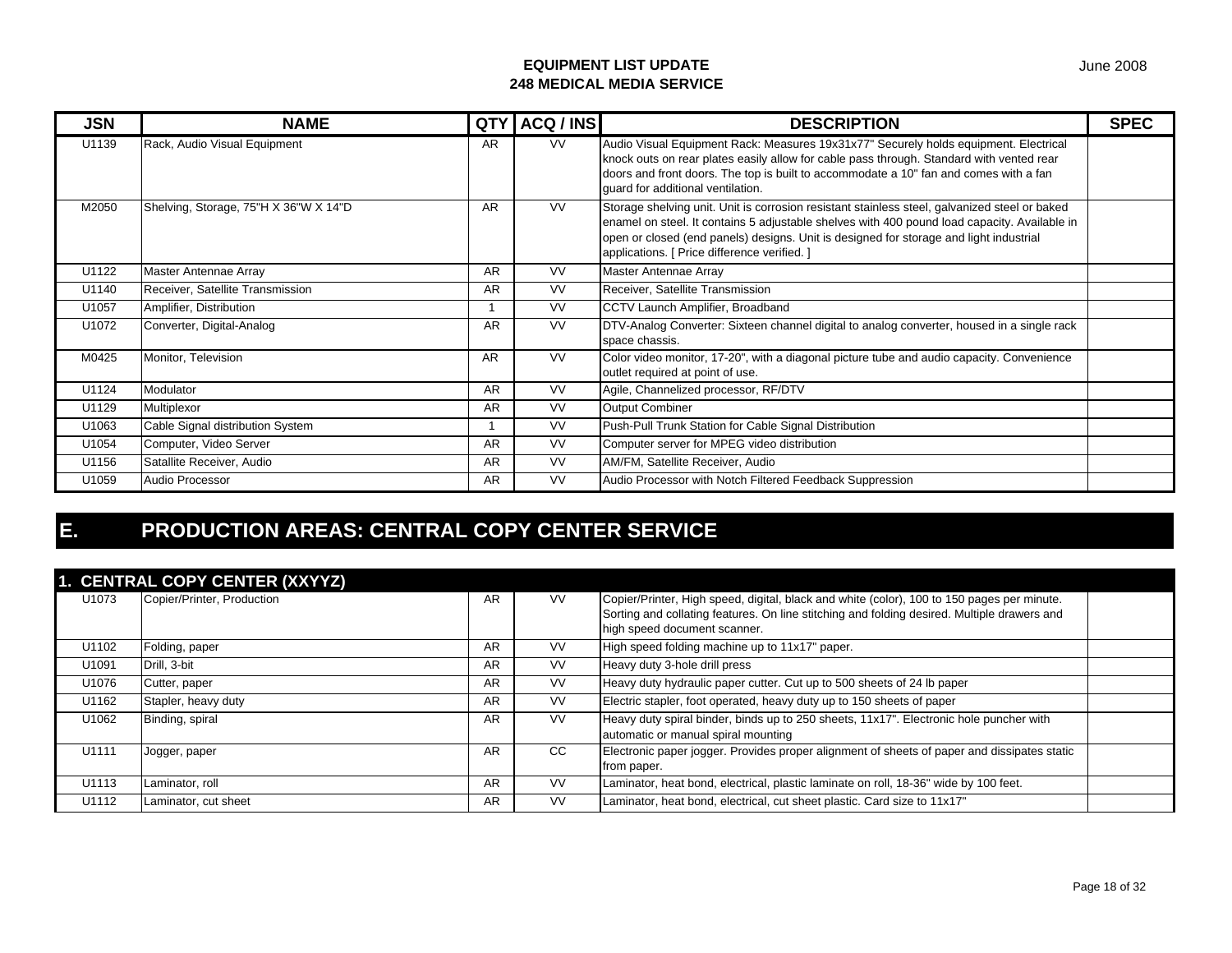| <b>JSN</b> | <b>NAME</b>                           | QTY       | ACQ / INS | <b>DESCRIPTION</b>                                                                                                                                                                                                                                                                                                                      | <b>SPEC</b> |
|------------|---------------------------------------|-----------|-----------|-----------------------------------------------------------------------------------------------------------------------------------------------------------------------------------------------------------------------------------------------------------------------------------------------------------------------------------------|-------------|
| U1139      | Rack, Audio Visual Equipment          | AR        | VV.       | Audio Visual Equipment Rack: Measures 19x31x77" Securely holds equipment. Electrical<br>knock outs on rear plates easily allow for cable pass through. Standard with vented rear<br>doors and front doors. The top is built to accommodate a 10" fan and comes with a fan<br>guard for additional ventilation.                          |             |
| M2050      | Shelving, Storage, 75"H X 36"W X 14"D | <b>AR</b> | <b>VV</b> | Storage shelving unit. Unit is corrosion resistant stainless steel, galvanized steel or baked<br>enamel on steel. It contains 5 adjustable shelves with 400 pound load capacity. Available in<br>open or closed (end panels) designs. Unit is designed for storage and light industrial<br>applications. [ Price difference verified. ] |             |
| U1122      | Master Antennae Array                 | AR        | <b>VV</b> | Master Antennae Array                                                                                                                                                                                                                                                                                                                   |             |
| U1140      | Receiver, Satellite Transmission      | <b>AR</b> | <b>VV</b> | Receiver, Satellite Transmission                                                                                                                                                                                                                                                                                                        |             |
| U1057      | Amplifier, Distribution               |           | <b>VV</b> | CCTV Launch Amplifier, Broadband                                                                                                                                                                                                                                                                                                        |             |
| U1072      | Converter, Digital-Analog             | <b>AR</b> | <b>VV</b> | DTV-Analog Converter: Sixteen channel digital to analog converter, housed in a single rack<br>space chassis.                                                                                                                                                                                                                            |             |
| M0425      | Monitor, Television                   | <b>AR</b> | <b>VV</b> | Color video monitor, 17-20", with a diagonal picture tube and audio capacity. Convenience<br>outlet required at point of use.                                                                                                                                                                                                           |             |
| U1124      | Modulator                             | <b>AR</b> | <b>VV</b> | Agile, Channelized processor, RF/DTV                                                                                                                                                                                                                                                                                                    |             |
| U1129      | Multiplexor                           | AR        | <b>VV</b> | <b>Output Combiner</b>                                                                                                                                                                                                                                                                                                                  |             |
| U1063      | Cable Signal distribution System      |           | <b>VV</b> | Push-Pull Trunk Station for Cable Signal Distribution                                                                                                                                                                                                                                                                                   |             |
| U1054      | Computer, Video Server                | <b>AR</b> | <b>VV</b> | Computer server for MPEG video distribution                                                                                                                                                                                                                                                                                             |             |
| U1156      | Satallite Receiver, Audio             | AR        | <b>VV</b> | AM/FM, Satellite Receiver, Audio                                                                                                                                                                                                                                                                                                        |             |
| U1059      | Audio Processor                       | <b>AR</b> | <b>VV</b> | Audio Processor with Notch Filtered Feedback Suppression                                                                                                                                                                                                                                                                                |             |

# **E. PRODUCTION AREAS: CENTRAL COPY CENTER SERVICE**

|       | 1. CENTRAL COPY CENTER (XXYYZ) |           |           |                                                                                                                                                                                           |  |
|-------|--------------------------------|-----------|-----------|-------------------------------------------------------------------------------------------------------------------------------------------------------------------------------------------|--|
| U1073 | Copier/Printer, Production     | AR.       | <b>VV</b> | Copier/Printer, High speed, digital, black and white (color), 100 to 150 pages per minute.<br>Sorting and collating features. On line stitching and folding desired. Multiple drawers and |  |
|       |                                |           |           | high speed document scanner.                                                                                                                                                              |  |
| U1102 | Folding, paper                 | AR        | VV        | High speed folding machine up to 11x17" paper.                                                                                                                                            |  |
| U1091 | Drill, 3-bit                   | AR        | <b>VV</b> | Heavy duty 3-hole drill press                                                                                                                                                             |  |
| U1076 | Cutter, paper                  | <b>AR</b> | <b>VV</b> | Heavy duty hydraulic paper cutter. Cut up to 500 sheets of 24 lb paper                                                                                                                    |  |
| U1162 | Stapler, heavy duty            | AR        | <b>VV</b> | Electric stapler, foot operated, heavy duty up to 150 sheets of paper                                                                                                                     |  |
| U1062 | Binding, spiral                | AR        | <b>VV</b> | Heavy duty spiral binder, binds up to 250 sheets, 11x17". Electronic hole puncher with<br>automatic or manual spiral mounting                                                             |  |
| U1111 | Jogger, paper                  | <b>AR</b> | CC        | Electronic paper jogger. Provides proper alignment of sheets of paper and dissipates static<br>from paper.                                                                                |  |
| U1113 | Laminator, roll                | AR.       | <b>VV</b> | Laminator, heat bond, electrical, plastic laminate on roll, 18-36" wide by 100 feet.                                                                                                      |  |
| U1112 | Laminator, cut sheet           | <b>AR</b> | <b>VV</b> | Laminator, heat bond, electrical, cut sheet plastic. Card size to 11x17"                                                                                                                  |  |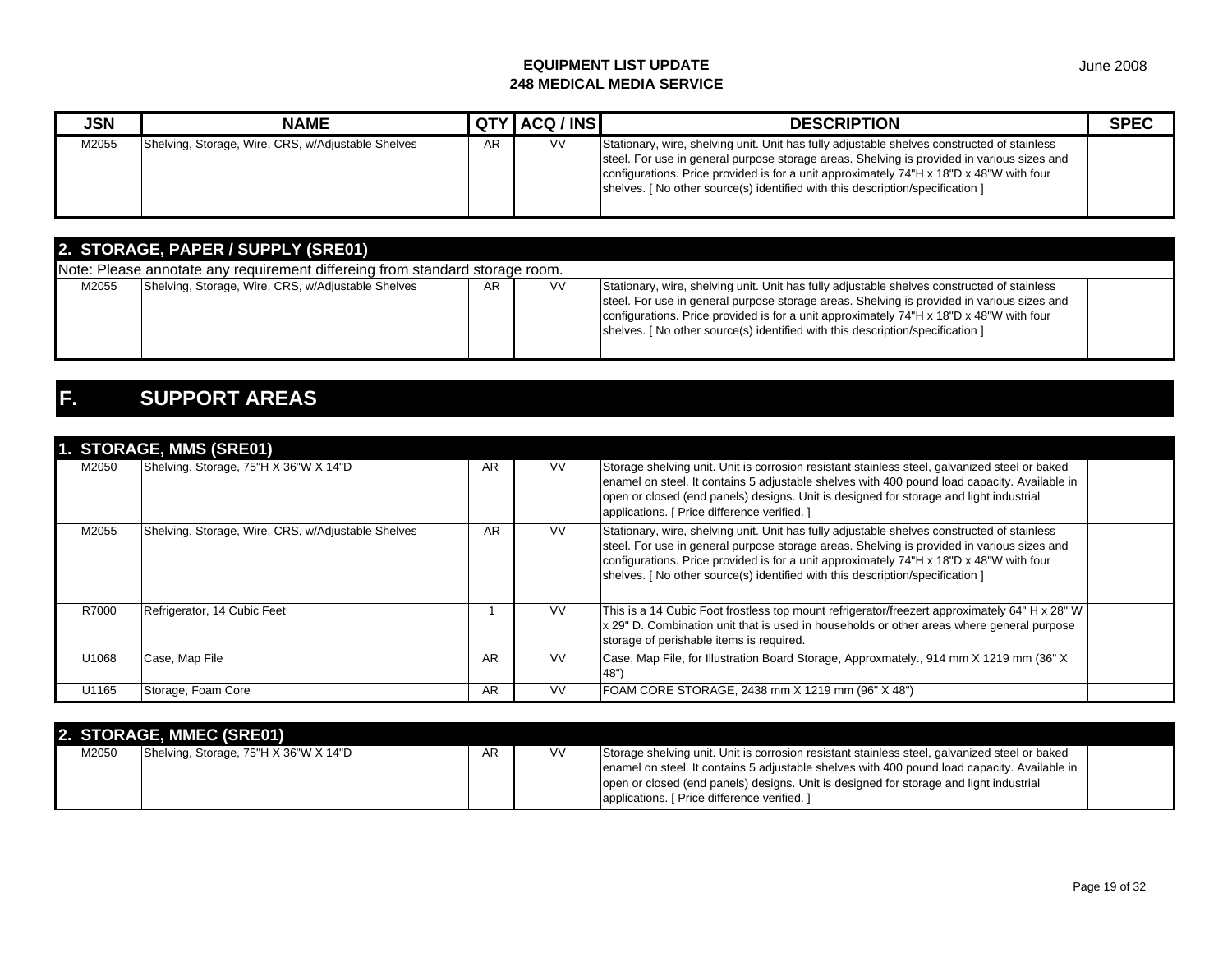| <b>JSN</b> | <b>NAME</b>                                        |    | QTY ACQ / INS | <b>DESCRIPTION</b>                                                                                                                                                                                                                                                                                                                                                     | <b>SPEC</b> |
|------------|----------------------------------------------------|----|---------------|------------------------------------------------------------------------------------------------------------------------------------------------------------------------------------------------------------------------------------------------------------------------------------------------------------------------------------------------------------------------|-------------|
| M2055      | Shelving, Storage, Wire, CRS, w/Adjustable Shelves | AR | ٧V            | Stationary, wire, shelving unit. Unit has fully adjustable shelves constructed of stainless<br>steel. For use in general purpose storage areas. Shelving is provided in various sizes and<br>configurations. Price provided is for a unit approximately 74"H x 18"D x 48"W with four<br>shelves. [ No other source(s) identified with this description/specification ] |             |

| 2. STORAGE, PAPER / SUPPLY (SRE01) |                                                                              |     |           |                                                                                                                                                                                                                                                                                                                                                                       |  |  |  |  |
|------------------------------------|------------------------------------------------------------------------------|-----|-----------|-----------------------------------------------------------------------------------------------------------------------------------------------------------------------------------------------------------------------------------------------------------------------------------------------------------------------------------------------------------------------|--|--|--|--|
|                                    | Note: Please annotate any requirement differeing from standard storage room. |     |           |                                                                                                                                                                                                                                                                                                                                                                       |  |  |  |  |
| M2055                              | Shelving, Storage, Wire, CRS, w/Adjustable Shelves                           | AR. | <b>VV</b> | Stationary, wire, shelving unit. Unit has fully adjustable shelves constructed of stainless<br>steel. For use in general purpose storage areas. Shelving is provided in various sizes and<br>configurations. Price provided is for a unit approximately 74"H x 18"D x 48"W with four<br>shelves. [No other source(s) identified with this description/specification ] |  |  |  |  |

# **F. SUPPORT AREAS**

|       | <b>1. JIURAUL, MINJ (JREVI)</b>                    |    |           |                                                                                                                                                                                                                                                                                                                                                                       |  |
|-------|----------------------------------------------------|----|-----------|-----------------------------------------------------------------------------------------------------------------------------------------------------------------------------------------------------------------------------------------------------------------------------------------------------------------------------------------------------------------------|--|
| M2050 | Shelving, Storage, 75"H X 36"W X 14"D              | AR | <b>VV</b> | Storage shelving unit. Unit is corrosion resistant stainless steel, galvanized steel or baked<br>enamel on steel. It contains 5 adjustable shelves with 400 pound load capacity. Available in<br>open or closed (end panels) designs. Unit is designed for storage and light industrial<br>applications. [ Price difference verified. ]                               |  |
| M2055 | Shelving, Storage, Wire, CRS, w/Adjustable Shelves | AR | <b>VV</b> | Stationary, wire, shelving unit. Unit has fully adjustable shelves constructed of stainless<br>steel. For use in general purpose storage areas. Shelving is provided in various sizes and<br>configurations. Price provided is for a unit approximately 74"H x 18"D x 48"W with four<br>shelves. [No other source(s) identified with this description/specification ] |  |
| R7000 | Refrigerator, 14 Cubic Feet                        |    | <b>VV</b> | This is a 14 Cubic Foot frostless top mount refrigerator/freezert approximately 64" H x 28" W<br>x 29" D. Combination unit that is used in households or other areas where general purpose<br>storage of perishable items is required.                                                                                                                                |  |
| U1068 | Case, Map File                                     | AR | <b>VV</b> | Case, Map File, for Illustration Board Storage, Approxmately., 914 mm X 1219 mm (36" X<br>48")                                                                                                                                                                                                                                                                        |  |
| U1165 | Storage, Foam Core                                 | AR | <b>VV</b> | FOAM CORE STORAGE, 2438 mm X 1219 mm (96" X 48")                                                                                                                                                                                                                                                                                                                      |  |

|       | 2. STORAGE, MMEC (SRE01)              |    |    |                                                                                                                                                                                                                                                                                                                                        |  |
|-------|---------------------------------------|----|----|----------------------------------------------------------------------------------------------------------------------------------------------------------------------------------------------------------------------------------------------------------------------------------------------------------------------------------------|--|
| M2050 | Shelving, Storage, 75"H X 36"W X 14"D | AR | V٧ | Storage shelving unit. Unit is corrosion resistant stainless steel, galvanized steel or baked<br>enamel on steel. It contains 5 adjustable shelves with 400 pound load capacity. Available in<br>open or closed (end panels) designs. Unit is designed for storage and light industrial<br>applications. [ Price difference verified.] |  |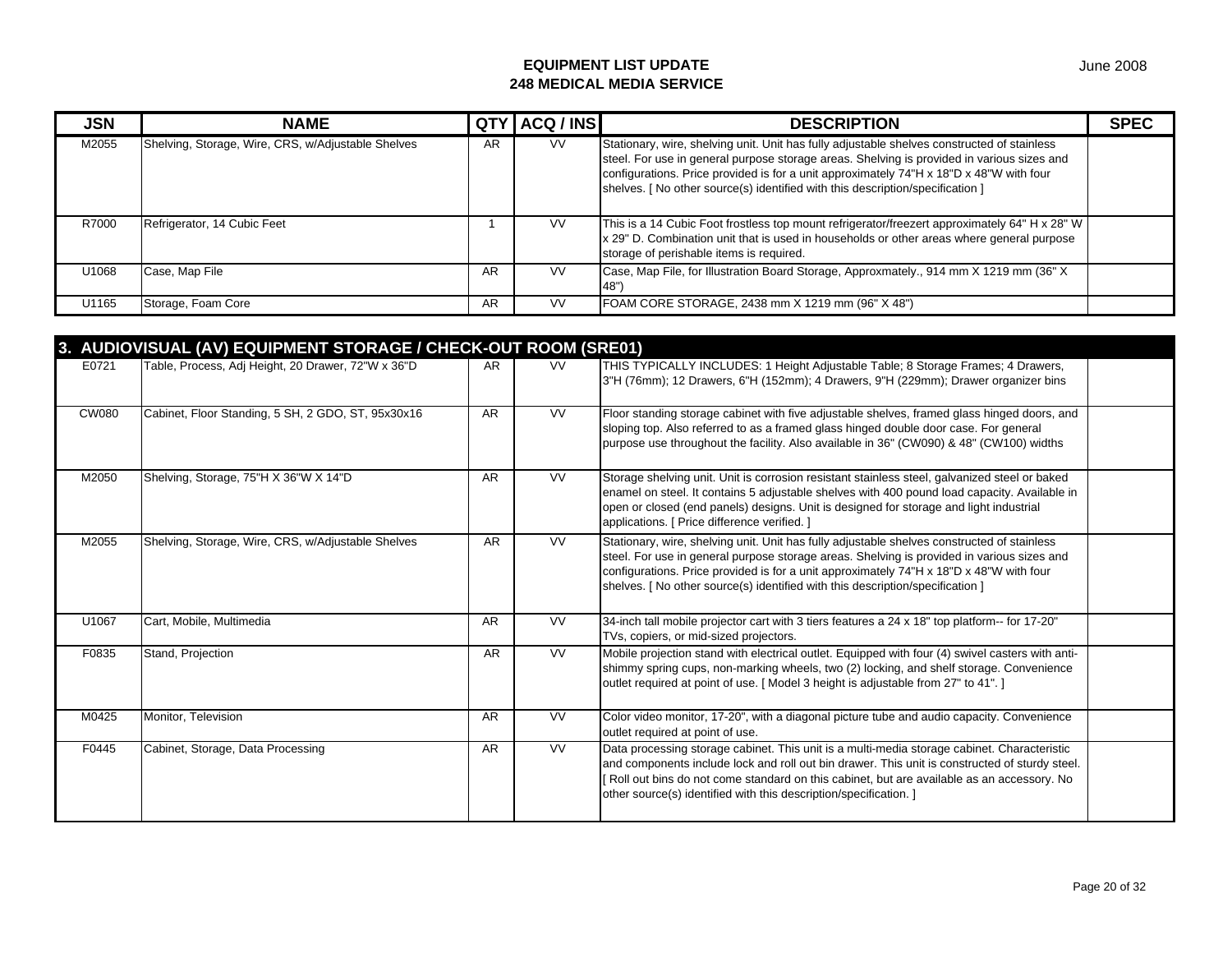| <b>JSN</b> | <b>NAME</b>                                        | QT) | ACQ / INS | <b>DESCRIPTION</b>                                                                                                                                                                                                                                                                                                                                                    | <b>SPEC</b> |
|------------|----------------------------------------------------|-----|-----------|-----------------------------------------------------------------------------------------------------------------------------------------------------------------------------------------------------------------------------------------------------------------------------------------------------------------------------------------------------------------------|-------------|
| M2055      | Shelving, Storage, Wire, CRS, w/Adjustable Shelves | AR  | <b>VV</b> | Stationary, wire, shelving unit. Unit has fully adjustable shelves constructed of stainless<br>steel. For use in general purpose storage areas. Shelving is provided in various sizes and<br>configurations. Price provided is for a unit approximately 74"H x 18"D x 48"W with four<br>shelves. [No other source(s) identified with this description/specification ] |             |
| R7000      | Refrigerator, 14 Cubic Feet                        |     | <b>VV</b> | This is a 14 Cubic Foot frostless top mount refrigerator/freezert approximately 64" H x 28" W<br>x 29" D. Combination unit that is used in households or other areas where general purpose<br>storage of perishable items is required.                                                                                                                                |             |
| U1068      | Case, Map File                                     | AR  | VV.       | Case, Map File, for Illustration Board Storage, Approxmately., 914 mm X 1219 mm (36" X                                                                                                                                                                                                                                                                                |             |
| U1165      | Storage, Foam Core                                 | AR  | <b>VV</b> | FOAM CORE STORAGE, 2438 mm X 1219 mm (96" X 48")                                                                                                                                                                                                                                                                                                                      |             |

|              | 3. AUDIOVISUAL (AV) EQUIPMENT STORAGE / CHECK-OUT ROOM (SRE01) |           |           |                                                                                                                                                                                                                                                                                                                                                                        |  |
|--------------|----------------------------------------------------------------|-----------|-----------|------------------------------------------------------------------------------------------------------------------------------------------------------------------------------------------------------------------------------------------------------------------------------------------------------------------------------------------------------------------------|--|
| E0721        | Table, Process, Adj Height, 20 Drawer, 72"W x 36"D             | AR.       | <b>VV</b> | THIS TYPICALLY INCLUDES: 1 Height Adjustable Table; 8 Storage Frames; 4 Drawers,<br>3"H (76mm); 12 Drawers, 6"H (152mm); 4 Drawers, 9"H (229mm); Drawer organizer bins                                                                                                                                                                                                 |  |
| <b>CW080</b> | Cabinet, Floor Standing, 5 SH, 2 GDO, ST, 95x30x16             | <b>AR</b> | VV        | Floor standing storage cabinet with five adjustable shelves, framed glass hinged doors, and<br>sloping top. Also referred to as a framed glass hinged double door case. For general<br>purpose use throughout the facility. Also available in 36" (CW090) & 48" (CW100) widths                                                                                         |  |
| M2050        | Shelving, Storage, 75"H X 36"W X 14"D                          | <b>AR</b> | <b>VV</b> | Storage shelving unit. Unit is corrosion resistant stainless steel, galvanized steel or baked<br>enamel on steel. It contains 5 adjustable shelves with 400 pound load capacity. Available in<br>open or closed (end panels) designs. Unit is designed for storage and light industrial<br>applications. [ Price difference verified. ]                                |  |
| M2055        | Shelving, Storage, Wire, CRS, w/Adjustable Shelves             | <b>AR</b> | <b>VV</b> | Stationary, wire, shelving unit. Unit has fully adjustable shelves constructed of stainless<br>steel. For use in general purpose storage areas. Shelving is provided in various sizes and<br>configurations. Price provided is for a unit approximately 74"H x 18"D x 48"W with four<br>shelves. [ No other source(s) identified with this description/specification ] |  |
| U1067        | Cart, Mobile, Multimedia                                       | <b>AR</b> | <b>VV</b> | 34-inch tall mobile projector cart with 3 tiers features a 24 x 18" top platform-- for 17-20"<br>TVs, copiers, or mid-sized projectors.                                                                                                                                                                                                                                |  |
| F0835        | Stand, Projection                                              | <b>AR</b> | <b>VV</b> | Mobile projection stand with electrical outlet. Equipped with four (4) swivel casters with anti-<br>shimmy spring cups, non-marking wheels, two (2) locking, and shelf storage. Convenience<br>outlet required at point of use. [Model 3 height is adjustable from 27" to 41".]                                                                                        |  |
| M0425        | Monitor, Television                                            | <b>AR</b> | <b>VV</b> | Color video monitor, 17-20", with a diagonal picture tube and audio capacity. Convenience<br>outlet required at point of use.                                                                                                                                                                                                                                          |  |
| F0445        | Cabinet, Storage, Data Processing                              | <b>AR</b> | <b>VV</b> | Data processing storage cabinet. This unit is a multi-media storage cabinet. Characteristic<br>and components include lock and roll out bin drawer. This unit is constructed of sturdy steel.<br>Roll out bins do not come standard on this cabinet, but are available as an accessory. No<br>other source(s) identified with this description/specification. ]        |  |

June 2008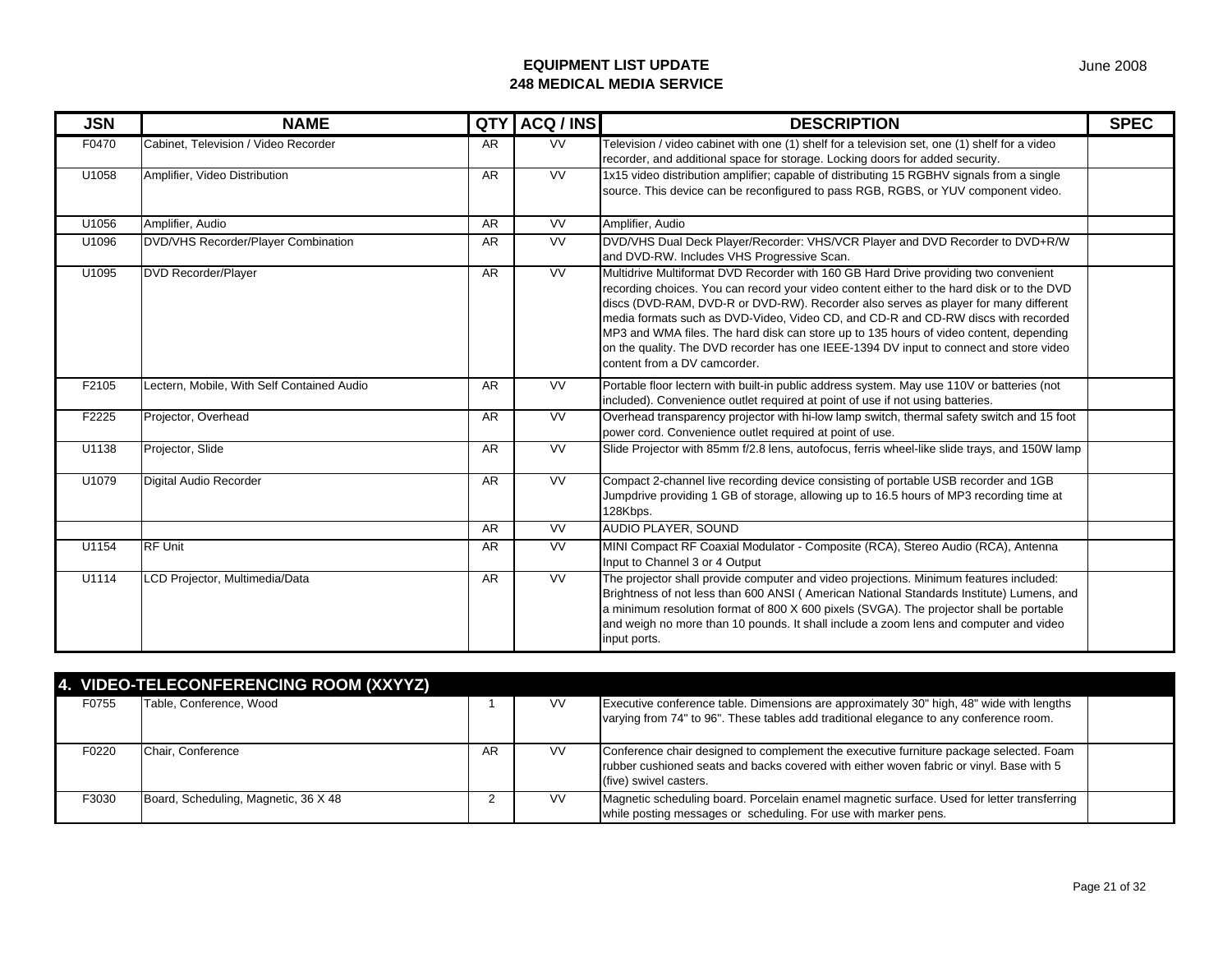| <b>JSN</b> | <b>NAME</b>                                | <b>QTY</b> | ACQ / INS                | <b>DESCRIPTION</b>                                                                                                                                                                                                                                                                                                                                                                                                                                                                                                                                                                | <b>SPEC</b> |
|------------|--------------------------------------------|------------|--------------------------|-----------------------------------------------------------------------------------------------------------------------------------------------------------------------------------------------------------------------------------------------------------------------------------------------------------------------------------------------------------------------------------------------------------------------------------------------------------------------------------------------------------------------------------------------------------------------------------|-------------|
| F0470      | Cabinet, Television / Video Recorder       | <b>AR</b>  | <b>VV</b>                | Television / video cabinet with one (1) shelf for a television set, one (1) shelf for a video<br>recorder, and additional space for storage. Locking doors for added security.                                                                                                                                                                                                                                                                                                                                                                                                    |             |
| U1058      | Amplifier, Video Distribution              | AR         | <b>VV</b>                | 1x15 video distribution amplifier; capable of distributing 15 RGBHV signals from a single<br>source. This device can be reconfigured to pass RGB, RGBS, or YUV component video.                                                                                                                                                                                                                                                                                                                                                                                                   |             |
| U1056      | Amplifier, Audio                           | AR         | $\overline{\text{VV}}$   | Amplifier, Audio                                                                                                                                                                                                                                                                                                                                                                                                                                                                                                                                                                  |             |
| U1096      | DVD/VHS Recorder/Player Combination        | <b>AR</b>  | <b>VV</b>                | DVD/VHS Dual Deck Player/Recorder: VHS/VCR Player and DVD Recorder to DVD+R/W<br>and DVD-RW. Includes VHS Progressive Scan.                                                                                                                                                                                                                                                                                                                                                                                                                                                       |             |
| U1095      | <b>DVD Recorder/Player</b>                 | <b>AR</b>  | $\overline{\mathsf{vv}}$ | Multidrive Multiformat DVD Recorder with 160 GB Hard Drive providing two convenient<br>recording choices. You can record your video content either to the hard disk or to the DVD<br>discs (DVD-RAM, DVD-R or DVD-RW). Recorder also serves as player for many different<br>media formats such as DVD-Video, Video CD, and CD-R and CD-RW discs with recorded<br>MP3 and WMA files. The hard disk can store up to 135 hours of video content, depending<br>on the quality. The DVD recorder has one IEEE-1394 DV input to connect and store video<br>content from a DV camcorder. |             |
| F2105      | Lectern, Mobile, With Self Contained Audio | <b>AR</b>  | <b>VV</b>                | Portable floor lectern with built-in public address system. May use 110V or batteries (not<br>included). Convenience outlet required at point of use if not using batteries.                                                                                                                                                                                                                                                                                                                                                                                                      |             |
| F2225      | Projector, Overhead                        | AR         | <b>VV</b>                | Overhead transparency projector with hi-low lamp switch, thermal safety switch and 15 foot<br>power cord. Convenience outlet required at point of use.                                                                                                                                                                                                                                                                                                                                                                                                                            |             |
| U1138      | Projector, Slide                           | <b>AR</b>  | <b>VV</b>                | Slide Projector with 85mm f/2.8 lens, autofocus, ferris wheel-like slide trays, and 150W lamp                                                                                                                                                                                                                                                                                                                                                                                                                                                                                     |             |
| U1079      | Digital Audio Recorder                     | <b>AR</b>  | <b>VV</b>                | Compact 2-channel live recording device consisting of portable USB recorder and 1GB<br>Jumpdrive providing 1 GB of storage, allowing up to 16.5 hours of MP3 recording time at<br>128Kbps.                                                                                                                                                                                                                                                                                                                                                                                        |             |
|            |                                            | <b>AR</b>  | <b>VV</b>                | AUDIO PLAYER, SOUND                                                                                                                                                                                                                                                                                                                                                                                                                                                                                                                                                               |             |
| U1154      | <b>RF Unit</b>                             | <b>AR</b>  | <b>VV</b>                | MINI Compact RF Coaxial Modulator - Composite (RCA), Stereo Audio (RCA), Antenna<br>Input to Channel 3 or 4 Output                                                                                                                                                                                                                                                                                                                                                                                                                                                                |             |
| U1114      | LCD Projector, Multimedia/Data             | <b>AR</b>  | <b>VV</b>                | The projector shall provide computer and video projections. Minimum features included:<br>Brightness of not less than 600 ANSI (American National Standards Institute) Lumens, and<br>a minimum resolution format of 800 X 600 pixels (SVGA). The projector shall be portable<br>and weigh no more than 10 pounds. It shall include a zoom lens and computer and video<br>input ports.                                                                                                                                                                                            |             |

|       | 4. VIDEO-TELECONFERENCING ROOM (XXYYZ) |    |           |                                                                                                                                                                                                             |  |
|-------|----------------------------------------|----|-----------|-------------------------------------------------------------------------------------------------------------------------------------------------------------------------------------------------------------|--|
| F0755 | Table, Conference, Wood                |    | <b>VV</b> | Executive conference table. Dimensions are approximately 30" high, 48" wide with lengths<br>varying from 74" to 96". These tables add traditional elegance to any conference room.                          |  |
| F0220 | Chair, Conference                      | AR | <b>VV</b> | Conference chair designed to complement the executive furniture package selected. Foam<br>rubber cushioned seats and backs covered with either woven fabric or vinyl. Base with 5<br>(five) swivel casters. |  |
| F3030 | Board, Scheduling, Magnetic, 36 X 48   |    | <b>VV</b> | Magnetic scheduling board. Porcelain enamel magnetic surface. Used for letter transferring<br>while posting messages or scheduling. For use with marker pens.                                               |  |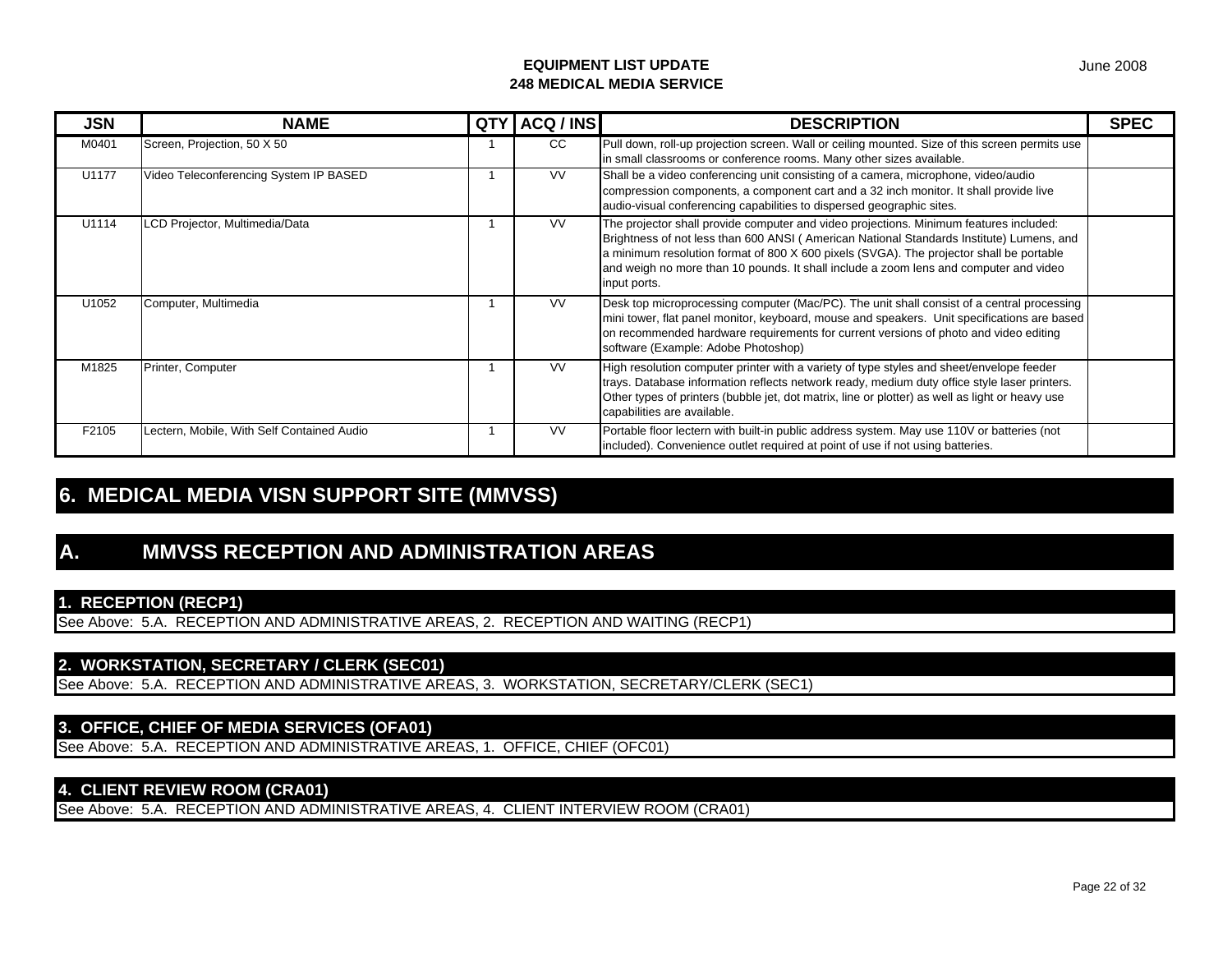| <b>JSN</b> | <b>NAME</b>                                | <b>QTY</b> | ACQ / INS | <b>DESCRIPTION</b>                                                                                                                                                                                                                                                                                                                                                                     | <b>SPEC</b> |
|------------|--------------------------------------------|------------|-----------|----------------------------------------------------------------------------------------------------------------------------------------------------------------------------------------------------------------------------------------------------------------------------------------------------------------------------------------------------------------------------------------|-------------|
| M0401      | Screen, Projection, 50 X 50                |            | CC        | Pull down, roll-up projection screen. Wall or ceiling mounted. Size of this screen permits use<br>in small classrooms or conference rooms. Many other sizes available.                                                                                                                                                                                                                 |             |
| U1177      | Video Teleconferencing System IP BASED     |            | <b>VV</b> | Shall be a video conferencing unit consisting of a camera, microphone, video/audio<br>compression components, a component cart and a 32 inch monitor. It shall provide live<br>audio-visual conferencing capabilities to dispersed geographic sites.                                                                                                                                   |             |
| U1114      | LCD Projector, Multimedia/Data             |            | <b>VV</b> | The projector shall provide computer and video projections. Minimum features included:<br>Brightness of not less than 600 ANSI (American National Standards Institute) Lumens, and<br>a minimum resolution format of 800 X 600 pixels (SVGA). The projector shall be portable<br>and weigh no more than 10 pounds. It shall include a zoom lens and computer and video<br>input ports. |             |
| U1052      | Computer, Multimedia                       |            | <b>VV</b> | Desk top microprocessing computer (Mac/PC). The unit shall consist of a central processing<br>mini tower, flat panel monitor, keyboard, mouse and speakers. Unit specifications are based<br>on recommended hardware requirements for current versions of photo and video editing<br>software (Example: Adobe Photoshop)                                                               |             |
| M1825      | Printer, Computer                          |            | <b>VV</b> | High resolution computer printer with a variety of type styles and sheet/envelope feeder<br>trays. Database information reflects network ready, medium duty office style laser printers.<br>Other types of printers (bubble jet, dot matrix, line or plotter) as well as light or heavy use<br>capabilities are available.                                                             |             |
| F2105      | Lectern, Mobile, With Self Contained Audio |            | <b>VV</b> | Portable floor lectern with built-in public address system. May use 110V or batteries (not<br>included). Convenience outlet required at point of use if not using batteries.                                                                                                                                                                                                           |             |

# **6. MEDICAL MEDIA VISN SUPPORT SITE (MMVSS)**

# **A. MMVSS RECEPTION AND ADMINISTRATION AREAS**

## **1. RECEPTION (RECP1)**

See Above: 5.A. RECEPTION AND ADMINISTRATIVE AREAS, 2. RECEPTION AND WAITING (RECP1)

#### **2. WORKSTATION, SECRETARY / CLERK (SEC01)**

See Above: 5.A. RECEPTION AND ADMINISTRATIVE AREAS, 3. WORKSTATION, SECRETARY/CLERK (SEC1)

## **3. OFFICE, CHIEF OF MEDIA SERVICES (OFA01)**

See Above: 5.A. RECEPTION AND ADMINISTRATIVE AREAS, 1. OFFICE, CHIEF (OFC01)

## **4. CLIENT REVIEW ROOM (CRA01)**

See Above: 5.A. RECEPTION AND ADMINISTRATIVE AREAS, 4. CLIENT INTERVIEW ROOM (CRA01)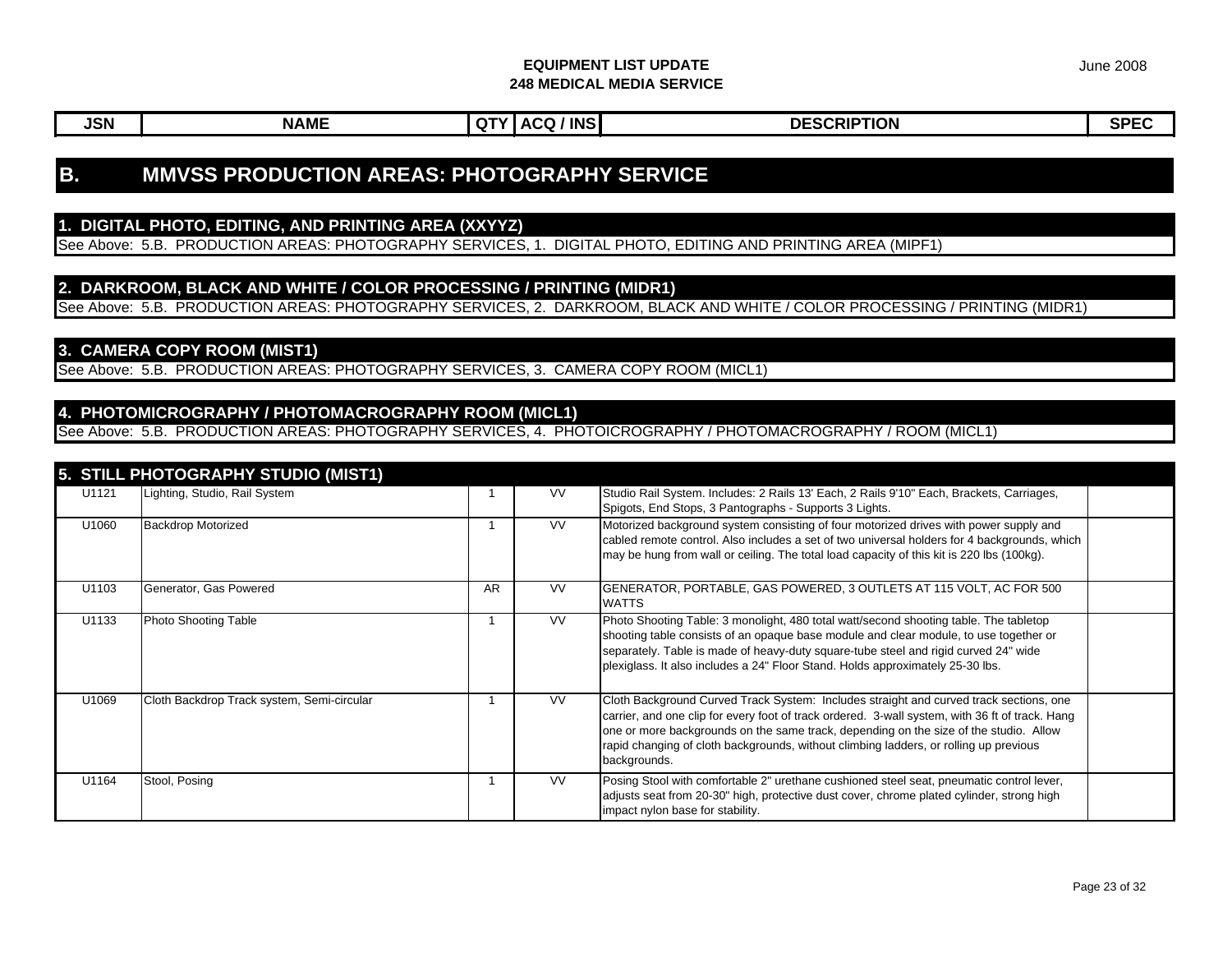# **B. MMVSS PRODUCTION AREAS: PHOTOGRAPHY SERVICE**

### **1. DIGITAL PHOTO, EDITING, AND PRINTING AREA (XXYYZ)**

See Above: 5.B. PRODUCTION AREAS: PHOTOGRAPHY SERVICES, 1. DIGITAL PHOTO, EDITING AND PRINTING AREA (MIPF1)

#### **2. DARKROOM, BLACK AND WHITE / COLOR PROCESSING / PRINTING (MIDR1)**

See Above: 5.B. PRODUCTION AREAS: PHOTOGRAPHY SERVICES, 2. DARKROOM, BLACK AND WHITE / COLOR PROCESSING / PRINTING (MIDR1)

### **3. CAMERA COPY ROOM (MIST1)**

See Above: 5.B. PRODUCTION AREAS: PHOTOGRAPHY SERVICES, 3. CAMERA COPY ROOM (MICL1)

#### **4. PHOTOMICROGRAPHY / PHOTOMACROGRAPHY ROOM (MICL1)**

See Above: 5.B. PRODUCTION AREAS: PHOTOGRAPHY SERVICES, 4. PHOTOICROGRAPHY / PHOTOMACROGRAPHY / ROOM (MICL1)

|       | 5. STILL PHOTOGRAPHY STUDIO (MIST1)        |           |           |                                                                                                                                                                                                                                                                                                                                                                                             |  |
|-------|--------------------------------------------|-----------|-----------|---------------------------------------------------------------------------------------------------------------------------------------------------------------------------------------------------------------------------------------------------------------------------------------------------------------------------------------------------------------------------------------------|--|
| U1121 | Lighting, Studio, Rail System              |           | <b>VV</b> | Studio Rail System. Includes: 2 Rails 13' Each, 2 Rails 9'10" Each, Brackets, Carriages,<br>Spigots, End Stops, 3 Pantographs - Supports 3 Lights.                                                                                                                                                                                                                                          |  |
| U1060 | <b>Backdrop Motorized</b>                  |           | <b>VV</b> | Motorized background system consisting of four motorized drives with power supply and<br>cabled remote control. Also includes a set of two universal holders for 4 backgrounds, which<br>may be hung from wall or ceiling. The total load capacity of this kit is 220 lbs (100kg).                                                                                                          |  |
| U1103 | Generator, Gas Powered                     | <b>AR</b> | <b>VV</b> | GENERATOR, PORTABLE, GAS POWERED, 3 OUTLETS AT 115 VOLT, AC FOR 500<br><b>WATTS</b>                                                                                                                                                                                                                                                                                                         |  |
| U1133 | Photo Shooting Table                       |           | <b>VV</b> | Photo Shooting Table: 3 monolight, 480 total watt/second shooting table. The tabletop<br>shooting table consists of an opaque base module and clear module, to use together or<br>separately. Table is made of heavy-duty square-tube steel and rigid curved 24" wide<br>plexiglass. It also includes a 24" Floor Stand. Holds approximately 25-30 lbs.                                     |  |
| U1069 | Cloth Backdrop Track system, Semi-circular |           | <b>VV</b> | Cloth Background Curved Track System: Includes straight and curved track sections, one<br>carrier, and one clip for every foot of track ordered. 3-wall system, with 36 ft of track. Hang<br>one or more backgrounds on the same track, depending on the size of the studio. Allow<br>rapid changing of cloth backgrounds, without climbing ladders, or rolling up previous<br>backgrounds. |  |
| U1164 | Stool, Posing                              |           | VV.       | Posing Stool with comfortable 2" urethane cushioned steel seat, pneumatic control lever,<br>adjusts seat from 20-30" high, protective dust cover, chrome plated cylinder, strong high<br>impact nylon base for stability.                                                                                                                                                                   |  |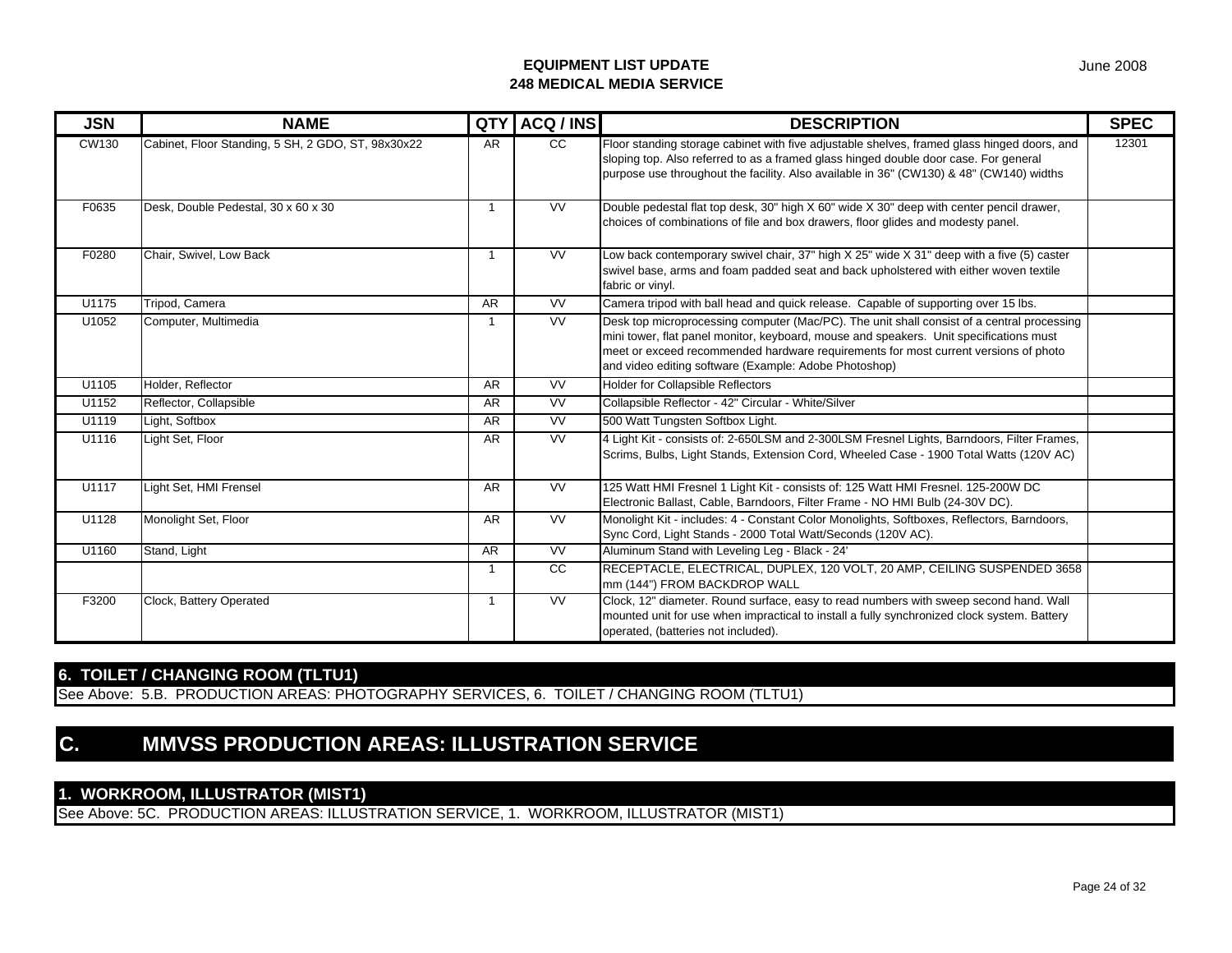| <b>JSN</b>   | <b>NAME</b>                                        | <b>QTY</b> | ACQ / INS       | <b>DESCRIPTION</b>                                                                                                                                                                                                                                                                                                                   | <b>SPEC</b> |
|--------------|----------------------------------------------------|------------|-----------------|--------------------------------------------------------------------------------------------------------------------------------------------------------------------------------------------------------------------------------------------------------------------------------------------------------------------------------------|-------------|
| <b>CW130</b> | Cabinet, Floor Standing, 5 SH, 2 GDO, ST, 98x30x22 | <b>AR</b>  | $\overline{cc}$ | Floor standing storage cabinet with five adjustable shelves, framed glass hinged doors, and<br>sloping top. Also referred to as a framed glass hinged double door case. For general<br>purpose use throughout the facility. Also available in 36" (CW130) & 48" (CW140) widths                                                       | 12301       |
| F0635        | Desk, Double Pedestal, 30 x 60 x 30                | -1         | <b>VV</b>       | Double pedestal flat top desk, 30" high X 60" wide X 30" deep with center pencil drawer,<br>choices of combinations of file and box drawers, floor glides and modesty panel.                                                                                                                                                         |             |
| F0280        | Chair, Swivel, Low Back                            | -1         | <b>VV</b>       | Low back contemporary swivel chair, 37" high X 25" wide X 31" deep with a five (5) caster<br>swivel base, arms and foam padded seat and back upholstered with either woven textile<br>fabric or vinyl.                                                                                                                               |             |
| U1175        | Tripod, Camera                                     | <b>AR</b>  | <b>VV</b>       | Camera tripod with ball head and quick release. Capable of supporting over 15 lbs.                                                                                                                                                                                                                                                   |             |
| U1052        | Computer, Multimedia                               |            | <b>VV</b>       | Desk top microprocessing computer (Mac/PC). The unit shall consist of a central processing<br>mini tower, flat panel monitor, keyboard, mouse and speakers. Unit specifications must<br>meet or exceed recommended hardware requirements for most current versions of photo<br>and video editing software (Example: Adobe Photoshop) |             |
| U1105        | Holder, Reflector                                  | <b>AR</b>  | W               | <b>Holder for Collapsible Reflectors</b>                                                                                                                                                                                                                                                                                             |             |
| U1152        | Reflector, Collapsible                             | <b>AR</b>  | <b>VV</b>       | Collapsible Reflector - 42" Circular - White/Silver                                                                                                                                                                                                                                                                                  |             |
| U1119        | Light, Softbox                                     | <b>AR</b>  | W               | 500 Watt Tungsten Softbox Light.                                                                                                                                                                                                                                                                                                     |             |
| U1116        | Light Set, Floor                                   | <b>AR</b>  | W               | 4 Light Kit - consists of: 2-650LSM and 2-300LSM Fresnel Lights, Barndoors, Filter Frames,<br>Scrims, Bulbs, Light Stands, Extension Cord, Wheeled Case - 1900 Total Watts (120V AC)                                                                                                                                                 |             |
| U1117        | Light Set, HMI Frensel                             | <b>AR</b>  | <b>VV</b>       | 125 Watt HMI Fresnel 1 Light Kit - consists of: 125 Watt HMI Fresnel. 125-200W DC<br>Electronic Ballast, Cable, Barndoors, Filter Frame - NO HMI Bulb (24-30V DC).                                                                                                                                                                   |             |
| U1128        | Monolight Set, Floor                               | <b>AR</b>  | <b>VV</b>       | Monolight Kit - includes: 4 - Constant Color Monolights, Softboxes, Reflectors, Barndoors,<br>Sync Cord, Light Stands - 2000 Total Watt/Seconds (120V AC).                                                                                                                                                                           |             |
| U1160        | Stand, Light                                       | <b>AR</b>  | <b>VV</b>       | Aluminum Stand with Leveling Leg - Black - 24'                                                                                                                                                                                                                                                                                       |             |
|              |                                                    | -1         | $\overline{cc}$ | RECEPTACLE, ELECTRICAL, DUPLEX, 120 VOLT, 20 AMP, CEILING SUSPENDED 3658<br>mm (144") FROM BACKDROP WALL                                                                                                                                                                                                                             |             |
| F3200        | Clock, Battery Operated                            | -1         | W               | Clock, 12" diameter. Round surface, easy to read numbers with sweep second hand. Wall<br>mounted unit for use when impractical to install a fully synchronized clock system. Battery<br>operated, (batteries not included).                                                                                                          |             |

## **6. TOILET / CHANGING ROOM (TLTU1)**

See Above: 5.B. PRODUCTION AREAS: PHOTOGRAPHY SERVICES, 6. TOILET / CHANGING ROOM (TLTU1)

# **C. MMVSS PRODUCTION AREAS: ILLUSTRATION SERVICE**

## **1. WORKROOM, ILLUSTRATOR (MIST1)**

See Above: 5C. PRODUCTION AREAS: ILLUSTRATION SERVICE, 1. WORKROOM, ILLUSTRATOR (MIST1)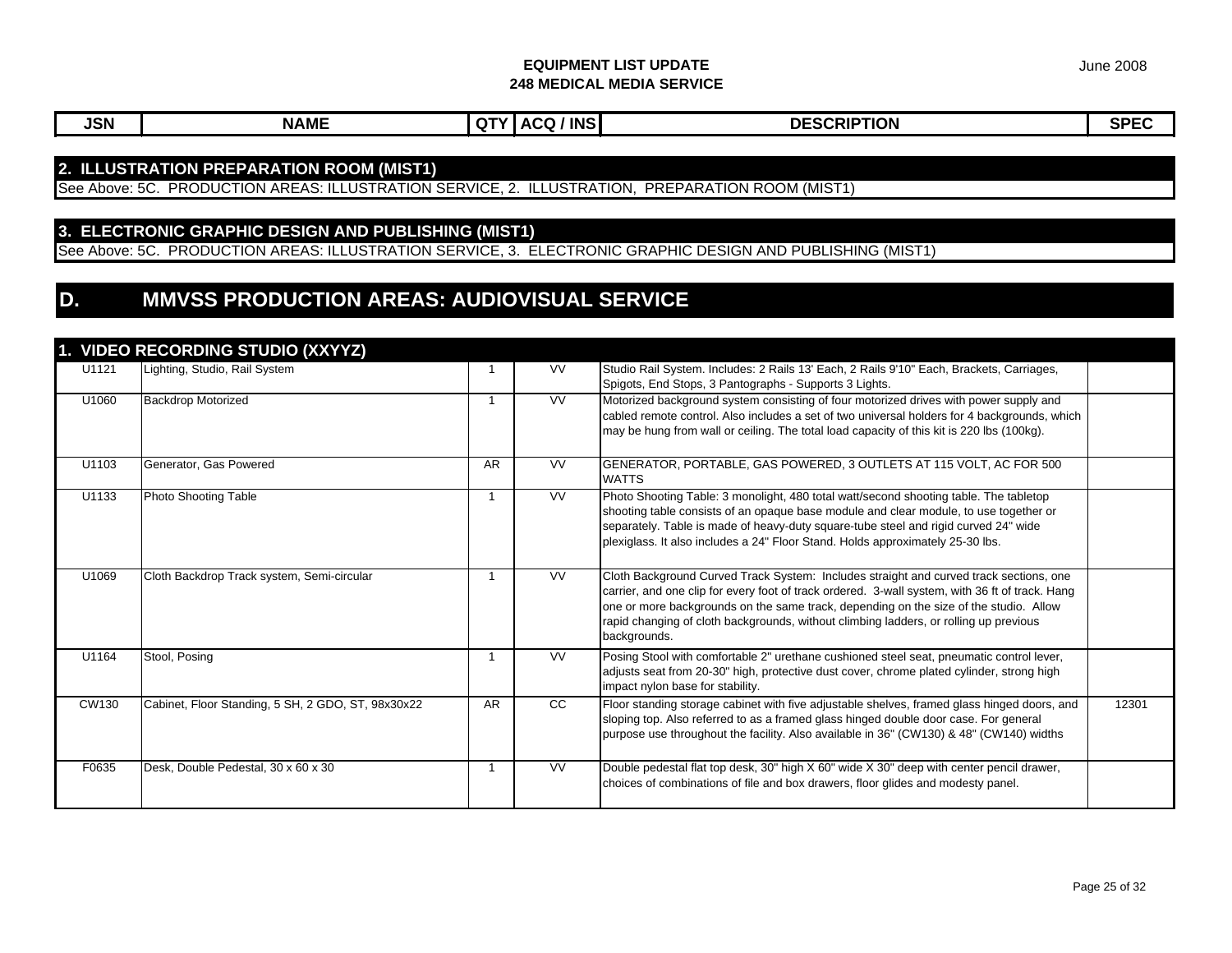June 2008

**JSN NAME QTY ACQ / INS DESCRIPTION SPEC**U1121 Lighting, Studio, Rail System 1 1 VV Studio Rail System. Includes: 2 Rails 13' Each, 2 Rails 9'10" Each, Brackets, Carriages, Spigots, End Stops, 3 Pantographs - Supports 3 Lights. U1060 Backdrop Motorized **1** 1 VV Motorized background system consisting of four motorized drives with power supply and cabled remote control. Also includes a set of two universal holders for 4 backgrounds, which may be hung from wall or ceiling. The total load capacity of this kit is 220 lbs (100kg). U1103 Generator, Gas Powered **AR AR VV GENERATOR, PORTABLE, GAS POWERED, 3 OUTLETS AT 115 VOLT, AC FOR 500** WATTS U1133 Photo Shooting Table 1 VV Photo Shooting Table: 3 monolight, 480 total watt/second shooting table. The tabletop shooting table consists of an opaque base module and clear module, to use together or separately. Table is made of heavy-duty square-tube steel and rigid curved 24" wide plexiglass. It also includes a 24" Floor Stand. Holds approximately 25-30 lbs. U1069 Cloth Backdrop Track system, Semi-circular 1 1 VV Cloth Background Curved Track System: Includes straight and curved track sections, one carrier, and one clip for every foot of track ordered. 3-wall system, with 36 ft of track. Hang one or more backgrounds on the same track, depending on the size of the studio. Allow rapid changing of cloth backgrounds, without climbing ladders, or rolling up previous backgrounds. U1164 Stool, Posing Stool, Posing Stool with comfortable 2" urethane cushioned steel seat, pneumatic control lever, adjusts seat from 20-30" high, protective dust cover, chrome plated cylinder, strong high See Above: 5C. PRODUCTION AREAS: ILLUSTRATION SERVICE, 3. ELECTRONIC GRAPHIC DESIGN AND PUBLISHING (MIST1) **D. MMVSS PRODUCTION AREAS: AUDIOVISUAL SERVICE1. VIDEO RECORDING STUDIO (XXYYZ) 2. ILLUSTRATION PREPARATION ROOM (MIST1)**  See Above: 5C. PRODUCTION AREAS: ILLUSTRATION SERVICE, 2. ILLUSTRATION, PREPARATION ROOM (MIST1) **3. ELECTRONIC GRAPHIC DESIGN AND PUBLISHING (MIST1)**

CW130 Cabinet, Floor Standing, 5 SH, 2 GDO, ST, 98x30x22 AR CC Floor standing storage cabinet with five adjustable shelves, framed glass hinged doors, and

F0635 Desk, Double Pedestal, 30 x 60 x 30 1 1 VV Double pedestal flat top desk, 30" high X 60" wide X 30" deep with center pencil drawer,

impact nylon base for stability.

sloping top. Also referred to as a framed glass hinged double door case. For general purpose use throughout the facility. Also available in 36" (CW130) & 48" (CW140) widths

choices of combinations of file and box drawers, floor glides and modesty panel.

12301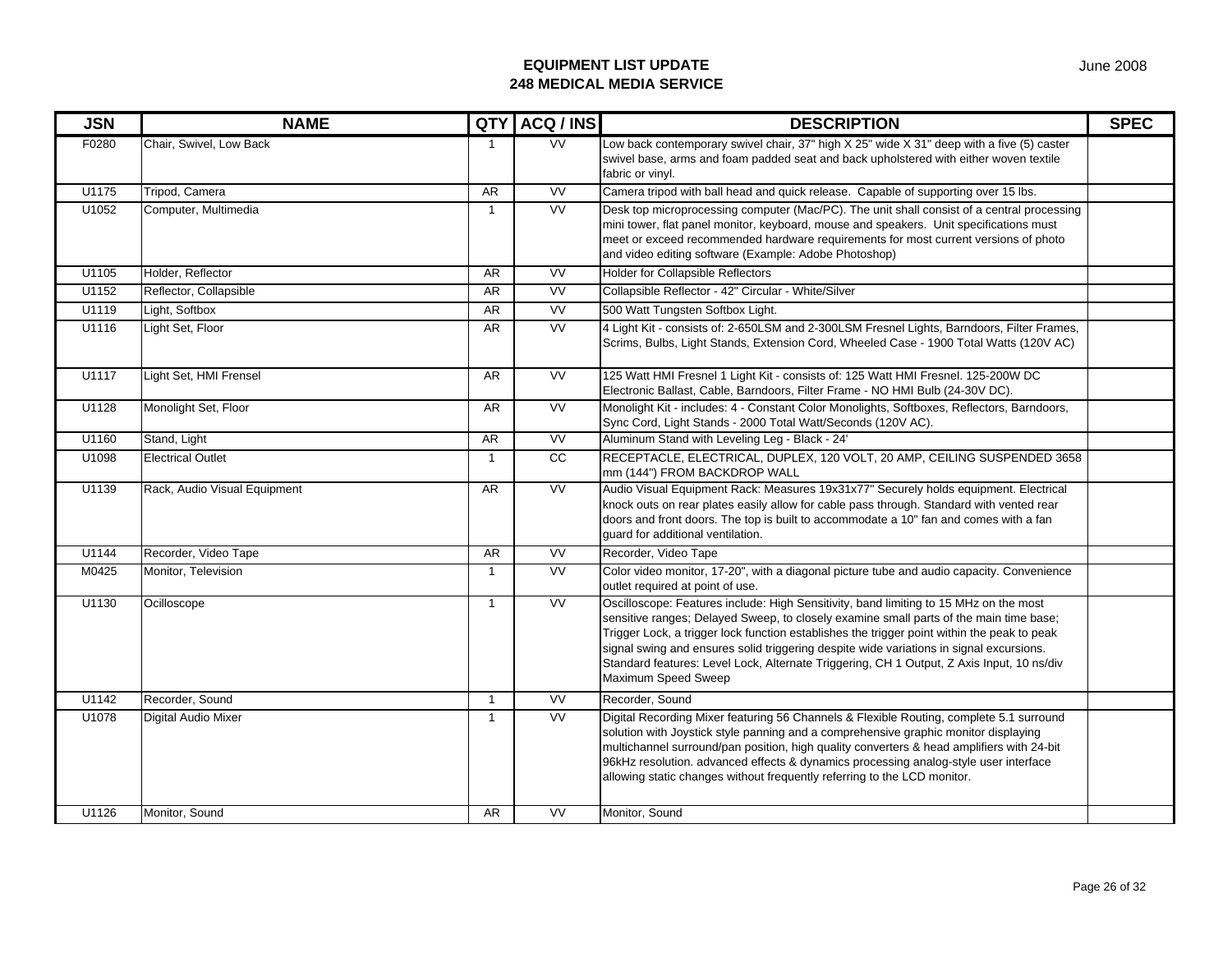| <b>JSN</b> | <b>NAME</b>                  | <b>QTY</b>     | ACQ / INS              | <b>DESCRIPTION</b>                                                                                                                                                                                                                                                                                                                                                                                                                                                                            | <b>SPEC</b> |
|------------|------------------------------|----------------|------------------------|-----------------------------------------------------------------------------------------------------------------------------------------------------------------------------------------------------------------------------------------------------------------------------------------------------------------------------------------------------------------------------------------------------------------------------------------------------------------------------------------------|-------------|
| F0280      | Chair, Swivel, Low Back      | $\overline{1}$ | <b>VV</b>              | Low back contemporary swivel chair, 37" high X 25" wide X 31" deep with a five (5) caster<br>swivel base, arms and foam padded seat and back upholstered with either woven textile<br>fabric or vinyl.                                                                                                                                                                                                                                                                                        |             |
| U1175      | Tripod, Camera               | AR.            | <b>VV</b>              | Camera tripod with ball head and quick release. Capable of supporting over 15 lbs.                                                                                                                                                                                                                                                                                                                                                                                                            |             |
| U1052      | Computer, Multimedia         | $\overline{1}$ | <b>VV</b>              | Desk top microprocessing computer (Mac/PC). The unit shall consist of a central processing<br>mini tower, flat panel monitor, keyboard, mouse and speakers. Unit specifications must<br>meet or exceed recommended hardware requirements for most current versions of photo<br>and video editing software (Example: Adobe Photoshop)                                                                                                                                                          |             |
| U1105      | Holder, Reflector            | <b>AR</b>      | <b>VV</b>              | <b>Holder for Collapsible Reflectors</b>                                                                                                                                                                                                                                                                                                                                                                                                                                                      |             |
| U1152      | Reflector, Collapsible       | AR             | $\overline{\text{VV}}$ | Collapsible Reflector - 42" Circular - White/Silver                                                                                                                                                                                                                                                                                                                                                                                                                                           |             |
| U1119      | Light, Softbox               | AR             | VV                     | 500 Watt Tungsten Softbox Light.                                                                                                                                                                                                                                                                                                                                                                                                                                                              |             |
| U1116      | Light Set, Floor             | <b>AR</b>      | <b>VV</b>              | 4 Light Kit - consists of: 2-650LSM and 2-300LSM Fresnel Lights, Barndoors, Filter Frames,<br>Scrims, Bulbs, Light Stands, Extension Cord, Wheeled Case - 1900 Total Watts (120V AC)                                                                                                                                                                                                                                                                                                          |             |
| U1117      | Light Set, HMI Frensel       | <b>AR</b>      | <b>VV</b>              | 125 Watt HMI Fresnel 1 Light Kit - consists of: 125 Watt HMI Fresnel. 125-200W DC<br>Electronic Ballast, Cable, Barndoors, Filter Frame - NO HMI Bulb (24-30V DC).                                                                                                                                                                                                                                                                                                                            |             |
| U1128      | Monolight Set, Floor         | AR             | $\overline{\text{VV}}$ | Monolight Kit - includes: 4 - Constant Color Monolights, Softboxes, Reflectors, Barndoors,<br>Sync Cord, Light Stands - 2000 Total Watt/Seconds (120V AC).                                                                                                                                                                                                                                                                                                                                    |             |
| U1160      | Stand, Light                 | AR             | W                      | Aluminum Stand with Leveling Leg - Black - 24'                                                                                                                                                                                                                                                                                                                                                                                                                                                |             |
| U1098      | <b>Electrical Outlet</b>     | $\mathbf{1}$   | cc                     | RECEPTACLE, ELECTRICAL, DUPLEX, 120 VOLT, 20 AMP, CEILING SUSPENDED 3658<br>mm (144") FROM BACKDROP WALL                                                                                                                                                                                                                                                                                                                                                                                      |             |
| U1139      | Rack, Audio Visual Equipment | <b>AR</b>      | VV                     | Audio Visual Equipment Rack: Measures 19x31x77" Securely holds equipment. Electrical<br>knock outs on rear plates easily allow for cable pass through. Standard with vented rear<br>doors and front doors. The top is built to accommodate a 10" fan and comes with a fan<br>quard for additional ventilation.                                                                                                                                                                                |             |
| U1144      | Recorder, Video Tape         | AR             | <b>VV</b>              | Recorder, Video Tape                                                                                                                                                                                                                                                                                                                                                                                                                                                                          |             |
| M0425      | Monitor, Television          | $\overline{1}$ | <b>VV</b>              | Color video monitor, 17-20", with a diagonal picture tube and audio capacity. Convenience<br>outlet required at point of use.                                                                                                                                                                                                                                                                                                                                                                 |             |
| U1130      | Ocilloscope                  | $\overline{1}$ | VV                     | Oscilloscope: Features include: High Sensitivity, band limiting to 15 MHz on the most<br>sensitive ranges; Delayed Sweep, to closely examine small parts of the main time base;<br>Trigger Lock, a trigger lock function establishes the trigger point within the peak to peak<br>signal swing and ensures solid triggering despite wide variations in signal excursions.<br>Standard features: Level Lock, Alternate Triggering, CH 1 Output, Z Axis Input, 10 ns/div<br>Maximum Speed Sweep |             |
| U1142      | Recorder, Sound              | $\overline{1}$ | <b>VV</b>              | Recorder, Sound                                                                                                                                                                                                                                                                                                                                                                                                                                                                               |             |
| U1078      | <b>Digital Audio Mixer</b>   | $\overline{1}$ | <b>VV</b>              | Digital Recording Mixer featuring 56 Channels & Flexible Routing, complete 5.1 surround<br>solution with Joystick style panning and a comprehensive graphic monitor displaying<br>multichannel surround/pan position, high quality converters & head amplifiers with 24-bit<br>96kHz resolution. advanced effects & dynamics processing analog-style user interface<br>allowing static changes without frequently referring to the LCD monitor.                                               |             |
| U1126      | Monitor, Sound               | <b>AR</b>      | VV                     | Monitor, Sound                                                                                                                                                                                                                                                                                                                                                                                                                                                                                |             |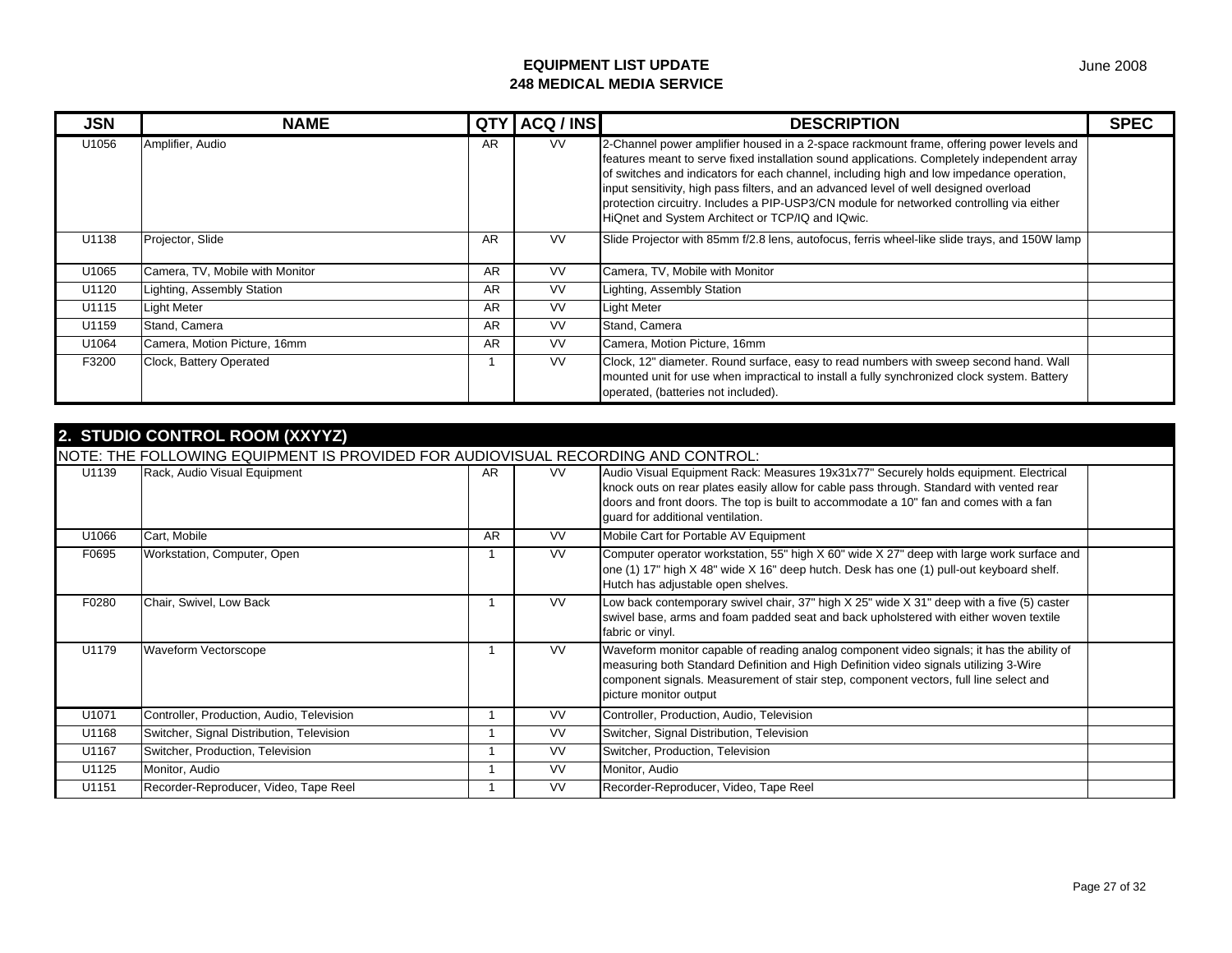| <b>JSN</b> | <b>NAME</b>                     | <b>QTY</b> | ACQ / INS | <b>DESCRIPTION</b>                                                                                                                                                                                                                                                                                                                                                                                                                                                                                                           | <b>SPEC</b> |
|------------|---------------------------------|------------|-----------|------------------------------------------------------------------------------------------------------------------------------------------------------------------------------------------------------------------------------------------------------------------------------------------------------------------------------------------------------------------------------------------------------------------------------------------------------------------------------------------------------------------------------|-------------|
| U1056      | Amplifier, Audio                | AR         | <b>VV</b> | 2-Channel power amplifier housed in a 2-space rackmount frame, offering power levels and<br>features meant to serve fixed installation sound applications. Completely independent array<br>of switches and indicators for each channel, including high and low impedance operation,<br>input sensitivity, high pass filters, and an advanced level of well designed overload<br>protection circuitry. Includes a PIP-USP3/CN module for networked controlling via either<br>HiQnet and System Architect or TCP/IQ and IQwic. |             |
| U1138      | Projector, Slide                | AR         | <b>VV</b> | Slide Projector with 85mm f/2.8 lens, autofocus, ferris wheel-like slide trays, and 150W lamp                                                                                                                                                                                                                                                                                                                                                                                                                                |             |
| U1065      | Camera, TV, Mobile with Monitor | <b>AR</b>  | <b>VV</b> | Camera, TV, Mobile with Monitor                                                                                                                                                                                                                                                                                                                                                                                                                                                                                              |             |
| U1120      | Lighting, Assembly Station      | AR         | <b>VV</b> | Lighting, Assembly Station                                                                                                                                                                                                                                                                                                                                                                                                                                                                                                   |             |
| U1115      | <b>Light Meter</b>              | AR         | <b>VV</b> | <b>Light Meter</b>                                                                                                                                                                                                                                                                                                                                                                                                                                                                                                           |             |
| U1159      | Stand, Camera                   | <b>AR</b>  | <b>VV</b> | Stand, Camera                                                                                                                                                                                                                                                                                                                                                                                                                                                                                                                |             |
| U1064      | Camera, Motion Picture, 16mm    | AR         | <b>VV</b> | Camera, Motion Picture, 16mm                                                                                                                                                                                                                                                                                                                                                                                                                                                                                                 |             |
| F3200      | Clock, Battery Operated         |            | <b>VV</b> | Clock, 12" diameter. Round surface, easy to read numbers with sweep second hand. Wall<br>mounted unit for use when impractical to install a fully synchronized clock system. Battery<br>operated, (batteries not included).                                                                                                                                                                                                                                                                                                  |             |

|       | 2. STUDIO CONTROL ROOM (XXYYZ)                                                   |           |           |                                                                                                                                                                                                                                                                                                                |  |  |  |  |  |  |
|-------|----------------------------------------------------------------------------------|-----------|-----------|----------------------------------------------------------------------------------------------------------------------------------------------------------------------------------------------------------------------------------------------------------------------------------------------------------------|--|--|--|--|--|--|
|       | NOTE: THE FOLLOWING EQUIPMENT IS PROVIDED FOR AUDIOVISUAL RECORDING AND CONTROL: |           |           |                                                                                                                                                                                                                                                                                                                |  |  |  |  |  |  |
| U1139 | Rack, Audio Visual Equipment                                                     | AR        | VV.       | Audio Visual Equipment Rack: Measures 19x31x77" Securely holds equipment. Electrical<br>knock outs on rear plates easily allow for cable pass through. Standard with vented rear<br>doors and front doors. The top is built to accommodate a 10" fan and comes with a fan<br>quard for additional ventilation. |  |  |  |  |  |  |
| U1066 | Cart, Mobile                                                                     | <b>AR</b> | <b>VV</b> | Mobile Cart for Portable AV Equipment                                                                                                                                                                                                                                                                          |  |  |  |  |  |  |
| F0695 | Workstation, Computer, Open                                                      |           | <b>VV</b> | Computer operator workstation, 55" high X 60" wide X 27" deep with large work surface and<br>one (1) 17" high X 48" wide X 16" deep hutch. Desk has one (1) pull-out keyboard shelf.<br>Hutch has adjustable open shelves.                                                                                     |  |  |  |  |  |  |
| F0280 | Chair, Swivel, Low Back                                                          |           | <b>VV</b> | Low back contemporary swivel chair, 37" high X 25" wide X 31" deep with a five (5) caster<br>swivel base, arms and foam padded seat and back upholstered with either woven textile<br>fabric or vinyl.                                                                                                         |  |  |  |  |  |  |
| U1179 | <b>Waveform Vectorscope</b>                                                      |           | <b>VV</b> | Waveform monitor capable of reading analog component video signals; it has the ability of<br>measuring both Standard Definition and High Definition video signals utilizing 3-Wire<br>component signals. Measurement of stair step, component vectors, full line select and<br>picture monitor output          |  |  |  |  |  |  |
| U1071 | Controller, Production, Audio, Television                                        |           | <b>VV</b> | Controller, Production, Audio, Television                                                                                                                                                                                                                                                                      |  |  |  |  |  |  |
| U1168 | Switcher, Signal Distribution, Television                                        |           | <b>VV</b> | Switcher, Signal Distribution, Television                                                                                                                                                                                                                                                                      |  |  |  |  |  |  |
| U1167 | Switcher, Production, Television                                                 |           | <b>VV</b> | Switcher, Production, Television                                                                                                                                                                                                                                                                               |  |  |  |  |  |  |
| U1125 | Monitor, Audio                                                                   |           | <b>VV</b> | Monitor, Audio                                                                                                                                                                                                                                                                                                 |  |  |  |  |  |  |
| U1151 | Recorder-Reproducer, Video, Tape Reel                                            |           | <b>VV</b> | Recorder-Reproducer, Video, Tape Reel                                                                                                                                                                                                                                                                          |  |  |  |  |  |  |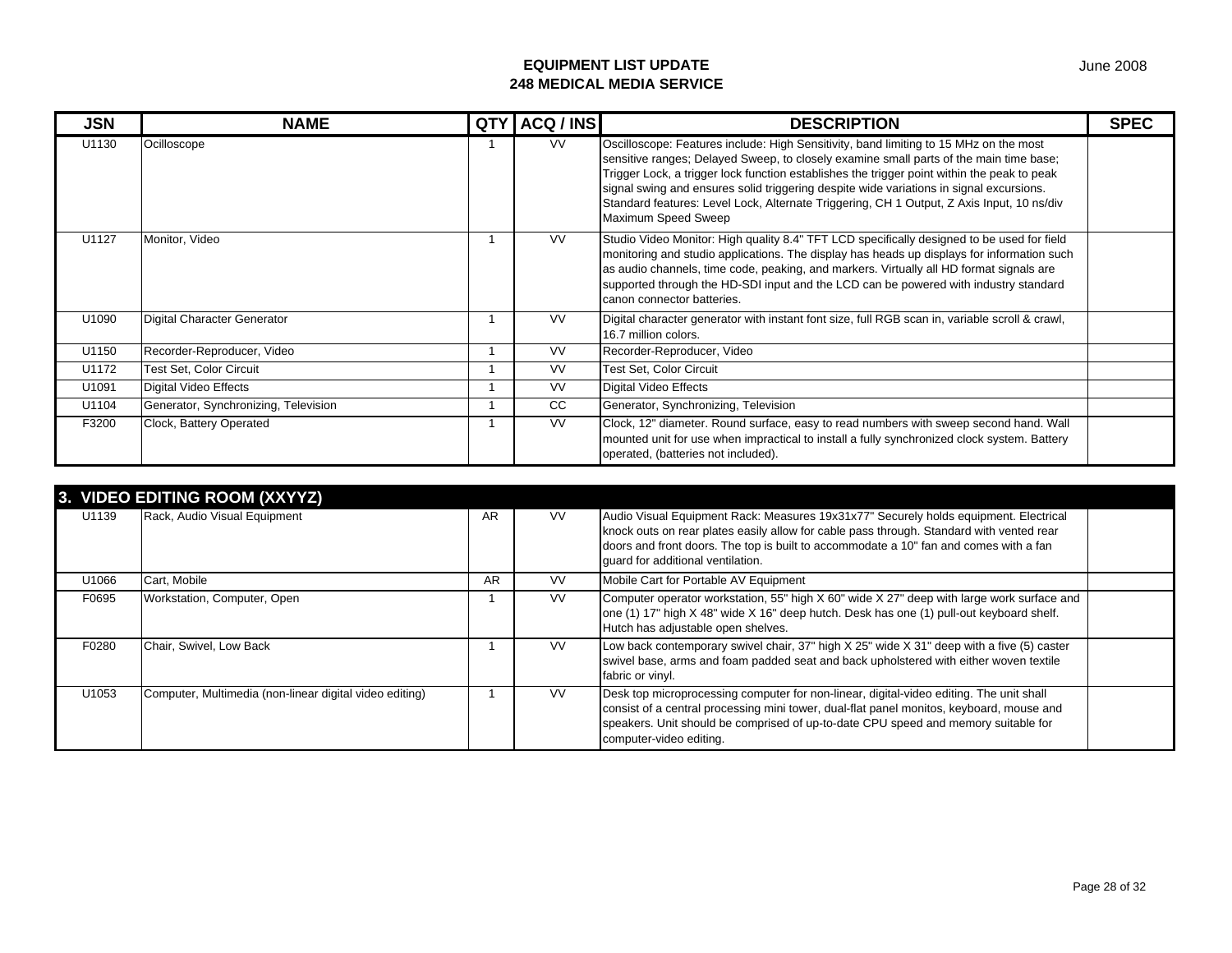| <b>JSN</b> | <b>NAME</b>                          | <b>QTY</b> | ACQ / INS | <b>DESCRIPTION</b>                                                                                                                                                                                                                                                                                                                                                                                                                                                                            | <b>SPEC</b> |
|------------|--------------------------------------|------------|-----------|-----------------------------------------------------------------------------------------------------------------------------------------------------------------------------------------------------------------------------------------------------------------------------------------------------------------------------------------------------------------------------------------------------------------------------------------------------------------------------------------------|-------------|
| U1130      | Ocilloscope                          |            | <b>VV</b> | Oscilloscope: Features include: High Sensitivity, band limiting to 15 MHz on the most<br>sensitive ranges; Delayed Sweep, to closely examine small parts of the main time base;<br>Trigger Lock, a trigger lock function establishes the trigger point within the peak to peak<br>signal swing and ensures solid triggering despite wide variations in signal excursions.<br>Standard features: Level Lock, Alternate Triggering, CH 1 Output, Z Axis Input, 10 ns/div<br>Maximum Speed Sweep |             |
| U1127      | Monitor, Video                       |            | <b>VV</b> | Studio Video Monitor: High quality 8.4" TFT LCD specifically designed to be used for field<br>monitoring and studio applications. The display has heads up displays for information such<br>as audio channels, time code, peaking, and markers. Virtually all HD format signals are<br>supported through the HD-SDI input and the LCD can be powered with industry standard<br>canon connector batteries.                                                                                     |             |
| U1090      | Digital Character Generator          |            | <b>VV</b> | Digital character generator with instant font size, full RGB scan in, variable scroll & crawl,<br>16.7 million colors.                                                                                                                                                                                                                                                                                                                                                                        |             |
| U1150      | Recorder-Reproducer, Video           |            | <b>VV</b> | Recorder-Reproducer, Video                                                                                                                                                                                                                                                                                                                                                                                                                                                                    |             |
| U1172      | <b>Test Set, Color Circuit</b>       |            | <b>VV</b> | <b>Test Set, Color Circuit</b>                                                                                                                                                                                                                                                                                                                                                                                                                                                                |             |
| U1091      | Digital Video Effects                |            | <b>VV</b> | Digital Video Effects                                                                                                                                                                                                                                                                                                                                                                                                                                                                         |             |
| U1104      | Generator, Synchronizing, Television |            | CC.       | Generator, Synchronizing, Television                                                                                                                                                                                                                                                                                                                                                                                                                                                          |             |
| F3200      | Clock, Battery Operated              |            | VV.       | Clock, 12" diameter. Round surface, easy to read numbers with sweep second hand. Wall<br>mounted unit for use when impractical to install a fully synchronized clock system. Battery<br>operated, (batteries not included).                                                                                                                                                                                                                                                                   |             |

|       | 3. VIDEO EDITING ROOM (XXYYZ)                           |    |           |                                                                                                                                                                                                                                                                                                                |  |
|-------|---------------------------------------------------------|----|-----------|----------------------------------------------------------------------------------------------------------------------------------------------------------------------------------------------------------------------------------------------------------------------------------------------------------------|--|
| U1139 | Rack, Audio Visual Equipment                            | AR | <b>VV</b> | Audio Visual Equipment Rack: Measures 19x31x77" Securely holds equipment. Electrical<br>knock outs on rear plates easily allow for cable pass through. Standard with vented rear<br>doors and front doors. The top is built to accommodate a 10" fan and comes with a fan<br>quard for additional ventilation. |  |
| U1066 | Cart, Mobile                                            | AR | <b>VV</b> | Mobile Cart for Portable AV Equipment                                                                                                                                                                                                                                                                          |  |
| F0695 | Workstation, Computer, Open                             |    | <b>VV</b> | Computer operator workstation, 55" high X 60" wide X 27" deep with large work surface and<br>one (1) 17" high X 48" wide X 16" deep hutch. Desk has one (1) pull-out keyboard shelf.<br>Hutch has adjustable open shelves.                                                                                     |  |
| F0280 | Chair, Swivel, Low Back                                 |    | <b>VV</b> | Low back contemporary swivel chair, 37" high $X$ 25" wide $X$ 31" deep with a five (5) caster<br>swivel base, arms and foam padded seat and back upholstered with either woven textile<br>fabric or vinyl.                                                                                                     |  |
| U1053 | Computer, Multimedia (non-linear digital video editing) |    | <b>VV</b> | Desk top microprocessing computer for non-linear, digital-video editing. The unit shall<br>consist of a central processing mini tower, dual-flat panel monitos, keyboard, mouse and<br>speakers. Unit should be comprised of up-to-date CPU speed and memory suitable for<br>computer-video editing.           |  |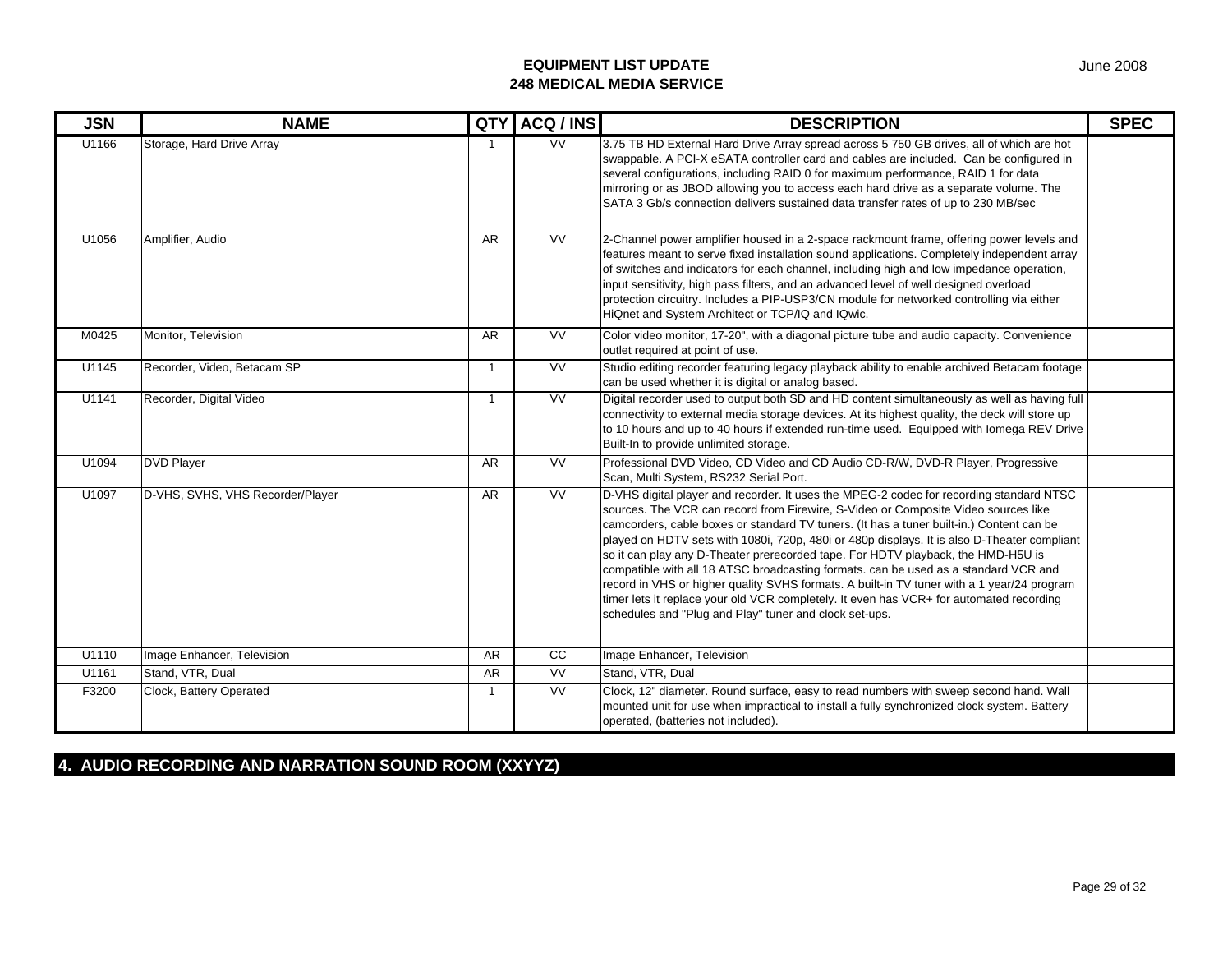| <b>JSN</b> | <b>NAME</b>                      | QTY            | ACQ / INS       | <b>DESCRIPTION</b>                                                                                                                                                                                                                                                                                                                                                                                                                                                                                                                                                                                                                                                                                                                                                                                     | <b>SPEC</b> |
|------------|----------------------------------|----------------|-----------------|--------------------------------------------------------------------------------------------------------------------------------------------------------------------------------------------------------------------------------------------------------------------------------------------------------------------------------------------------------------------------------------------------------------------------------------------------------------------------------------------------------------------------------------------------------------------------------------------------------------------------------------------------------------------------------------------------------------------------------------------------------------------------------------------------------|-------------|
| U1166      | Storage, Hard Drive Array        | -1             | W               | 3.75 TB HD External Hard Drive Array spread across 5 750 GB drives, all of which are hot<br>swappable. A PCI-X eSATA controller card and cables are included. Can be configured in<br>several configurations, including RAID 0 for maximum performance, RAID 1 for data<br>mirroring or as JBOD allowing you to access each hard drive as a separate volume. The<br>SATA 3 Gb/s connection delivers sustained data transfer rates of up to 230 MB/sec                                                                                                                                                                                                                                                                                                                                                  |             |
| U1056      | Amplifier, Audio                 | <b>AR</b>      | W               | 2-Channel power amplifier housed in a 2-space rackmount frame, offering power levels and<br>features meant to serve fixed installation sound applications. Completely independent array<br>of switches and indicators for each channel, including high and low impedance operation,<br>input sensitivity, high pass filters, and an advanced level of well designed overload<br>protection circuitry. Includes a PIP-USP3/CN module for networked controlling via either<br>HiQnet and System Architect or TCP/IQ and IQwic.                                                                                                                                                                                                                                                                           |             |
| M0425      | Monitor, Television              | <b>AR</b>      | <b>VV</b>       | Color video monitor, 17-20", with a diagonal picture tube and audio capacity. Convenience<br>outlet required at point of use.                                                                                                                                                                                                                                                                                                                                                                                                                                                                                                                                                                                                                                                                          |             |
| U1145      | Recorder, Video, Betacam SP      | $\overline{1}$ | <b>VV</b>       | Studio editing recorder featuring legacy playback ability to enable archived Betacam footage<br>can be used whether it is digital or analog based.                                                                                                                                                                                                                                                                                                                                                                                                                                                                                                                                                                                                                                                     |             |
| U1141      | Recorder, Digital Video          | $\overline{1}$ | <b>VV</b>       | Digital recorder used to output both SD and HD content simultaneously as well as having full<br>connectivity to external media storage devices. At its highest quality, the deck will store up<br>to 10 hours and up to 40 hours if extended run-time used. Equipped with lomega REV Drive<br>Built-In to provide unlimited storage.                                                                                                                                                                                                                                                                                                                                                                                                                                                                   |             |
| U1094      | <b>DVD Player</b>                | <b>AR</b>      | <b>VV</b>       | Professional DVD Video, CD Video and CD Audio CD-R/W, DVD-R Player, Progressive<br>Scan, Multi System, RS232 Serial Port.                                                                                                                                                                                                                                                                                                                                                                                                                                                                                                                                                                                                                                                                              |             |
| U1097      | D-VHS, SVHS, VHS Recorder/Player | <b>AR</b>      | <b>VV</b>       | D-VHS digital player and recorder. It uses the MPEG-2 codec for recording standard NTSC<br>sources. The VCR can record from Firewire, S-Video or Composite Video sources like<br>camcorders, cable boxes or standard TV tuners. (It has a tuner built-in.) Content can be<br>played on HDTV sets with 1080i, 720p, 480i or 480p displays. It is also D-Theater compliant<br>so it can play any D-Theater prerecorded tape. For HDTV playback, the HMD-H5U is<br>compatible with all 18 ATSC broadcasting formats. can be used as a standard VCR and<br>record in VHS or higher quality SVHS formats. A built-in TV tuner with a 1 year/24 program<br>timer lets it replace your old VCR completely. It even has VCR+ for automated recording<br>schedules and "Plug and Play" tuner and clock set-ups. |             |
| U1110      | Image Enhancer, Television       | AR             | $\overline{cc}$ | Image Enhancer, Television                                                                                                                                                                                                                                                                                                                                                                                                                                                                                                                                                                                                                                                                                                                                                                             |             |
| U1161      | Stand, VTR, Dual                 | <b>AR</b>      | <b>VV</b>       | Stand, VTR, Dual                                                                                                                                                                                                                                                                                                                                                                                                                                                                                                                                                                                                                                                                                                                                                                                       |             |
| F3200      | Clock, Battery Operated          | $\overline{1}$ | <b>VV</b>       | Clock, 12" diameter. Round surface, easy to read numbers with sweep second hand. Wall<br>mounted unit for use when impractical to install a fully synchronized clock system. Battery<br>operated, (batteries not included).                                                                                                                                                                                                                                                                                                                                                                                                                                                                                                                                                                            |             |

**4. AUDIO RECORDING AND NARRATION SOUND ROOM (XXYYZ)**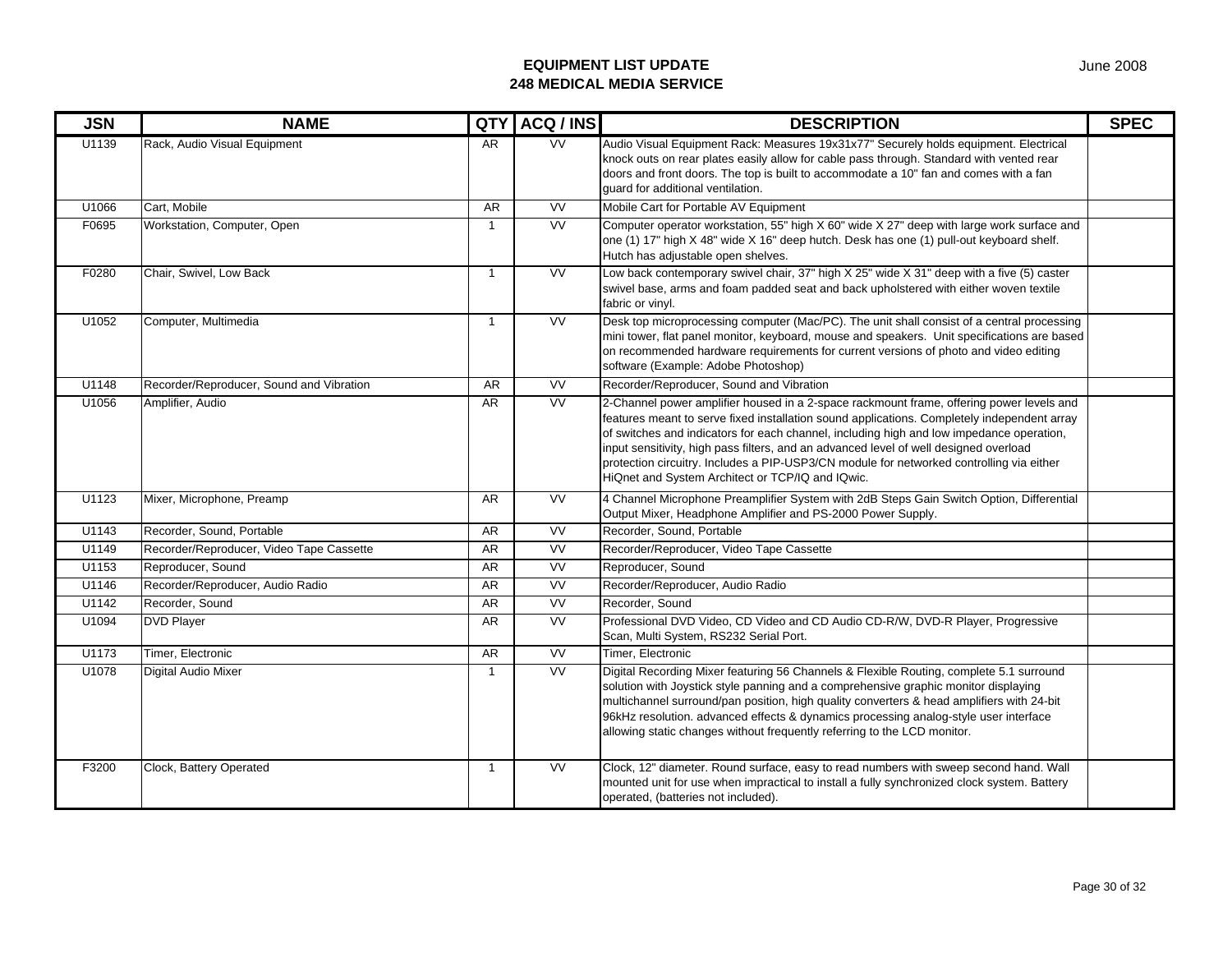| <b>JSN</b> | <b>NAME</b>                              | QTY            | ACQ / INS | <b>DESCRIPTION</b>                                                                                                                                                                                                                                                                                                                                                                                                                                                                                                           | <b>SPEC</b> |
|------------|------------------------------------------|----------------|-----------|------------------------------------------------------------------------------------------------------------------------------------------------------------------------------------------------------------------------------------------------------------------------------------------------------------------------------------------------------------------------------------------------------------------------------------------------------------------------------------------------------------------------------|-------------|
| U1139      | Rack, Audio Visual Equipment             | <b>AR</b>      | <b>VV</b> | Audio Visual Equipment Rack: Measures 19x31x77" Securely holds equipment. Electrical<br>knock outs on rear plates easily allow for cable pass through. Standard with vented rear<br>doors and front doors. The top is built to accommodate a 10" fan and comes with a fan<br>guard for additional ventilation.                                                                                                                                                                                                               |             |
| U1066      | Cart. Mobile                             | <b>AR</b>      | <b>VV</b> | Mobile Cart for Portable AV Equipment                                                                                                                                                                                                                                                                                                                                                                                                                                                                                        |             |
| F0695      | Workstation, Computer, Open              | $\overline{1}$ | <b>VV</b> | Computer operator workstation, 55" high X 60" wide X 27" deep with large work surface and<br>one (1) 17" high X 48" wide X 16" deep hutch. Desk has one (1) pull-out keyboard shelf.<br>Hutch has adjustable open shelves.                                                                                                                                                                                                                                                                                                   |             |
| F0280      | Chair, Swivel, Low Back                  | $\mathbf{1}$   | <b>VV</b> | Low back contemporary swivel chair, 37" high X 25" wide X 31" deep with a five (5) caster<br>swivel base, arms and foam padded seat and back upholstered with either woven textile<br>fabric or vinyl.                                                                                                                                                                                                                                                                                                                       |             |
| U1052      | Computer, Multimedia                     | $\overline{1}$ | VV        | Desk top microprocessing computer (Mac/PC). The unit shall consist of a central processing<br>mini tower, flat panel monitor, keyboard, mouse and speakers. Unit specifications are based<br>on recommended hardware requirements for current versions of photo and video editing<br>software (Example: Adobe Photoshop)                                                                                                                                                                                                     |             |
| U1148      | Recorder/Reproducer, Sound and Vibration | <b>AR</b>      | <b>VV</b> | Recorder/Reproducer, Sound and Vibration                                                                                                                                                                                                                                                                                                                                                                                                                                                                                     |             |
| U1056      | Amplifier, Audio                         | AR             | VV        | 2-Channel power amplifier housed in a 2-space rackmount frame, offering power levels and<br>features meant to serve fixed installation sound applications. Completely independent array<br>of switches and indicators for each channel, including high and low impedance operation,<br>input sensitivity, high pass filters, and an advanced level of well designed overload<br>protection circuitry. Includes a PIP-USP3/CN module for networked controlling via either<br>HiQnet and System Architect or TCP/IQ and IQwic. |             |
| U1123      | Mixer, Microphone, Preamp                | AR             | <b>VV</b> | 4 Channel Microphone Preamplifier System with 2dB Steps Gain Switch Option, Differential<br>Output Mixer, Headphone Amplifier and PS-2000 Power Supply.                                                                                                                                                                                                                                                                                                                                                                      |             |
| U1143      | Recorder, Sound, Portable                | AR             | <b>VV</b> | Recorder, Sound, Portable                                                                                                                                                                                                                                                                                                                                                                                                                                                                                                    |             |
| U1149      | Recorder/Reproducer, Video Tape Cassette | AR             | <b>VV</b> | Recorder/Reproducer, Video Tape Cassette                                                                                                                                                                                                                                                                                                                                                                                                                                                                                     |             |
| U1153      | Reproducer, Sound                        | AR             | VV        | Reproducer, Sound                                                                                                                                                                                                                                                                                                                                                                                                                                                                                                            |             |
| U1146      | Recorder/Reproducer, Audio Radio         | AR             | <b>VV</b> | Recorder/Reproducer, Audio Radio                                                                                                                                                                                                                                                                                                                                                                                                                                                                                             |             |
| U1142      | Recorder, Sound                          | AR             | W         | Recorder, Sound                                                                                                                                                                                                                                                                                                                                                                                                                                                                                                              |             |
| U1094      | <b>DVD Player</b>                        | AR             | <b>VV</b> | Professional DVD Video, CD Video and CD Audio CD-R/W, DVD-R Player, Progressive<br>Scan, Multi System, RS232 Serial Port.                                                                                                                                                                                                                                                                                                                                                                                                    |             |
| U1173      | Timer, Electronic                        | AR             | <b>VV</b> | Timer. Electronic                                                                                                                                                                                                                                                                                                                                                                                                                                                                                                            |             |
| U1078      | <b>Digital Audio Mixer</b>               | $\mathbf{1}$   | <b>VV</b> | Digital Recording Mixer featuring 56 Channels & Flexible Routing, complete 5.1 surround<br>solution with Joystick style panning and a comprehensive graphic monitor displaying<br>multichannel surround/pan position, high quality converters & head amplifiers with 24-bit<br>96kHz resolution. advanced effects & dynamics processing analog-style user interface<br>allowing static changes without frequently referring to the LCD monitor.                                                                              |             |
| F3200      | Clock, Battery Operated                  | $\mathbf{1}$   | <b>VV</b> | Clock, 12" diameter. Round surface, easy to read numbers with sweep second hand. Wall<br>mounted unit for use when impractical to install a fully synchronized clock system. Battery<br>operated, (batteries not included).                                                                                                                                                                                                                                                                                                  |             |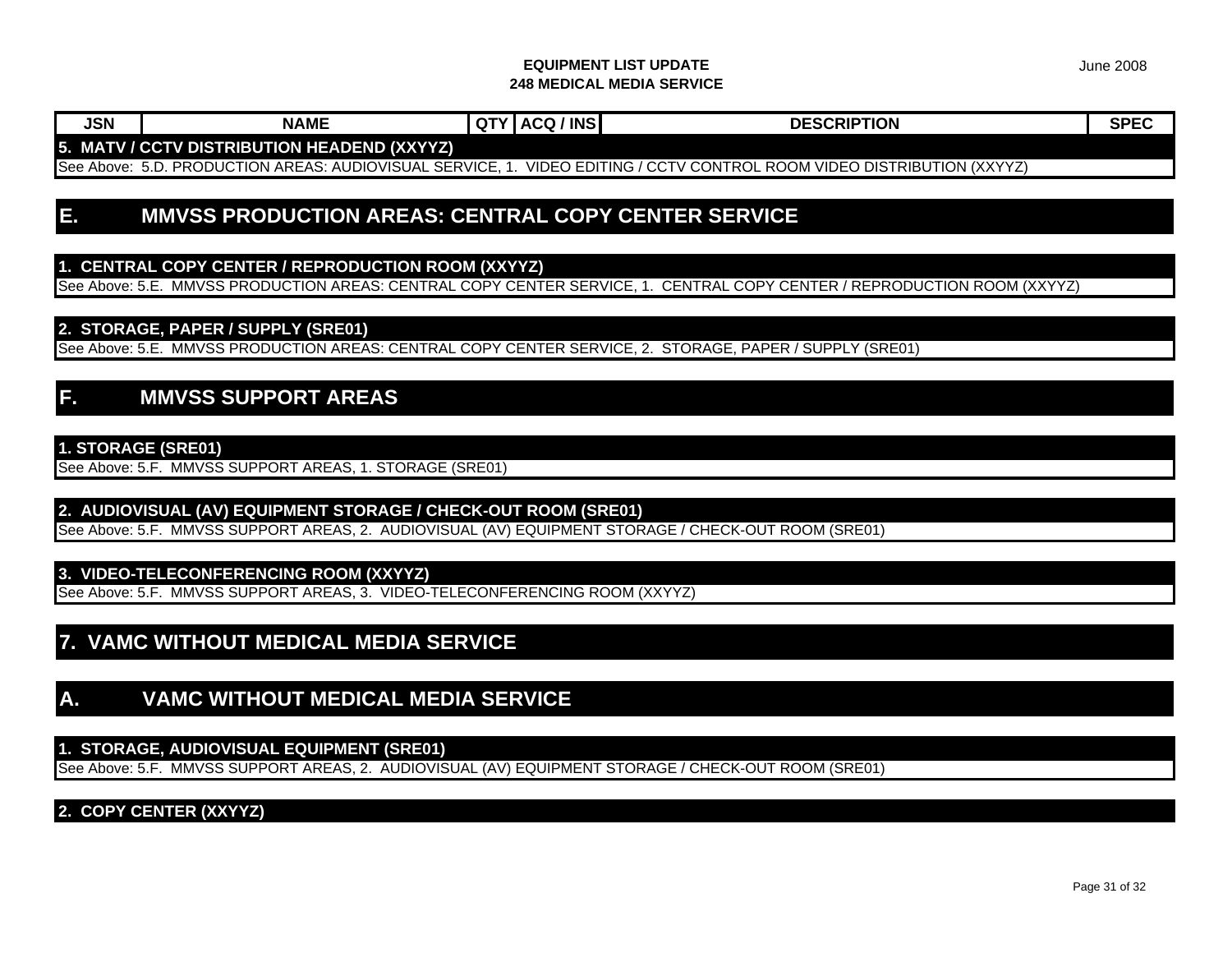**JSN NAME QTY ACQ / INS DESCRIPTION SPEC**

## **5. MATV / CCTV DISTRIBUTION HEADEND (XXYYZ)**

See Above: 5.D. PRODUCTION AREAS: AUDIOVISUAL SERVICE, 1. VIDEO EDITING / CCTV CONTROL ROOM VIDEO DISTRIBUTION (XXYYZ)

# **E. MMVSS PRODUCTION AREAS: CENTRAL COPY CENTER SERVICE**

### **1. CENTRAL COPY CENTER / REPRODUCTION ROOM (XXYYZ)**

See Above: 5.E. MMVSS PRODUCTION AREAS: CENTRAL COPY CENTER SERVICE, 1. CENTRAL COPY CENTER / REPRODUCTION ROOM (XXYYZ)

#### **2. STORAGE, PAPER / SUPPLY (SRE01)**

See Above: 5.E. MMVSS PRODUCTION AREAS: CENTRAL COPY CENTER SERVICE, 2. STORAGE, PAPER / SUPPLY (SRE01)

# **F. MMVSS SUPPORT AREAS**

#### **1. STORAGE (SRE01)**

See Above: 5.F. MMVSS SUPPORT AREAS, 1. STORAGE (SRE01)

#### **2. AUDIOVISUAL (AV) EQUIPMENT STORAGE / CHECK-OUT ROOM (SRE01)**

See Above: 5.F. MMVSS SUPPORT AREAS, 2. AUDIOVISUAL (AV) EQUIPMENT STORAGE / CHECK-OUT ROOM (SRE01)

#### **3. VIDEO-TELECONFERENCING ROOM (XXYYZ)**

See Above: 5.F. MMVSS SUPPORT AREAS, 3. VIDEO-TELECONFERENCING ROOM (XXYYZ)

# **7. VAMC WITHOUT MEDICAL MEDIA SERVICE**

## **A. VAMC WITHOUT MEDICAL MEDIA SERVICE**

#### **1. STORAGE, AUDIOVISUAL EQUIPMENT (SRE01)**

See Above: 5.F. MMVSS SUPPORT AREAS, 2. AUDIOVISUAL (AV) EQUIPMENT STORAGE / CHECK-OUT ROOM (SRE01)

## **2. COPY CENTER (XXYYZ)**